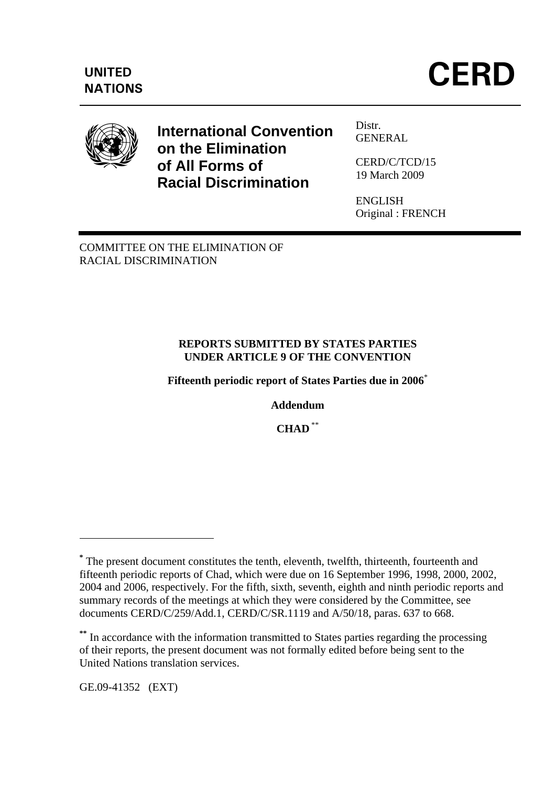

# **International Convention on the Elimination of All Forms of Racial Discrimination**

Distr. **GENERAL** 

CERD/C/TCD/15 19 March 2009

ENGLISH Original : FRENCH

COMMITTEE ON THE ELIMINATION OF RACIAL DISCRIMINATION

#### **REPORTS SUBMITTED BY STATES PARTIES UNDER ARTICLE 9 OF THE CONVENTION**

**Fifteenth periodic report of States Parties due in 2006**\*

**Addendum** 

**CHAD** \*\*

GE.09-41352 (EXT)

1

**<sup>\*</sup>** The present document constitutes the tenth, eleventh, twelfth, thirteenth, fourteenth and fifteenth periodic reports of Chad, which were due on 16 September 1996, 1998, 2000, 2002, 2004 and 2006, respectively. For the fifth, sixth, seventh, eighth and ninth periodic reports and summary records of the meetings at which they were considered by the Committee, see documents CERD/C/259/Add.1, CERD/C/SR.1119 and A/50/18, paras. 637 to 668.

**<sup>\*\*</sup>** In accordance with the information transmitted to States parties regarding the processing of their reports, the present document was not formally edited before being sent to the United Nations translation services.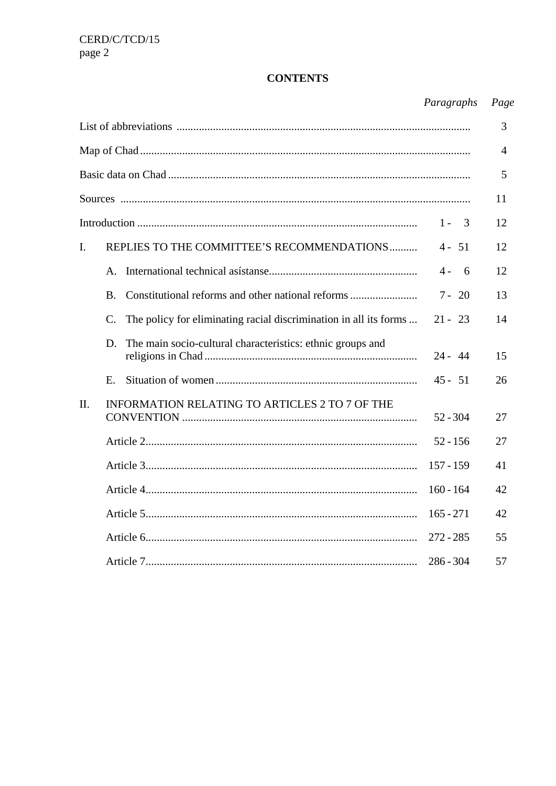# **CONTENTS**

# Paragraphs Page

|     |                                                                                  |             | 3              |
|-----|----------------------------------------------------------------------------------|-------------|----------------|
|     |                                                                                  |             | $\overline{4}$ |
|     |                                                                                  |             | 5              |
|     |                                                                                  |             | 11             |
|     |                                                                                  | $1 - 3$     | 12             |
| I.  | REPLIES TO THE COMMITTEE'S RECOMMENDATIONS                                       | $4 - 51$    | 12             |
|     | $A_{-}$                                                                          | $4 - 6$     | 12             |
|     | <b>B.</b>                                                                        | $7 - 20$    | 13             |
|     | The policy for eliminating racial discrimination in all its forms<br>$C_{\cdot}$ | $21 - 23$   | 14             |
|     | The main socio-cultural characteristics: ethnic groups and<br>D.                 | $24 - 44$   | 15             |
|     | Ε.                                                                               | $45 - 51$   | 26             |
| II. | <b>INFORMATION RELATING TO ARTICLES 2 TO 7 OF THE</b>                            | $52 - 304$  | 27             |
|     |                                                                                  | $52 - 156$  | 27             |
|     |                                                                                  | $157 - 159$ | 41             |
|     |                                                                                  | $160 - 164$ | 42             |
|     |                                                                                  | $165 - 271$ | 42             |
|     |                                                                                  | $272 - 285$ | 55             |
|     |                                                                                  | $286 - 304$ | 57             |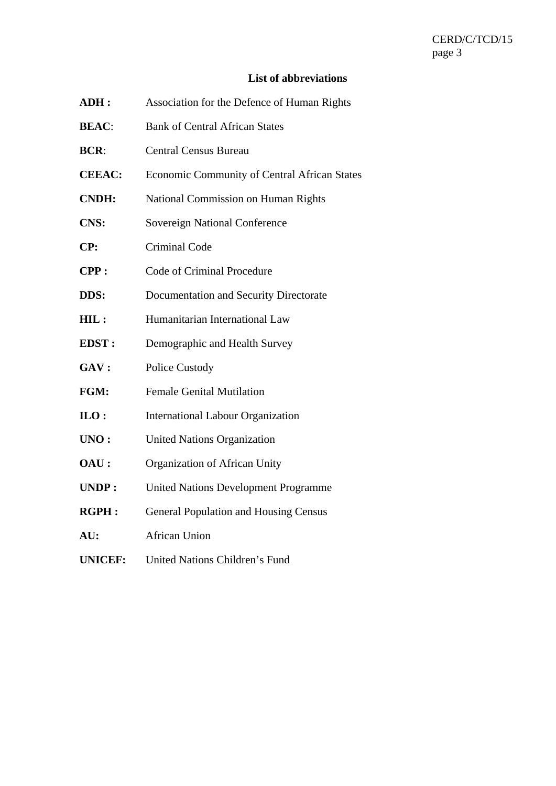## **List of abbreviations**

| ADH:           | Association for the Defence of Human Rights         |
|----------------|-----------------------------------------------------|
| <b>BEAC:</b>   | <b>Bank of Central African States</b>               |
| <b>BCR:</b>    | <b>Central Census Bureau</b>                        |
| <b>CEEAC:</b>  | <b>Economic Community of Central African States</b> |
| <b>CNDH:</b>   | National Commission on Human Rights                 |
| <b>CNS:</b>    | Sovereign National Conference                       |
| CP:            | <b>Criminal Code</b>                                |
| CPP:           | Code of Criminal Procedure                          |
| DDS:           | Documentation and Security Directorate              |
| HIL:           | Humanitarian International Law                      |
| <b>EDST:</b>   | Demographic and Health Survey                       |
| GAV:           | <b>Police Custody</b>                               |
| FGM:           | <b>Female Genital Mutilation</b>                    |
| $_{\rm ILO}$ : | <b>International Labour Organization</b>            |
| UNO:           | <b>United Nations Organization</b>                  |
| OAU:           | Organization of African Unity                       |
| <b>UNDP:</b>   | <b>United Nations Development Programme</b>         |
| <b>RGPH:</b>   | <b>General Population and Housing Census</b>        |
| AU:            | <b>African Union</b>                                |
| <b>UNICEF:</b> | <b>United Nations Children's Fund</b>               |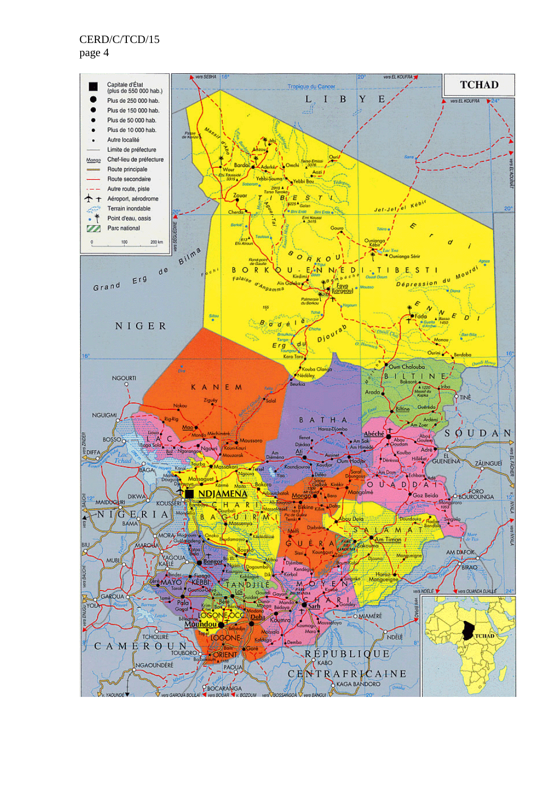page 4

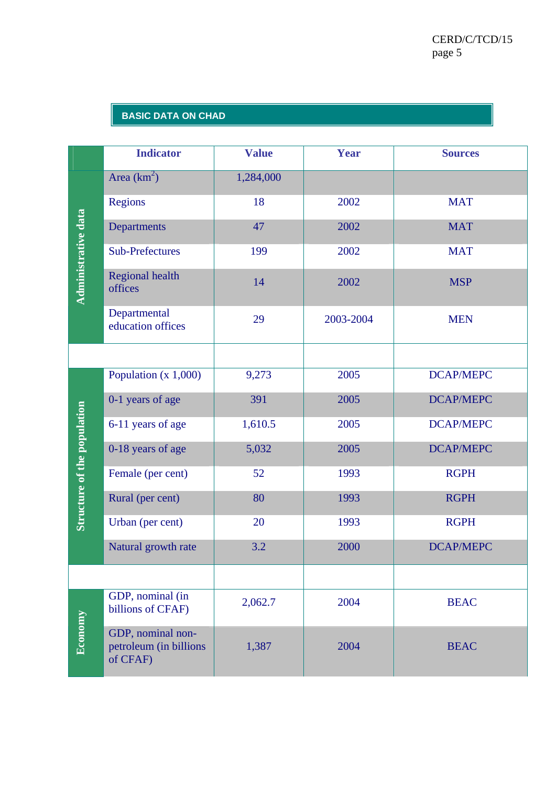#### **BASIC DATA ON CHAD**

|                             | <b>Indicator</b>                                        | <b>Value</b> | Year      | <b>Sources</b>   |
|-----------------------------|---------------------------------------------------------|--------------|-----------|------------------|
| <b>Administrative data</b>  | Area $(km^2)$                                           | 1,284,000    |           |                  |
|                             | <b>Regions</b>                                          | 18           | 2002      | <b>MAT</b>       |
|                             | Departments                                             | 47           | 2002      | <b>MAT</b>       |
|                             | <b>Sub-Prefectures</b>                                  | 199          | 2002      | <b>MAT</b>       |
|                             | <b>Regional health</b><br>offices                       | 14           | 2002      | <b>MSP</b>       |
|                             | Departmental<br>education offices                       | 29           | 2003-2004 | <b>MEN</b>       |
|                             |                                                         |              |           |                  |
|                             | Population $(x 1,000)$                                  | 9,273        | 2005      | <b>DCAP/MEPC</b> |
|                             | 0-1 years of age                                        | 391          | 2005      | <b>DCAP/MEPC</b> |
|                             | 6-11 years of age                                       | 1,610.5      | 2005      | <b>DCAP/MEPC</b> |
|                             | 0-18 years of age                                       | 5,032        | 2005      | <b>DCAP/MEPC</b> |
|                             | Female (per cent)                                       | 52           | 1993      | <b>RGPH</b>      |
| Structure of the population | Rural (per cent)                                        | 80           | 1993      | <b>RGPH</b>      |
|                             | Urban (per cent)                                        | 20           | 1993      | <b>RGPH</b>      |
|                             | Natural growth rate                                     | 3.2          | 2000      | <b>DCAP/MEPC</b> |
|                             |                                                         |              |           |                  |
|                             | GDP, nominal (in<br>billions of CFAF)                   | 2,062.7      | 2004      | <b>BEAC</b>      |
| Economy                     | GDP, nominal non-<br>petroleum (in billions<br>of CFAF) | 1,387        | 2004      | <b>BEAC</b>      |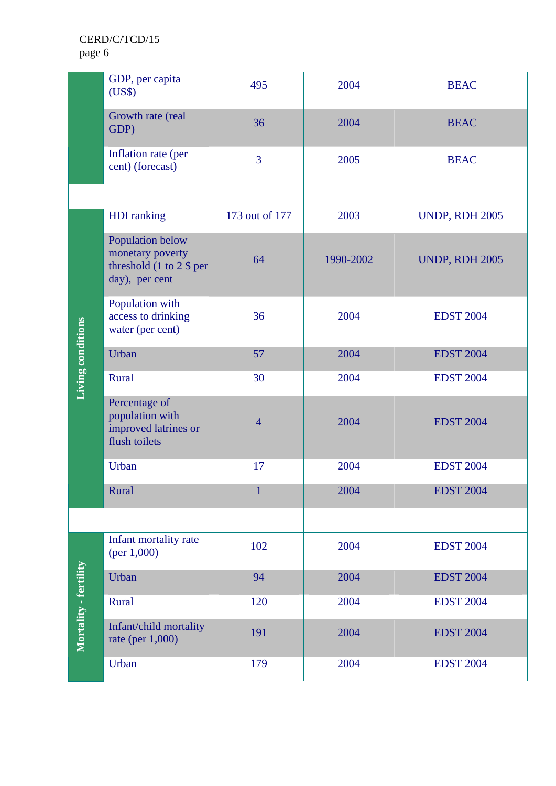| GDP, per capita<br>(US\$) |                                                                                                         | 495            | 2004      | <b>BEAC</b>           |
|---------------------------|---------------------------------------------------------------------------------------------------------|----------------|-----------|-----------------------|
|                           | Growth rate (real<br>GDP)                                                                               | 36             | 2004      | <b>BEAC</b>           |
|                           | Inflation rate (per<br>cent) (forecast)                                                                 | $\overline{3}$ | 2005      | <b>BEAC</b>           |
|                           |                                                                                                         |                |           |                       |
|                           | <b>HDI</b> ranking                                                                                      | 173 out of 177 | 2003      | <b>UNDP, RDH 2005</b> |
|                           | Population below<br>monetary poverty<br>threshold $(1 \text{ to } 2 \text{ $8$})$ per<br>day), per cent | 64             | 1990-2002 | <b>UNDP, RDH 2005</b> |
| Living conditions         | Population with<br>access to drinking<br>water (per cent)                                               | 36             |           | <b>EDST 2004</b>      |
|                           | Urban                                                                                                   | 57             | 2004      | <b>EDST 2004</b>      |
|                           | Rural                                                                                                   | 30             | 2004      | <b>EDST 2004</b>      |
|                           | Percentage of<br>population with<br>improved latrines or<br>flush toilets                               | $\overline{4}$ | 2004      | <b>EDST 2004</b>      |
|                           | Urban                                                                                                   | 17             | 2004      | <b>EDST 2004</b>      |
|                           | Rural                                                                                                   | $\mathbf{1}$   | 2004      | <b>EDST 2004</b>      |
|                           |                                                                                                         |                |           |                       |
|                           | Infant mortality rate<br>(per $1,000$ )                                                                 | 102            | 2004      | <b>EDST 2004</b>      |
|                           | Urban                                                                                                   | 94             | 2004      | <b>EDST 2004</b>      |
|                           | Rural                                                                                                   | 120            | 2004      | <b>EDST 2004</b>      |
| Mortality - fertility     | Infant/child mortality<br>rate (per 1,000)                                                              | 191            | 2004      | <b>EDST 2004</b>      |
|                           | Urban                                                                                                   | 179            | 2004      | <b>EDST 2004</b>      |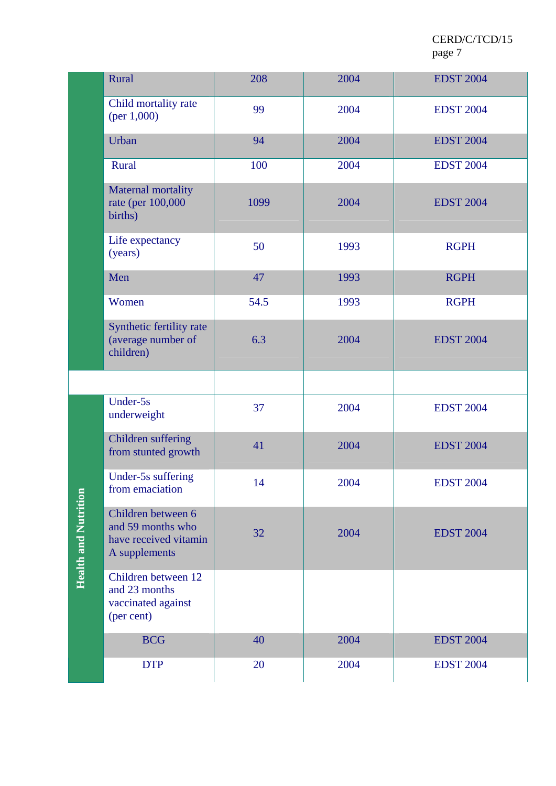|                             | Rural                                                                             | 208  | 2004 | <b>EDST 2004</b> |
|-----------------------------|-----------------------------------------------------------------------------------|------|------|------------------|
|                             | Child mortality rate<br>(per $1,000$ )                                            | 99   | 2004 | <b>EDST 2004</b> |
|                             | Urban                                                                             | 94   | 2004 | <b>EDST 2004</b> |
|                             | Rural                                                                             | 100  | 2004 | <b>EDST 2004</b> |
|                             | Maternal mortality<br>rate (per 100,000<br>births)                                | 1099 | 2004 | <b>EDST 2004</b> |
|                             | Life expectancy<br>(years)                                                        | 50   | 1993 | <b>RGPH</b>      |
|                             | Men                                                                               | 47   | 1993 | <b>RGPH</b>      |
|                             | Women                                                                             | 54.5 | 1993 | <b>RGPH</b>      |
|                             | Synthetic fertility rate<br>(average number of<br>children)                       | 6.3  | 2004 | <b>EDST 2004</b> |
|                             |                                                                                   |      |      |                  |
|                             | Under-5s<br>underweight                                                           | 37   | 2004 | <b>EDST 2004</b> |
|                             | Children suffering<br>from stunted growth                                         | 41   | 2004 | <b>EDST 2004</b> |
|                             | Under-5s suffering<br>from emaciation                                             | 14   | 2004 | <b>EDST 2004</b> |
| <b>Health and Nutrition</b> | Children between 6<br>and 59 months who<br>have received vitamin<br>A supplements | 32   | 2004 | <b>EDST 2004</b> |
|                             | Children between 12<br>and 23 months<br>vaccinated against<br>(per cent)          |      |      |                  |
|                             | <b>BCG</b>                                                                        | 40   | 2004 | <b>EDST 2004</b> |
|                             | <b>DTP</b>                                                                        | 20   | 2004 | <b>EDST 2004</b> |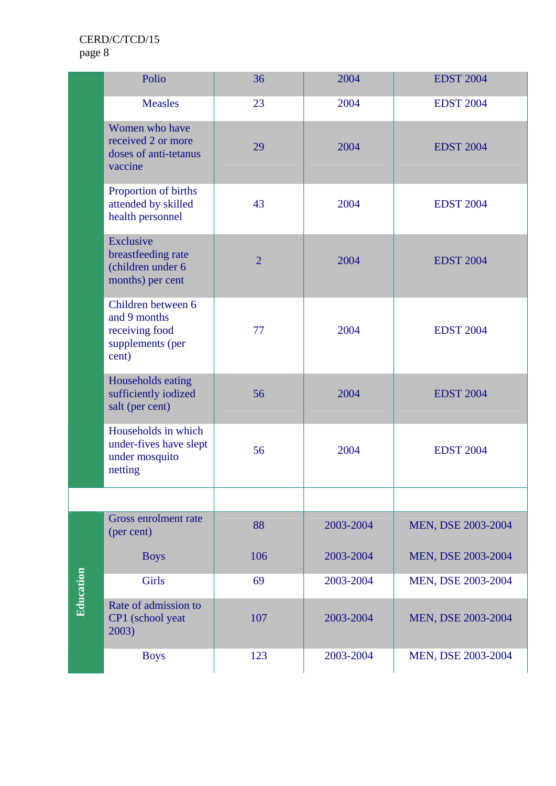|           | Polio                                                                             | 36             | 2004      | <b>EDST 2004</b>   |
|-----------|-----------------------------------------------------------------------------------|----------------|-----------|--------------------|
|           | <b>Measles</b>                                                                    | 23             | 2004      | <b>EDST 2004</b>   |
|           | Women who have<br>received 2 or more<br>doses of anti-tetanus<br>vaccine          | 29             | 2004      | <b>EDST 2004</b>   |
|           | Proportion of births<br>attended by skilled<br>health personnel                   | 43             | 2004      | <b>EDST 2004</b>   |
|           | Exclusive<br>breastfeeding rate<br>(children under 6<br>months) per cent          | $\overline{2}$ | 2004      | <b>EDST 2004</b>   |
|           | Children between 6<br>and 9 months<br>receiving food<br>supplements (per<br>cent) | 77             | 2004      | <b>EDST 2004</b>   |
|           | Households eating<br>sufficiently iodized<br>salt (per cent)                      | 56             | 2004      | <b>EDST 2004</b>   |
|           | Households in which<br>under-fives have slept<br>under mosquito<br>netting        | 56             | 2004      | <b>EDST 2004</b>   |
|           |                                                                                   |                |           |                    |
|           | <b>Gross enrolment rate</b><br>(per cent)                                         | 88             | 2003-2004 | MEN, DSE 2003-2004 |
|           | <b>Boys</b>                                                                       | 106            | 2003-2004 | MEN, DSE 2003-2004 |
|           | <b>Girls</b>                                                                      | 69             | 2003-2004 | MEN, DSE 2003-2004 |
| Education | Rate of admission to<br>CP1 (school yeat<br>2003)                                 | 107            | 2003-2004 | MEN, DSE 2003-2004 |
|           | <b>Boys</b>                                                                       | 123            | 2003-2004 | MEN, DSE 2003-2004 |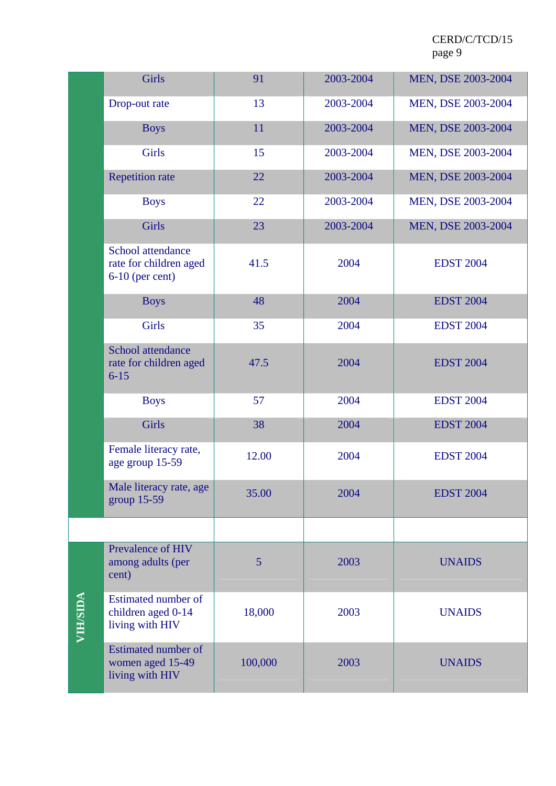|                 | Girls                                                             | 91      | 2003-2004 | MEN, DSE 2003-2004 |
|-----------------|-------------------------------------------------------------------|---------|-----------|--------------------|
|                 | Drop-out rate                                                     | 13      | 2003-2004 | MEN, DSE 2003-2004 |
|                 | <b>Boys</b>                                                       | 11      | 2003-2004 | MEN, DSE 2003-2004 |
|                 | <b>Girls</b>                                                      | 15      | 2003-2004 | MEN, DSE 2003-2004 |
|                 | <b>Repetition rate</b>                                            | 22      | 2003-2004 | MEN, DSE 2003-2004 |
|                 | <b>Boys</b>                                                       | 22      | 2003-2004 | MEN, DSE 2003-2004 |
|                 | <b>Girls</b>                                                      | 23      | 2003-2004 | MEN, DSE 2003-2004 |
|                 | School attendance<br>rate for children aged<br>$6-10$ (per cent)  | 41.5    | 2004      | <b>EDST 2004</b>   |
|                 | <b>Boys</b>                                                       | 48      | 2004      | <b>EDST 2004</b>   |
|                 | <b>Girls</b>                                                      | 35      | 2004      | <b>EDST 2004</b>   |
|                 | School attendance<br>rate for children aged<br>$6 - 15$           | 47.5    | 2004      | <b>EDST 2004</b>   |
|                 | <b>Boys</b>                                                       | 57      | 2004      | <b>EDST 2004</b>   |
|                 | <b>Girls</b>                                                      | 38      | 2004      | <b>EDST 2004</b>   |
|                 | Female literacy rate,<br>age group 15-59                          | 12.00   | 2004      | <b>EDST 2004</b>   |
|                 | Male literacy rate, age<br>group $15-59$                          | 35.00   | 2004      | <b>EDST 2004</b>   |
|                 |                                                                   |         |           |                    |
|                 | <b>Prevalence of HIV</b><br>among adults (per<br>cent)            | 5       | 2003      | <b>UNAIDS</b>      |
| <b>NIH/SIDA</b> | Estimated number of<br>children aged 0-14<br>living with HIV      | 18,000  | 2003      | <b>UNAIDS</b>      |
|                 | <b>Estimated number of</b><br>women aged 15-49<br>living with HIV | 100,000 | 2003      | <b>UNAIDS</b>      |
|                 |                                                                   |         |           |                    |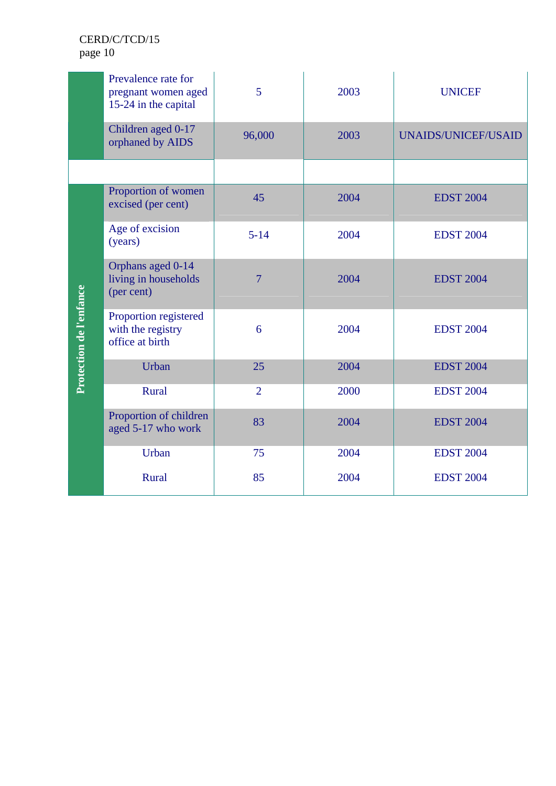|                         | Prevalence rate for<br>pregnant women aged<br>15-24 in the capital | 5              | 2003 | <b>UNICEF</b>              |
|-------------------------|--------------------------------------------------------------------|----------------|------|----------------------------|
|                         | Children aged 0-17<br>orphaned by AIDS                             | 96,000         | 2003 | <b>UNAIDS/UNICEF/USAID</b> |
|                         |                                                                    |                |      |                            |
|                         | Proportion of women<br>excised (per cent)                          | 45             | 2004 | <b>EDST 2004</b>           |
|                         | Age of excision<br>(years)                                         | $5 - 14$       | 2004 | <b>EDST 2004</b>           |
|                         | Orphans aged 0-14<br>living in households<br>(per cent)            | 7              | 2004 | <b>EDST 2004</b>           |
| Protection de l'enfance | Proportion registered<br>with the registry<br>office at birth      | 6              | 2004 | <b>EDST 2004</b>           |
|                         | Urban                                                              | 25             | 2004 | <b>EDST 2004</b>           |
|                         | Rural                                                              | $\overline{2}$ | 2000 | <b>EDST 2004</b>           |
|                         | Proportion of children<br>aged 5-17 who work                       | 83             | 2004 | <b>EDST 2004</b>           |
|                         | Urban                                                              | 75             | 2004 | <b>EDST 2004</b>           |
|                         | Rural                                                              | 85             | 2004 | <b>EDST 2004</b>           |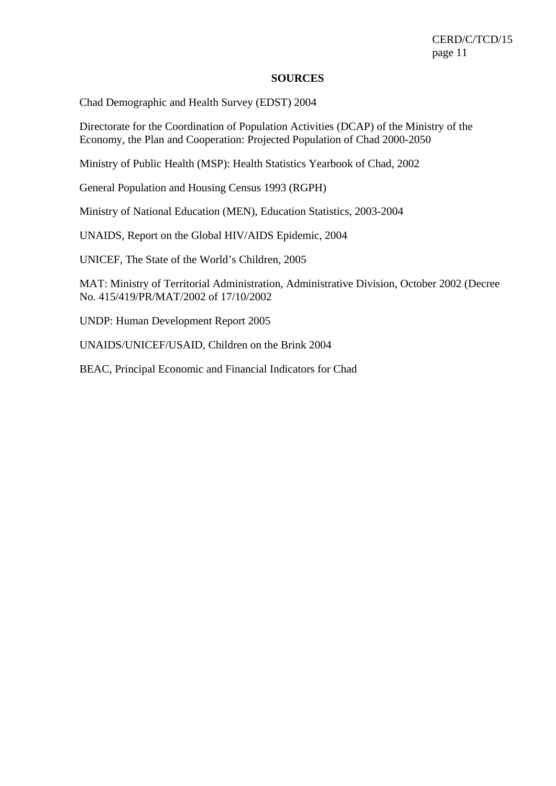#### **SOURCES**

Chad Demographic and Health Survey (EDST) 2004

Directorate for the Coordination of Population Activities (DCAP) of the Ministry of the Economy, the Plan and Cooperation: Projected Population of Chad 2000-2050

Ministry of Public Health (MSP): Health Statistics Yearbook of Chad, 2002

General Population and Housing Census 1993 (RGPH)

Ministry of National Education (MEN), Education Statistics, 2003-2004

UNAIDS, Report on the Global HIV/AIDS Epidemic, 2004

UNICEF, The State of the World's Children, 2005

MAT: Ministry of Territorial Administration, Administrative Division, October 2002 (Decree No. 415/419/PR/MAT/2002 of 17/10/2002

UNDP: Human Development Report 2005

UNAIDS/UNICEF/USAID, Children on the Brink 2004

BEAC, Principal Economic and Financial Indicators for Chad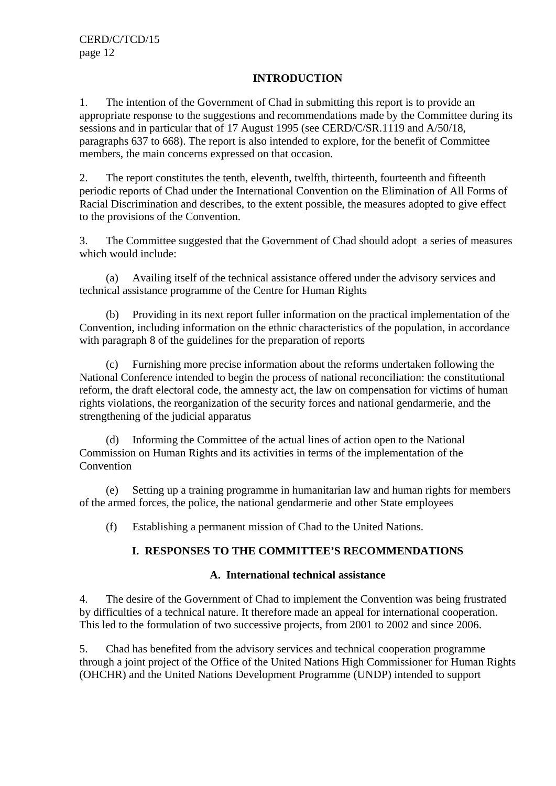## **INTRODUCTION**

1. The intention of the Government of Chad in submitting this report is to provide an appropriate response to the suggestions and recommendations made by the Committee during its sessions and in particular that of 17 August 1995 (see CERD/C/SR.1119 and A/50/18, paragraphs 637 to 668). The report is also intended to explore, for the benefit of Committee members, the main concerns expressed on that occasion.

2. The report constitutes the tenth, eleventh, twelfth, thirteenth, fourteenth and fifteenth periodic reports of Chad under the International Convention on the Elimination of All Forms of Racial Discrimination and describes, to the extent possible, the measures adopted to give effect to the provisions of the Convention.

3. The Committee suggested that the Government of Chad should adopt a series of measures which would include:

(a) Availing itself of the technical assistance offered under the advisory services and technical assistance programme of the Centre for Human Rights

(b) Providing in its next report fuller information on the practical implementation of the Convention, including information on the ethnic characteristics of the population, in accordance with paragraph 8 of the guidelines for the preparation of reports

(c) Furnishing more precise information about the reforms undertaken following the National Conference intended to begin the process of national reconciliation: the constitutional reform, the draft electoral code, the amnesty act, the law on compensation for victims of human rights violations, the reorganization of the security forces and national gendarmerie, and the strengthening of the judicial apparatus

(d) Informing the Committee of the actual lines of action open to the National Commission on Human Rights and its activities in terms of the implementation of the Convention

(e) Setting up a training programme in humanitarian law and human rights for members of the armed forces, the police, the national gendarmerie and other State employees

(f) Establishing a permanent mission of Chad to the United Nations.

# **I. RESPONSES TO THE COMMITTEE'S RECOMMENDATIONS**

## **A. International technical assistance**

4. The desire of the Government of Chad to implement the Convention was being frustrated by difficulties of a technical nature. It therefore made an appeal for international cooperation. This led to the formulation of two successive projects, from 2001 to 2002 and since 2006.

5. Chad has benefited from the advisory services and technical cooperation programme through a joint project of the Office of the United Nations High Commissioner for Human Rights (OHCHR) and the United Nations Development Programme (UNDP) intended to support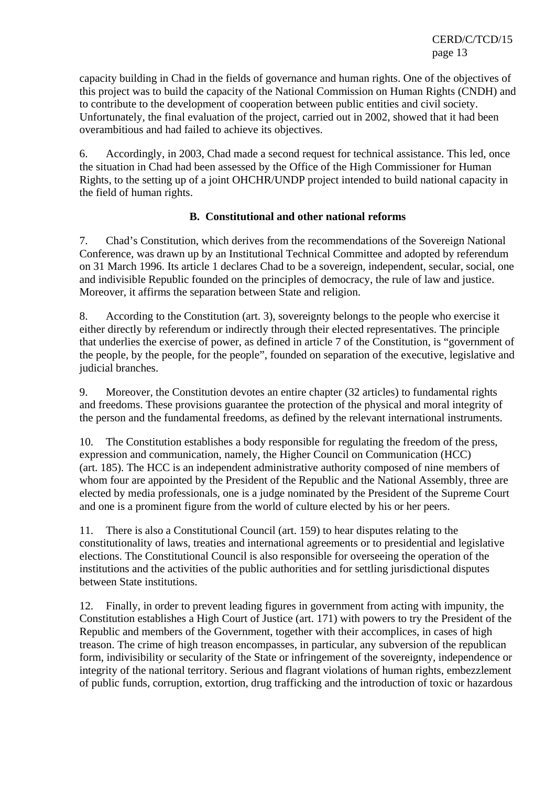capacity building in Chad in the fields of governance and human rights. One of the objectives of this project was to build the capacity of the National Commission on Human Rights (CNDH) and to contribute to the development of cooperation between public entities and civil society. Unfortunately, the final evaluation of the project, carried out in 2002, showed that it had been overambitious and had failed to achieve its objectives.

6. Accordingly, in 2003, Chad made a second request for technical assistance. This led, once the situation in Chad had been assessed by the Office of the High Commissioner for Human Rights, to the setting up of a joint OHCHR/UNDP project intended to build national capacity in the field of human rights.

#### **B. Constitutional and other national reforms**

7. Chad's Constitution, which derives from the recommendations of the Sovereign National Conference, was drawn up by an Institutional Technical Committee and adopted by referendum on 31 March 1996. Its article 1 declares Chad to be a sovereign, independent, secular, social, one and indivisible Republic founded on the principles of democracy, the rule of law and justice. Moreover, it affirms the separation between State and religion.

8. According to the Constitution (art. 3), sovereignty belongs to the people who exercise it either directly by referendum or indirectly through their elected representatives. The principle that underlies the exercise of power, as defined in article 7 of the Constitution, is "government of the people, by the people, for the people", founded on separation of the executive, legislative and judicial branches.

9. Moreover, the Constitution devotes an entire chapter (32 articles) to fundamental rights and freedoms. These provisions guarantee the protection of the physical and moral integrity of the person and the fundamental freedoms, as defined by the relevant international instruments.

10. The Constitution establishes a body responsible for regulating the freedom of the press, expression and communication, namely, the Higher Council on Communication (HCC) (art. 185). The HCC is an independent administrative authority composed of nine members of whom four are appointed by the President of the Republic and the National Assembly, three are elected by media professionals, one is a judge nominated by the President of the Supreme Court and one is a prominent figure from the world of culture elected by his or her peers.

11. There is also a Constitutional Council (art. 159) to hear disputes relating to the constitutionality of laws, treaties and international agreements or to presidential and legislative elections. The Constitutional Council is also responsible for overseeing the operation of the institutions and the activities of the public authorities and for settling jurisdictional disputes between State institutions.

12. Finally, in order to prevent leading figures in government from acting with impunity, the Constitution establishes a High Court of Justice (art. 171) with powers to try the President of the Republic and members of the Government, together with their accomplices, in cases of high treason. The crime of high treason encompasses, in particular, any subversion of the republican form, indivisibility or secularity of the State or infringement of the sovereignty, independence or integrity of the national territory. Serious and flagrant violations of human rights, embezzlement of public funds, corruption, extortion, drug trafficking and the introduction of toxic or hazardous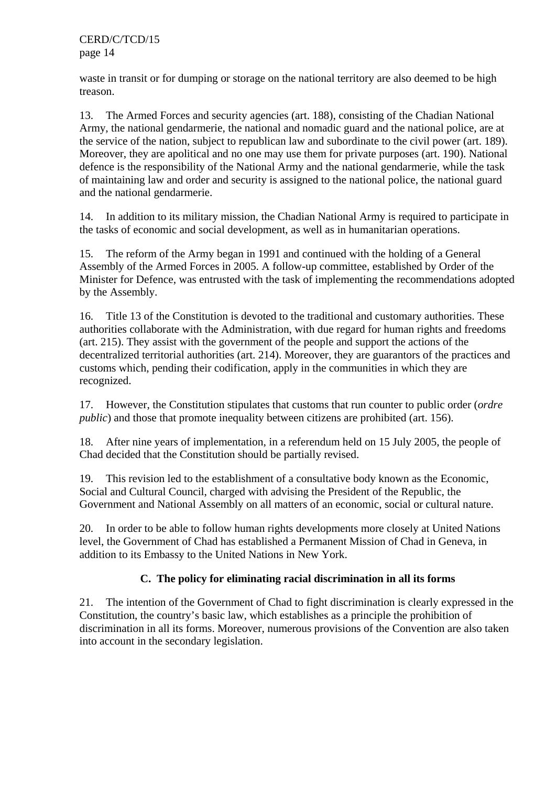waste in transit or for dumping or storage on the national territory are also deemed to be high treason.

13. The Armed Forces and security agencies (art. 188), consisting of the Chadian National Army, the national gendarmerie, the national and nomadic guard and the national police, are at the service of the nation, subject to republican law and subordinate to the civil power (art. 189). Moreover, they are apolitical and no one may use them for private purposes (art. 190). National defence is the responsibility of the National Army and the national gendarmerie, while the task of maintaining law and order and security is assigned to the national police, the national guard and the national gendarmerie.

14. In addition to its military mission, the Chadian National Army is required to participate in the tasks of economic and social development, as well as in humanitarian operations.

15. The reform of the Army began in 1991 and continued with the holding of a General Assembly of the Armed Forces in 2005. A follow-up committee, established by Order of the Minister for Defence, was entrusted with the task of implementing the recommendations adopted by the Assembly.

16. Title 13 of the Constitution is devoted to the traditional and customary authorities. These authorities collaborate with the Administration, with due regard for human rights and freedoms (art. 215). They assist with the government of the people and support the actions of the decentralized territorial authorities (art. 214). Moreover, they are guarantors of the practices and customs which, pending their codification, apply in the communities in which they are recognized.

17. However, the Constitution stipulates that customs that run counter to public order (*ordre public*) and those that promote inequality between citizens are prohibited (art. 156).

18. After nine years of implementation, in a referendum held on 15 July 2005, the people of Chad decided that the Constitution should be partially revised.

19. This revision led to the establishment of a consultative body known as the Economic, Social and Cultural Council, charged with advising the President of the Republic, the Government and National Assembly on all matters of an economic, social or cultural nature.

20. In order to be able to follow human rights developments more closely at United Nations level, the Government of Chad has established a Permanent Mission of Chad in Geneva, in addition to its Embassy to the United Nations in New York.

# **C. The policy for eliminating racial discrimination in all its forms**

21. The intention of the Government of Chad to fight discrimination is clearly expressed in the Constitution, the country's basic law, which establishes as a principle the prohibition of discrimination in all its forms. Moreover, numerous provisions of the Convention are also taken into account in the secondary legislation.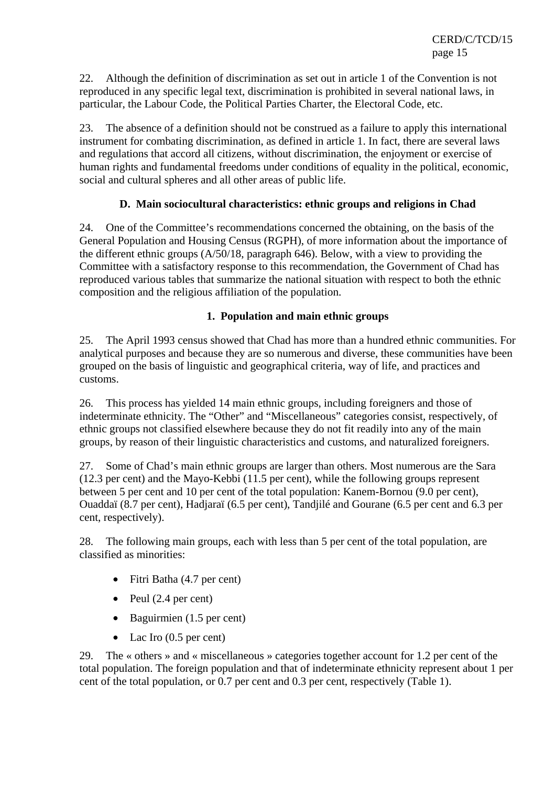22. Although the definition of discrimination as set out in article 1 of the Convention is not reproduced in any specific legal text, discrimination is prohibited in several national laws, in particular, the Labour Code, the Political Parties Charter, the Electoral Code, etc.

23. The absence of a definition should not be construed as a failure to apply this international instrument for combating discrimination, as defined in article 1. In fact, there are several laws and regulations that accord all citizens, without discrimination, the enjoyment or exercise of human rights and fundamental freedoms under conditions of equality in the political, economic, social and cultural spheres and all other areas of public life.

## **D. Main sociocultural characteristics: ethnic groups and religions in Chad**

24. One of the Committee's recommendations concerned the obtaining, on the basis of the General Population and Housing Census (RGPH), of more information about the importance of the different ethnic groups (A/50/18, paragraph 646). Below, with a view to providing the Committee with a satisfactory response to this recommendation, the Government of Chad has reproduced various tables that summarize the national situation with respect to both the ethnic composition and the religious affiliation of the population.

## **1. Population and main ethnic groups**

25. The April 1993 census showed that Chad has more than a hundred ethnic communities. For analytical purposes and because they are so numerous and diverse, these communities have been grouped on the basis of linguistic and geographical criteria, way of life, and practices and customs.

26. This process has yielded 14 main ethnic groups, including foreigners and those of indeterminate ethnicity. The "Other" and "Miscellaneous" categories consist, respectively, of ethnic groups not classified elsewhere because they do not fit readily into any of the main groups, by reason of their linguistic characteristics and customs, and naturalized foreigners.

27. Some of Chad's main ethnic groups are larger than others. Most numerous are the Sara (12.3 per cent) and the Mayo-Kebbi (11.5 per cent), while the following groups represent between 5 per cent and 10 per cent of the total population: Kanem-Bornou (9.0 per cent), Ouaddaï (8.7 per cent), Hadjaraï (6.5 per cent), Tandjilé and Gourane (6.5 per cent and 6.3 per cent, respectively).

28. The following main groups, each with less than 5 per cent of the total population, are classified as minorities:

- Fitri Batha (4.7 per cent)
- Peul  $(2.4 \text{ per cent})$
- Baguirmien (1.5 per cent)
- Lac Iro (0.5 per cent)

29. The « others » and « miscellaneous » categories together account for 1.2 per cent of the total population. The foreign population and that of indeterminate ethnicity represent about 1 per cent of the total population, or 0.7 per cent and 0.3 per cent, respectively (Table 1).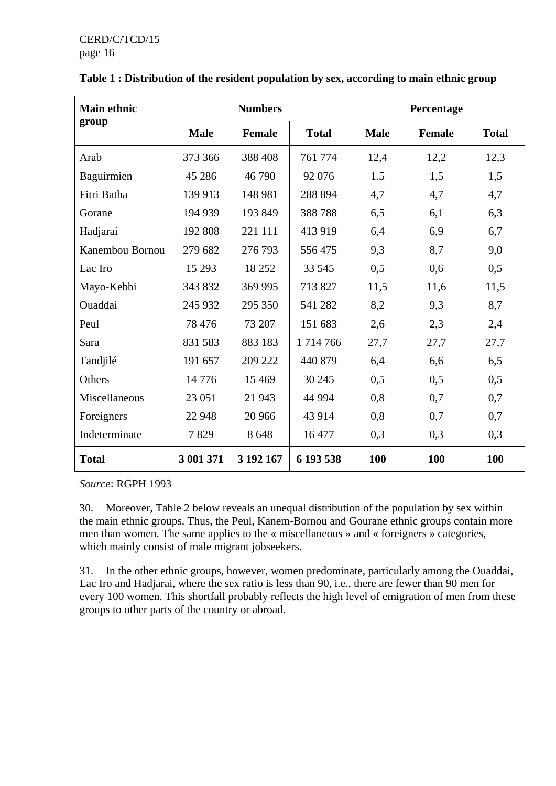| <b>Main ethnic</b> | <b>Numbers</b> |               |               | Percentage  |               |              |  |
|--------------------|----------------|---------------|---------------|-------------|---------------|--------------|--|
| group              | <b>Male</b>    | <b>Female</b> | <b>Total</b>  | <b>Male</b> | <b>Female</b> | <b>Total</b> |  |
| Arab               | 373 366        | 388 408       | 761 774       | 12,4        | 12,2          | 12,3         |  |
| Baguirmien         | 45 28 6        | 46790         | 92 076        | 1.5         | 1,5           | 1,5          |  |
| Fitri Batha        | 139 913        | 148 981       | 288 894       | 4,7         | 4,7           | 4,7          |  |
| Gorane             | 194 939        | 193 849       | 388788        | 6,5         | 6,1           | 6,3          |  |
| Hadjarai           | 192 808        | 221 111       | 413 919       | 6,4         | 6,9           | 6,7          |  |
| Kanembou Bornou    | 279 682        | 276 793       | 556475        | 9,3         | 8,7           | 9,0          |  |
| Lac Iro            | 15 29 3        | 18 25 2       | 33 545        | 0,5         | 0,6           | 0,5          |  |
| Mayo-Kebbi         | 343 832        | 369 995       | 713 827       | 11,5        | 11,6          | 11,5         |  |
| Ouaddai            | 245 932        | 295 350       | 541 282       | 8,2         | 9,3           | 8,7          |  |
| Peul               | 78 476         | 73 207        | 151 683       | 2,6         | 2,3           | 2,4          |  |
| Sara               | 831 583        | 883 183       | 1 7 1 4 7 6 6 | 27,7        | 27,7          | 27,7         |  |
| Tandjilé           | 191 657        | 209 222       | 440 879       | 6,4         | 6,6           | 6,5          |  |
| Others             | 14776          | 15 4 69       | 30 245        | 0,5         | 0,5           | 0,5          |  |
| Miscellaneous      | 23 051         | 21 943        | 44 9 94       | 0,8         | 0,7           | 0,7          |  |
| Foreigners         | 22 948         | 20 966        | 43 914        | 0,8         | 0,7           | 0,7          |  |
| Indeterminate      | 7829           | 8648          | 16 477        | 0,3         | 0,3           | 0,3          |  |
| <b>Total</b>       | 3 001 371      | 3 192 167     | 6 193 538     | 100         | 100           | 100          |  |

|  |  | Table 1 : Distribution of the resident population by sex, according to main ethnic group |
|--|--|------------------------------------------------------------------------------------------|
|  |  |                                                                                          |

*Source*: RGPH 1993

30. Moreover, Table 2 below reveals an unequal distribution of the population by sex within the main ethnic groups. Thus, the Peul, Kanem-Bornou and Gourane ethnic groups contain more men than women. The same applies to the « miscellaneous » and « foreigners » categories, which mainly consist of male migrant jobseekers.

31. In the other ethnic groups, however, women predominate, particularly among the Ouaddai, Lac Iro and Hadjarai, where the sex ratio is less than 90, i.e., there are fewer than 90 men for every 100 women. This shortfall probably reflects the high level of emigration of men from these groups to other parts of the country or abroad.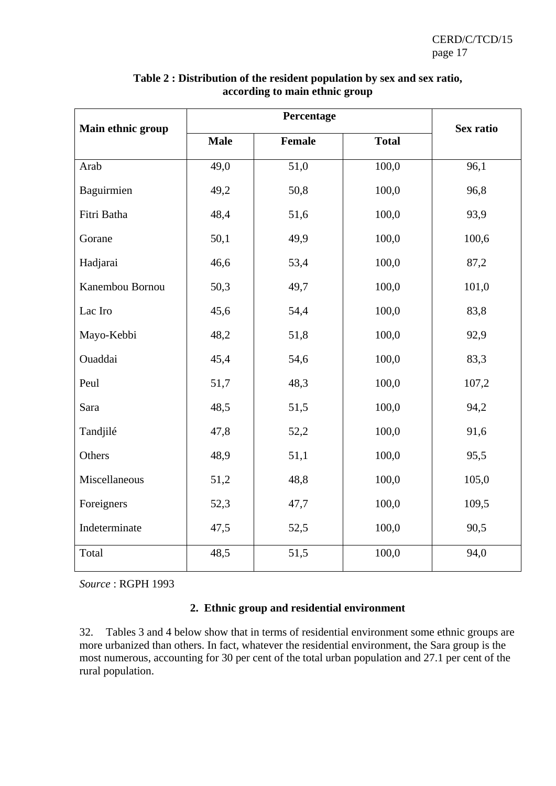| Main ethnic group |             | Sex ratio     |                    |       |
|-------------------|-------------|---------------|--------------------|-------|
|                   | <b>Male</b> | <b>Female</b> | <b>Total</b>       |       |
| Arab              | 49,0        | 51,0          | $\overline{100,0}$ | 96,1  |
| Baguirmien        | 49,2        | 50,8          | 100,0              | 96,8  |
| Fitri Batha       | 48,4        | 51,6          | 100,0              | 93,9  |
| Gorane            | 50,1        | 49,9          | 100,0              | 100,6 |
| Hadjarai          | 46,6        | 53,4          | 100,0              | 87,2  |
| Kanembou Bornou   | 50,3        | 49,7          | 100,0              | 101,0 |
| Lac Iro           | 45,6        | 54,4          | 100,0              | 83,8  |
| Mayo-Kebbi        | 48,2        | 51,8          | 100,0              | 92,9  |
| Ouaddai           | 45,4        | 54,6          | 100,0              | 83,3  |
| Peul              | 51,7        | 48,3          | 100,0              | 107,2 |
| Sara              | 48,5        | 51,5          | 100,0              | 94,2  |
| Tandjilé          | 47,8        | 52,2          | 100,0              | 91,6  |
| Others            | 48,9        | 51,1          | 100,0              | 95,5  |
| Miscellaneous     | 51,2        | 48,8          | 100,0              | 105,0 |
| Foreigners        | 52,3        | 47,7          | 100,0              | 109,5 |
| Indeterminate     | 47,5        | 52,5          | 100,0              | 90,5  |
| Total             | 48,5        | 51,5          | 100,0              | 94,0  |

#### **Table 2 : Distribution of the resident population by sex and sex ratio, according to main ethnic group**

*Source* : RGPH 1993

# **2. Ethnic group and residential environment**

32. Tables 3 and 4 below show that in terms of residential environment some ethnic groups are more urbanized than others. In fact, whatever the residential environment, the Sara group is the most numerous, accounting for 30 per cent of the total urban population and 27.1 per cent of the rural population.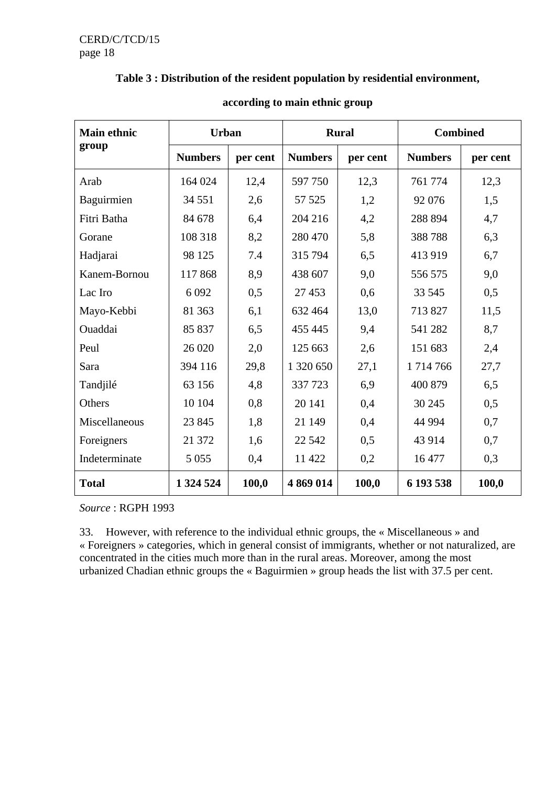#### **Table 3 : Distribution of the resident population by residential environment,**

| <b>Main ethnic</b> | <b>Urban</b>   |          | <b>Rural</b>   |          | <b>Combined</b> |          |
|--------------------|----------------|----------|----------------|----------|-----------------|----------|
| group              | <b>Numbers</b> | per cent | <b>Numbers</b> | per cent | <b>Numbers</b>  | per cent |
| Arab               | 164 024        | 12,4     | 597 750        | 12,3     | 761 774         | 12,3     |
| Baguirmien         | 34 551         | 2,6      | 57 525         | 1,2      | 92 076          | 1,5      |
| Fitri Batha        | 84 678         | 6,4      | 204 216        | 4,2      | 288 894         | 4,7      |
| Gorane             | 108 318        | 8,2      | 280 470        | 5,8      | 388788          | 6,3      |
| Hadjarai           | 98 1 25        | 7.4      | 315 794        | 6,5      | 413 919         | 6,7      |
| Kanem-Bornou       | 117868         | 8,9      | 438 607        | 9,0      | 556 575         | 9,0      |
| Lac Iro            | 6 0 9 2        | 0,5      | 27 453         | 0,6      | 33 545          | 0,5      |
| Mayo-Kebbi         | 81 363         | 6,1      | 632 464        | 13,0     | 713827          | 11,5     |
| Ouaddai            | 85 837         | 6,5      | 455 445        | 9,4      | 541 282         | 8,7      |
| Peul               | 26 0 20        | 2,0      | 125 663        | 2,6      | 151 683         | 2,4      |
| Sara               | 394 116        | 29,8     | 1 320 650      | 27,1     | 1714766         | 27,7     |
| Tandjilé           | 63 156         | 4,8      | 337 723        | 6,9      | 400 879         | 6,5      |
| Others             | 10 104         | 0,8      | 20 14 1        | 0,4      | 30 245          | 0,5      |
| Miscellaneous      | 23 845         | 1,8      | 21 149         | 0,4      | 44 9 94         | 0,7      |
| Foreigners         | 21 372         | 1,6      | 22 5 42        | 0,5      | 43 914          | 0,7      |
| Indeterminate      | 5 0 5 5        | 0,4      | 11 422         | 0,2      | 16 477          | 0,3      |
| <b>Total</b>       | 1 324 524      | 100,0    | 4 869 014      | 100,0    | 6 193 538       | 100,0    |

#### **according to main ethnic group**

*Source* : RGPH 1993

33. However, with reference to the individual ethnic groups, the « Miscellaneous » and « Foreigners » categories, which in general consist of immigrants, whether or not naturalized, are concentrated in the cities much more than in the rural areas. Moreover, among the most urbanized Chadian ethnic groups the « Baguirmien » group heads the list with 37.5 per cent.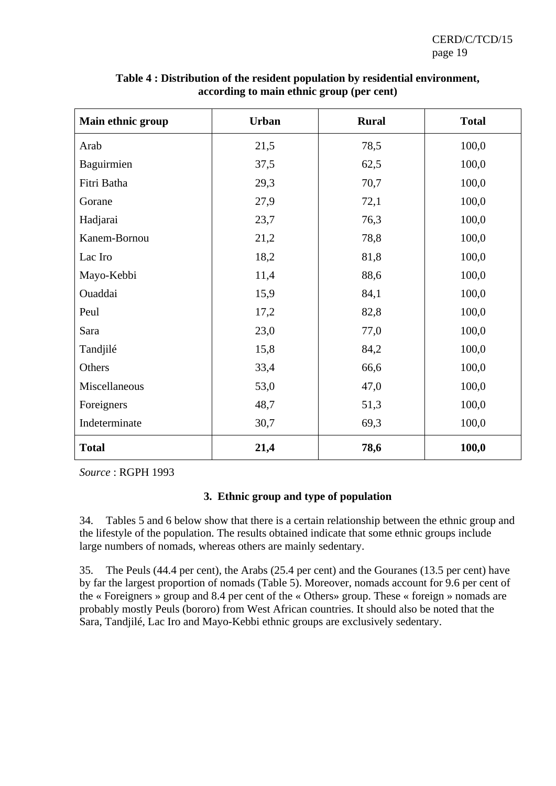| Main ethnic group | <b>Urban</b> | <b>Rural</b> | <b>Total</b> |
|-------------------|--------------|--------------|--------------|
| Arab              | 21,5         | 78,5         | 100,0        |
| Baguirmien        | 37,5         | 62,5         | 100,0        |
| Fitri Batha       | 29,3         | 70,7         | 100,0        |
| Gorane            | 27,9         | 72,1         | 100,0        |
| Hadjarai          | 23,7         | 76,3         | 100,0        |
| Kanem-Bornou      | 21,2         | 78,8         | 100,0        |
| Lac Iro           | 18,2         | 81,8         | 100,0        |
| Mayo-Kebbi        | 11,4         | 88,6         | 100,0        |
| Ouaddai           | 15,9         | 84,1         | 100,0        |
| Peul              | 17,2         | 82,8         | 100,0        |
| Sara              | 23,0         | 77,0         | 100,0        |
| Tandjilé          | 15,8         | 84,2         | 100,0        |
| Others            | 33,4         | 66,6         | 100,0        |
| Miscellaneous     | 53,0         | 47,0         | 100,0        |
| Foreigners        | 48,7         | 51,3         | 100,0        |
| Indeterminate     | 30,7         | 69,3         | 100,0        |
| <b>Total</b>      | 21,4         | 78,6         | 100,0        |

**Table 4 : Distribution of the resident population by residential environment, according to main ethnic group (per cent)** 

*Source* : RGPH 1993

## **3. Ethnic group and type of population**

34. Tables 5 and 6 below show that there is a certain relationship between the ethnic group and the lifestyle of the population. The results obtained indicate that some ethnic groups include large numbers of nomads, whereas others are mainly sedentary.

35. The Peuls (44.4 per cent), the Arabs (25.4 per cent) and the Gouranes (13.5 per cent) have by far the largest proportion of nomads (Table 5). Moreover, nomads account for 9.6 per cent of the « Foreigners » group and 8.4 per cent of the « Others» group. These « foreign » nomads are probably mostly Peuls (bororo) from West African countries. It should also be noted that the Sara, Tandjilé, Lac Iro and Mayo-Kebbi ethnic groups are exclusively sedentary.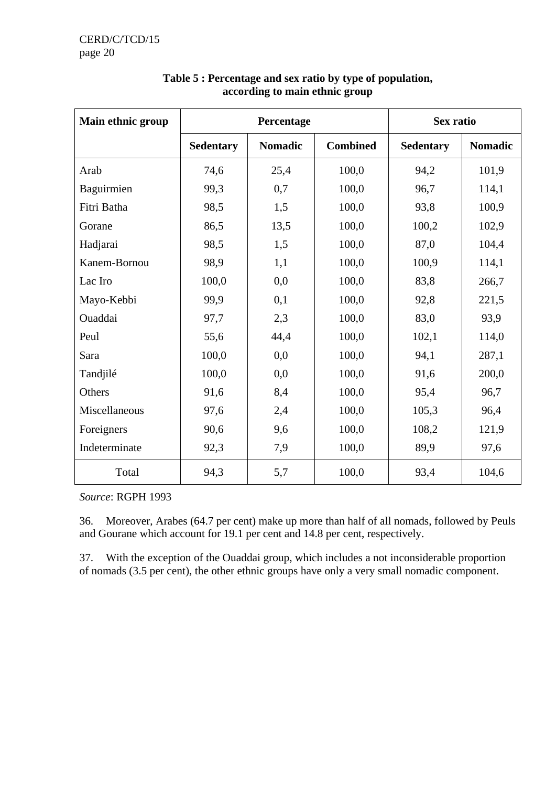| Main ethnic group |                  | Percentage     |                 |                  | Sex ratio      |
|-------------------|------------------|----------------|-----------------|------------------|----------------|
|                   | <b>Sedentary</b> | <b>Nomadic</b> | <b>Combined</b> | <b>Sedentary</b> | <b>Nomadic</b> |
| Arab              | 74,6             | 25,4           | 100,0           | 94,2             | 101,9          |
| Baguirmien        | 99,3             | 0,7            | 100,0           | 96,7             | 114,1          |
| Fitri Batha       | 98,5             | 1,5            | 100,0           | 93,8             | 100,9          |
| Gorane            | 86,5             | 13,5           | 100,0           | 100,2            | 102,9          |
| Hadjarai          | 98,5             | 1,5            | 100,0           | 87,0             | 104,4          |
| Kanem-Bornou      | 98,9             | 1,1            | 100,0           | 100,9            | 114,1          |
| Lac Iro           | 100,0            | 0,0            | 100,0           | 83,8             | 266,7          |
| Mayo-Kebbi        | 99,9             | 0,1            | 100,0           | 92,8             | 221,5          |
| Ouaddai           | 97,7             | 2,3            | 100,0           | 83,0             | 93,9           |
| Peul              | 55,6             | 44,4           | 100,0           | 102,1            | 114,0          |
| Sara              | 100,0            | 0,0            | 100,0           | 94,1             | 287,1          |
| Tandjilé          | 100,0            | 0,0            | 100,0           | 91,6             | 200,0          |
| Others            | 91,6             | 8,4            | 100,0           | 95,4             | 96,7           |
| Miscellaneous     | 97,6             | 2,4            | 100,0           | 105,3            | 96,4           |
| Foreigners        | 90,6             | 9,6            | 100,0           | 108,2            | 121,9          |
| Indeterminate     | 92,3             | 7,9            | 100,0           | 89,9             | 97,6           |
| Total             | 94,3             | 5,7            | 100,0           | 93,4             | 104,6          |

# **Table 5 : Percentage and sex ratio by type of population, according to main ethnic group**

*Source*: RGPH 1993

36. Moreover, Arabes (64.7 per cent) make up more than half of all nomads, followed by Peuls and Gourane which account for 19.1 per cent and 14.8 per cent, respectively.

37. With the exception of the Ouaddai group, which includes a not inconsiderable proportion of nomads (3.5 per cent), the other ethnic groups have only a very small nomadic component.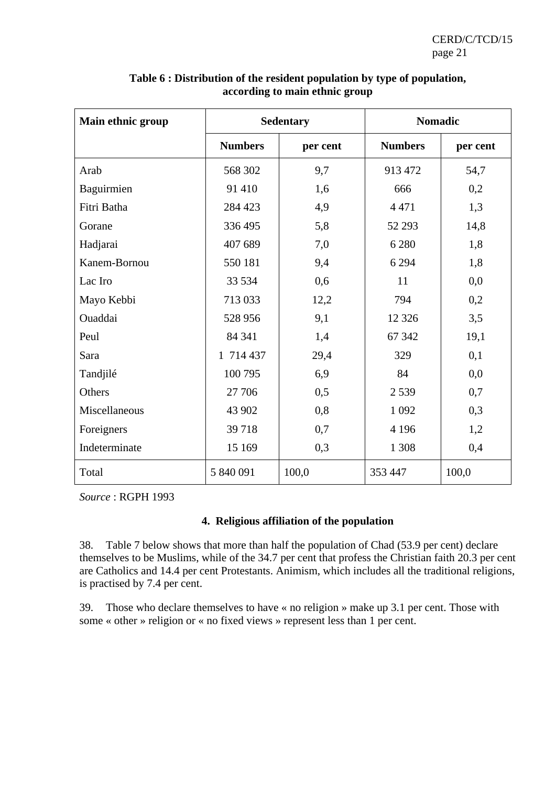| Main ethnic group |                | <b>Sedentary</b> | <b>Nomadic</b> |          |
|-------------------|----------------|------------------|----------------|----------|
|                   | <b>Numbers</b> | per cent         | <b>Numbers</b> | per cent |
| Arab              | 568 302        | 9,7              | 913 472        | 54,7     |
| Baguirmien        | 91 410         | 1,6              | 666            | 0,2      |
| Fitri Batha       | 284 423        | 4,9              | 4 4 7 1        | 1,3      |
| Gorane            | 336 495        | 5,8              | 52 293         | 14,8     |
| Hadjarai          | 407 689        | 7,0              | 6 2 8 0        | 1,8      |
| Kanem-Bornou      | 550 181        | 9,4              | 6 2 9 4        | 1,8      |
| Lac Iro           | 33 5 34        | 0,6              | 11             | 0,0      |
| Mayo Kebbi        | 713 033        | 12,2             | 794            | 0,2      |
| Ouaddai           | 528 956        | 9,1              | 12 3 26        | 3,5      |
| Peul              | 84 341         | 1,4              | 67 342         | 19,1     |
| Sara              | 1 714 437      | 29,4             | 329            | 0,1      |
| Tandjilé          | 100 795        | 6,9              | 84             | 0,0      |
| Others            | 27 706         | 0,5              | 2 5 3 9        | 0,7      |
| Miscellaneous     | 43 902         | 0,8              | 1 0 9 2        | 0,3      |
| Foreigners        | 39718          | 0,7              | 4 1 9 6        | 1,2      |
| Indeterminate     | 15 169         | 0,3              | 1 3 0 8        | 0,4      |
| Total             | 5 840 091      | 100,0            | 353 447        | 100,0    |

**Table 6 : Distribution of the resident population by type of population, according to main ethnic group** 

*Source* : RGPH 1993

## **4. Religious affiliation of the population**

38. Table 7 below shows that more than half the population of Chad (53.9 per cent) declare themselves to be Muslims, while of the 34.7 per cent that profess the Christian faith 20.3 per cent are Catholics and 14.4 per cent Protestants. Animism, which includes all the traditional religions, is practised by 7.4 per cent.

39. Those who declare themselves to have « no religion » make up 3.1 per cent. Those with some « other » religion or « no fixed views » represent less than 1 per cent.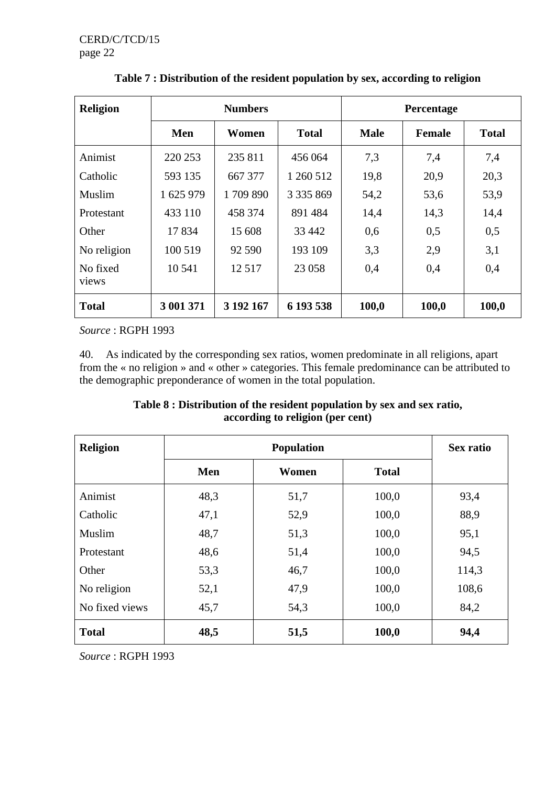| <b>Religion</b>   | <b>Numbers</b> |           |               | Percentage  |        |              |  |
|-------------------|----------------|-----------|---------------|-------------|--------|--------------|--|
|                   | Men            | Women     | <b>Total</b>  | <b>Male</b> | Female | <b>Total</b> |  |
| Animist           | 220 253        | 235 811   | 456 064       | 7,3         | 7,4    | 7,4          |  |
| Catholic          | 593 135        | 667 377   | 1 260 512     | 19,8        | 20,9   | 20,3         |  |
| Muslim            | 1 625 979      | 1709 890  | 3 3 3 5 8 6 9 | 54,2        | 53,6   | 53,9         |  |
| Protestant        | 433 110        | 458 374   | 891 484       | 14,4        | 14,3   | 14,4         |  |
| Other             | 17834          | 15 608    | 33 442        | 0,6         | 0,5    | 0,5          |  |
| No religion       | 100 519        | 92 590    | 193 109       | 3,3         | 2,9    | 3,1          |  |
| No fixed<br>views | 10 541         | 12517     | 23 058        | 0,4         | 0,4    | 0,4          |  |
| <b>Total</b>      | 3 001 371      | 3 192 167 | 6 193 538     | 100,0       | 100,0  | 100,0        |  |

**Table 7 : Distribution of the resident population by sex, according to religion** 

*Source* : RGPH 1993

40. As indicated by the corresponding sex ratios, women predominate in all religions, apart from the « no religion » and « other » categories. This female predominance can be attributed to the demographic preponderance of women in the total population.

## **Table 8 : Distribution of the resident population by sex and sex ratio, according to religion (per cent)**

| <b>Religion</b> |      | <b>Sex ratio</b> |              |       |
|-----------------|------|------------------|--------------|-------|
|                 | Men  | Women            | <b>Total</b> |       |
| Animist         | 48,3 | 51,7             | 100,0        | 93,4  |
| Catholic        | 47,1 | 52,9             | 100,0        | 88,9  |
| Muslim          | 48,7 | 51,3             | 100,0        | 95,1  |
| Protestant      | 48,6 | 51,4             | 100,0        | 94,5  |
| Other           | 53,3 | 46,7             | 100,0        | 114,3 |
| No religion     | 52,1 | 47,9             | 100,0        | 108,6 |
| No fixed views  | 45,7 | 54,3             | 100,0        | 84,2  |
| <b>Total</b>    | 48,5 | 51,5             | 100,0        | 94,4  |

*Source* : RGPH 1993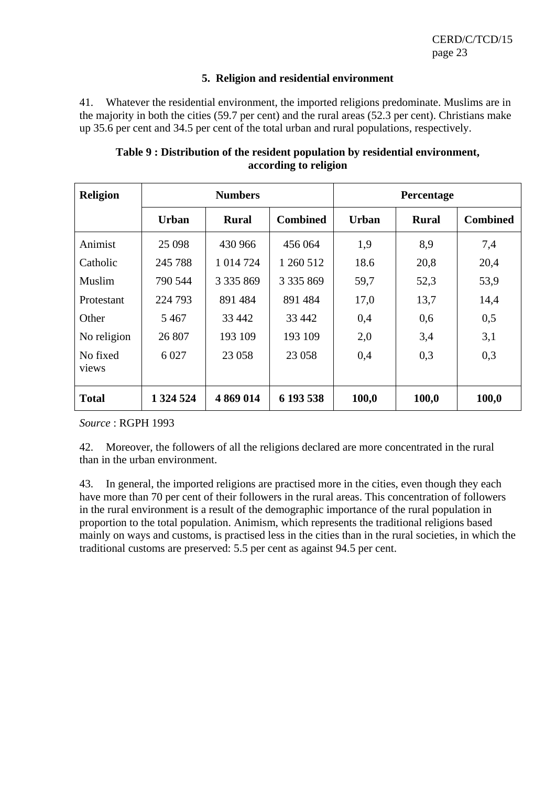#### **5. Religion and residential environment**

41. Whatever the residential environment, the imported religions predominate. Muslims are in the majority in both the cities (59.7 per cent) and the rural areas (52.3 per cent). Christians make up 35.6 per cent and 34.5 per cent of the total urban and rural populations, respectively.

| <b>Religion</b>   | <b>Numbers</b> |               |                 | Percentage   |              |                 |  |
|-------------------|----------------|---------------|-----------------|--------------|--------------|-----------------|--|
|                   | <b>Urban</b>   | <b>Rural</b>  | <b>Combined</b> | <b>Urban</b> | <b>Rural</b> | <b>Combined</b> |  |
| Animist           | 25 0 98        | 430 966       | 456 064         | 1,9          | 8,9          | 7,4             |  |
| Catholic          | 245 788        | 1 014 724     | 1 260 512       | 18.6         | 20,8         | 20,4            |  |
| Muslim            | 790 544        | 3 3 3 5 8 6 9 | 3 3 3 5 8 6 9   | 59,7         | 52,3         | 53,9            |  |
| Protestant        | 224 793        | 891 484       | 891 484         | 17,0         | 13,7         | 14,4            |  |
| Other             | 5467           | 33 442        | 33 442          | 0,4          | 0,6          | 0,5             |  |
| No religion       | 26 807         | 193 109       | 193 109         | 2,0          | 3,4          | 3,1             |  |
| No fixed<br>views | 6 0 27         | 23 058        | 23 058          | 0,4          | 0,3          | 0,3             |  |
| <b>Total</b>      | 1 324 524      | 4 869 014     | 6 193 538       | 100,0        | 100,0        | 100,0           |  |

## **Table 9 : Distribution of the resident population by residential environment, according to religion**

*Source* : RGPH 1993

42. Moreover, the followers of all the religions declared are more concentrated in the rural than in the urban environment.

43. In general, the imported religions are practised more in the cities, even though they each have more than 70 per cent of their followers in the rural areas. This concentration of followers in the rural environment is a result of the demographic importance of the rural population in proportion to the total population. Animism, which represents the traditional religions based mainly on ways and customs, is practised less in the cities than in the rural societies, in which the traditional customs are preserved: 5.5 per cent as against 94.5 per cent.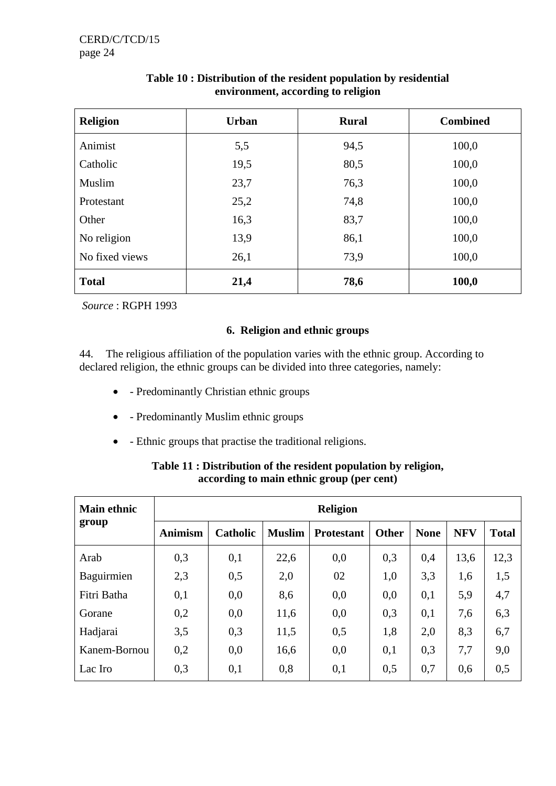| <b>Religion</b> | <b>Urban</b> | <b>Rural</b> | <b>Combined</b> |
|-----------------|--------------|--------------|-----------------|
| Animist         | 5,5          | 94,5         | 100,0           |
| Catholic        | 19,5         | 80,5         | 100,0           |
| Muslim          | 23,7         | 76,3         | 100,0           |
| Protestant      | 25,2         | 74,8         | 100,0           |
| Other           | 16,3         | 83,7         | 100,0           |
| No religion     | 13,9         | 86,1         | 100,0           |
| No fixed views  | 26,1         | 73,9         | 100,0           |
| <b>Total</b>    | 21,4         | 78,6         | 100,0           |

# **Table 10 : Distribution of the resident population by residential environment, according to religion**

*Source* : RGPH 1993

## **6. Religion and ethnic groups**

44. The religious affiliation of the population varies with the ethnic group. According to declared religion, the ethnic groups can be divided into three categories, namely:

- - Predominantly Christian ethnic groups
- - Predominantly Muslim ethnic groups
- - Ethnic groups that practise the traditional religions.

| <b>Main ethnic</b><br>group |                | <b>Religion</b> |               |                   |              |             |            |              |  |  |
|-----------------------------|----------------|-----------------|---------------|-------------------|--------------|-------------|------------|--------------|--|--|
|                             | <b>Animism</b> | <b>Catholic</b> | <b>Muslim</b> | <b>Protestant</b> | <b>Other</b> | <b>None</b> | <b>NFV</b> | <b>Total</b> |  |  |
| Arab                        | 0,3            | 0,1             | 22,6          | 0,0               | 0,3          | 0,4         | 13,6       | 12,3         |  |  |
| Baguirmien                  | 2,3            | 0,5             | 2,0           | 02                | 1,0          | 3,3         | 1,6        | 1,5          |  |  |
| Fitri Batha                 | 0,1            | 0,0             | 8,6           | 0,0               | 0,0          | 0,1         | 5,9        | 4,7          |  |  |
| Gorane                      | 0,2            | 0,0             | 11,6          | 0,0               | 0,3          | 0,1         | 7,6        | 6,3          |  |  |
| Hadjarai                    | 3,5            | 0,3             | 11,5          | 0,5               | 1,8          | 2,0         | 8,3        | 6,7          |  |  |
| Kanem-Bornou                | 0,2            | 0,0             | 16,6          | 0,0               | 0,1          | 0,3         | 7,7        | 9,0          |  |  |
| Lac Iro                     | 0,3            | 0,1             | 0,8           | 0,1               | 0,5          | 0,7         | 0,6        | 0,5          |  |  |

# **Table 11 : Distribution of the resident population by religion, according to main ethnic group (per cent)**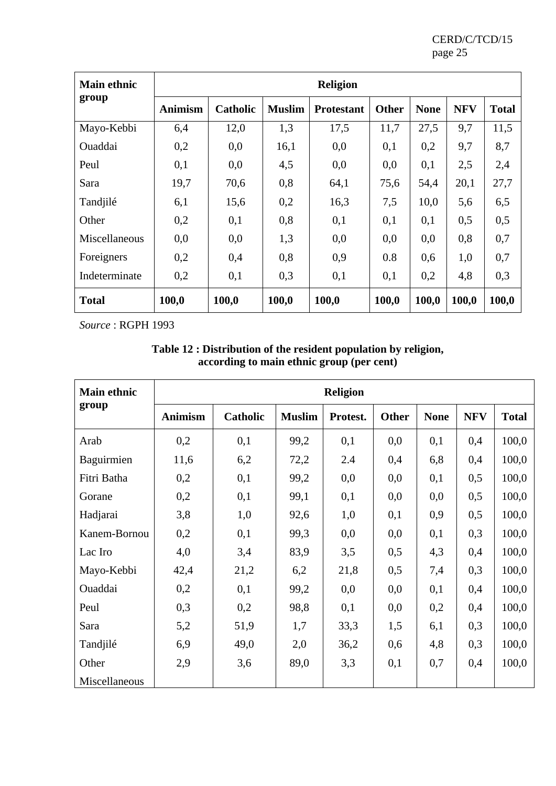| <b>Main ethnic</b> |                | <b>Religion</b> |               |                   |              |             |            |              |  |
|--------------------|----------------|-----------------|---------------|-------------------|--------------|-------------|------------|--------------|--|
| group              | <b>Animism</b> | Catholic        | <b>Muslim</b> | <b>Protestant</b> | <b>Other</b> | <b>None</b> | <b>NFV</b> | <b>Total</b> |  |
| Mayo-Kebbi         | 6,4            | 12,0            | 1,3           | 17,5              | 11,7         | 27,5        | 9,7        | 11,5         |  |
| Ouaddai            | 0,2            | 0,0             | 16,1          | 0,0               | 0,1          | 0,2         | 9,7        | 8,7          |  |
| Peul               | 0,1            | 0,0             | 4,5           | 0,0               | 0,0          | 0,1         | 2,5        | 2,4          |  |
| Sara               | 19,7           | 70,6            | 0,8           | 64,1              | 75,6         | 54,4        | 20,1       | 27,7         |  |
| Tandjilé           | 6,1            | 15,6            | 0,2           | 16,3              | 7,5          | 10,0        | 5,6        | 6,5          |  |
| Other              | 0,2            | 0,1             | 0,8           | 0,1               | 0,1          | 0,1         | 0,5        | 0,5          |  |
| Miscellaneous      | 0,0            | 0,0             | 1,3           | 0,0               | 0,0          | 0,0         | 0,8        | 0,7          |  |
| Foreigners         | 0,2            | 0,4             | 0,8           | 0,9               | 0.8          | 0,6         | 1,0        | 0,7          |  |
| Indeterminate      | 0,2            | 0,1             | 0,3           | 0,1               | 0,1          | 0,2         | 4,8        | 0,3          |  |
| <b>Total</b>       | 100,0          | 100,0           | 100,0         | 100,0             | 100,0        | 100,0       | 100,0      | 100,0        |  |

*Source* : RGPH 1993

| Table 12 : Distribution of the resident population by religion, |  |
|-----------------------------------------------------------------|--|
| according to main ethnic group (per cent)                       |  |

| <b>Main ethnic</b> |                |                 |               | <b>Religion</b> |              |             |            |              |
|--------------------|----------------|-----------------|---------------|-----------------|--------------|-------------|------------|--------------|
| group              | <b>Animism</b> | <b>Catholic</b> | <b>Muslim</b> | Protest.        | <b>Other</b> | <b>None</b> | <b>NFV</b> | <b>Total</b> |
| Arab               | 0,2            | 0,1             | 99,2          | 0,1             | 0,0          | 0,1         | 0,4        | 100,0        |
| Baguirmien         | 11,6           | 6,2             | 72,2          | 2.4             | 0,4          | 6,8         | 0,4        | 100,0        |
| Fitri Batha        | 0,2            | 0,1             | 99,2          | 0,0             | 0,0          | 0,1         | 0,5        | 100,0        |
| Gorane             | 0,2            | 0,1             | 99,1          | 0,1             | 0,0          | 0,0         | 0,5        | 100,0        |
| Hadjarai           | 3,8            | 1,0             | 92,6          | 1,0             | 0,1          | 0,9         | 0,5        | 100,0        |
| Kanem-Bornou       | 0,2            | 0,1             | 99,3          | 0,0             | 0,0          | 0,1         | 0,3        | 100,0        |
| Lac Iro            | 4,0            | 3,4             | 83,9          | 3,5             | 0,5          | 4,3         | 0,4        | 100,0        |
| Mayo-Kebbi         | 42,4           | 21,2            | 6,2           | 21,8            | 0,5          | 7,4         | 0,3        | 100,0        |
| Ouaddai            | 0,2            | 0,1             | 99,2          | 0,0             | 0,0          | 0,1         | 0,4        | 100,0        |
| Peul               | 0,3            | 0,2             | 98,8          | 0,1             | 0,0          | 0,2         | 0,4        | 100,0        |
| Sara               | 5,2            | 51,9            | 1,7           | 33,3            | 1,5          | 6,1         | 0,3        | 100,0        |
| Tandjilé           | 6,9            | 49,0            | 2,0           | 36,2            | 0,6          | 4,8         | 0,3        | 100,0        |
| Other              | 2,9            | 3,6             | 89,0          | 3,3             | 0,1          | 0,7         | 0,4        | 100,0        |
| Miscellaneous      |                |                 |               |                 |              |             |            |              |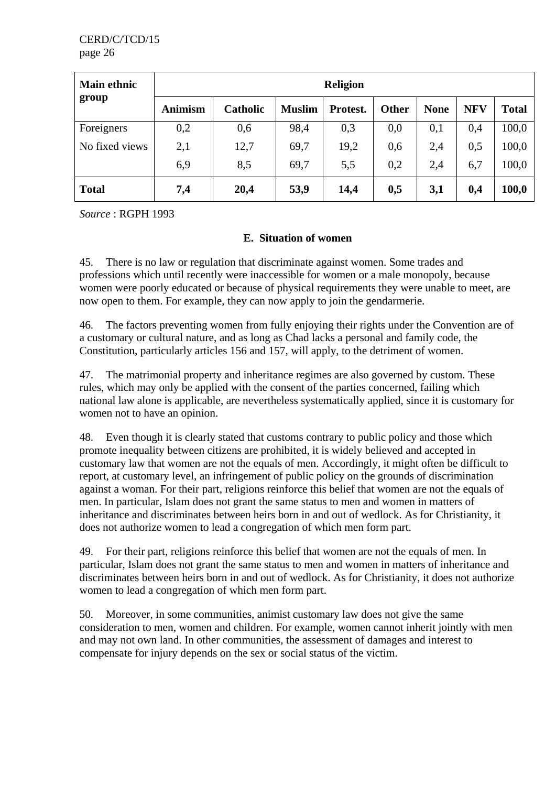| <b>Main ethnic</b><br>group |                | <b>Religion</b> |               |          |       |             |            |              |  |  |
|-----------------------------|----------------|-----------------|---------------|----------|-------|-------------|------------|--------------|--|--|
|                             | <b>Animism</b> | <b>Catholic</b> | <b>Muslim</b> | Protest. | Other | <b>None</b> | <b>NFV</b> | <b>Total</b> |  |  |
| Foreigners                  | 0,2            | 0,6             | 98,4          | 0,3      | 0,0   | 0,1         | 0,4        | 100,0        |  |  |
| No fixed views              | 2,1            | 12,7            | 69,7          | 19,2     | 0,6   | 2,4         | 0,5        | 100,0        |  |  |
|                             | 6,9            | 8,5             | 69,7          | 5,5      | 0.2   | 2,4         | 6,7        | 100,0        |  |  |
| <b>Total</b>                | 7,4            | 20,4            | 53,9          | 14,4     | 0,5   | 3,1         | 0,4        | 100,0        |  |  |

*Source* : RGPH 1993

## **E. Situation of women**

45. There is no law or regulation that discriminate against women. Some trades and professions which until recently were inaccessible for women or a male monopoly, because women were poorly educated or because of physical requirements they were unable to meet, are now open to them. For example, they can now apply to join the gendarmerie.

46. The factors preventing women from fully enjoying their rights under the Convention are of a customary or cultural nature, and as long as Chad lacks a personal and family code, the Constitution, particularly articles 156 and 157, will apply, to the detriment of women.

47. The matrimonial property and inheritance regimes are also governed by custom. These rules, which may only be applied with the consent of the parties concerned, failing which national law alone is applicable, are nevertheless systematically applied, since it is customary for women not to have an opinion.

48. Even though it is clearly stated that customs contrary to public policy and those which promote inequality between citizens are prohibited, it is widely believed and accepted in customary law that women are not the equals of men. Accordingly, it might often be difficult to report, at customary level, an infringement of public policy on the grounds of discrimination against a woman. For their part, religions reinforce this belief that women are not the equals of men. In particular, Islam does not grant the same status to men and women in matters of inheritance and discriminates between heirs born in and out of wedlock. As for Christianity, it does not authorize women to lead a congregation of which men form part.

49. For their part, religions reinforce this belief that women are not the equals of men. In particular, Islam does not grant the same status to men and women in matters of inheritance and discriminates between heirs born in and out of wedlock. As for Christianity, it does not authorize women to lead a congregation of which men form part.

50. Moreover, in some communities, animist customary law does not give the same consideration to men, women and children. For example, women cannot inherit jointly with men and may not own land. In other communities, the assessment of damages and interest to compensate for injury depends on the sex or social status of the victim.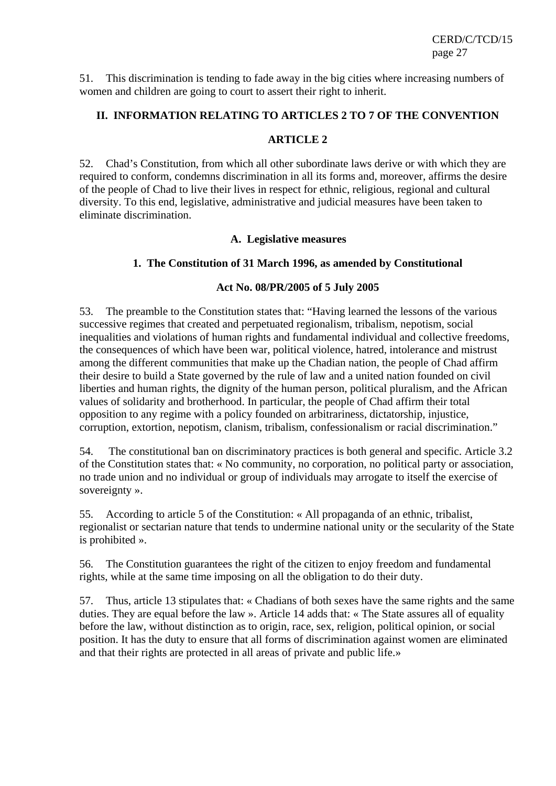51. This discrimination is tending to fade away in the big cities where increasing numbers of women and children are going to court to assert their right to inherit.

#### **II. INFORMATION RELATING TO ARTICLES 2 TO 7 OF THE CONVENTION**

#### **ARTICLE 2**

52. Chad's Constitution, from which all other subordinate laws derive or with which they are required to conform, condemns discrimination in all its forms and, moreover, affirms the desire of the people of Chad to live their lives in respect for ethnic, religious, regional and cultural diversity. To this end, legislative, administrative and judicial measures have been taken to eliminate discrimination.

#### **A. Legislative measures**

#### **1. The Constitution of 31 March 1996, as amended by Constitutional**

#### **Act No. 08/PR/2005 of 5 July 2005**

53. The preamble to the Constitution states that: "Having learned the lessons of the various successive regimes that created and perpetuated regionalism, tribalism, nepotism, social inequalities and violations of human rights and fundamental individual and collective freedoms, the consequences of which have been war, political violence, hatred, intolerance and mistrust among the different communities that make up the Chadian nation, the people of Chad affirm their desire to build a State governed by the rule of law and a united nation founded on civil liberties and human rights, the dignity of the human person, political pluralism, and the African values of solidarity and brotherhood. In particular, the people of Chad affirm their total opposition to any regime with a policy founded on arbitrariness, dictatorship, injustice, corruption, extortion, nepotism, clanism, tribalism, confessionalism or racial discrimination."

54. The constitutional ban on discriminatory practices is both general and specific. Article 3.2 of the Constitution states that: « No community, no corporation, no political party or association, no trade union and no individual or group of individuals may arrogate to itself the exercise of sovereignty ».

55. According to article 5 of the Constitution: « All propaganda of an ethnic, tribalist, regionalist or sectarian nature that tends to undermine national unity or the secularity of the State is prohibited ».

56. The Constitution guarantees the right of the citizen to enjoy freedom and fundamental rights, while at the same time imposing on all the obligation to do their duty.

57. Thus, article 13 stipulates that: « Chadians of both sexes have the same rights and the same duties. They are equal before the law ». Article 14 adds that: « The State assures all of equality before the law, without distinction as to origin, race, sex, religion, political opinion, or social position. It has the duty to ensure that all forms of discrimination against women are eliminated and that their rights are protected in all areas of private and public life.»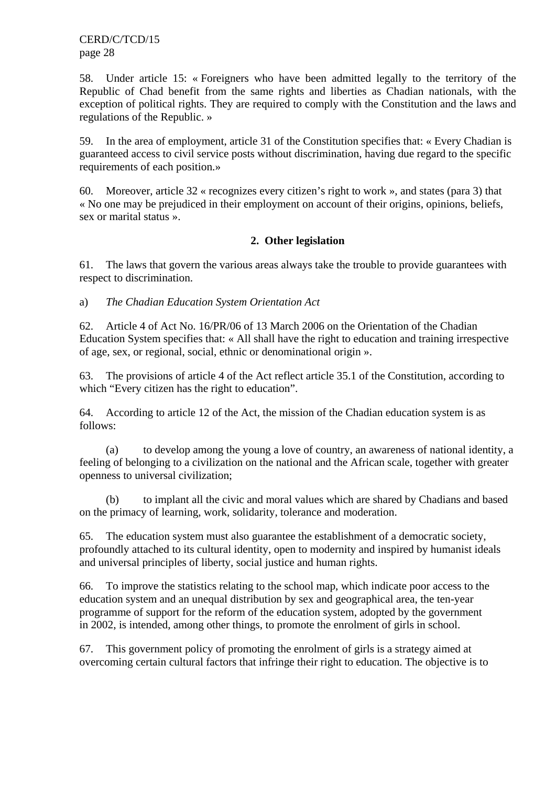58. Under article 15: « Foreigners who have been admitted legally to the territory of the Republic of Chad benefit from the same rights and liberties as Chadian nationals, with the exception of political rights. They are required to comply with the Constitution and the laws and regulations of the Republic. »

59. In the area of employment, article 31 of the Constitution specifies that: « Every Chadian is guaranteed access to civil service posts without discrimination, having due regard to the specific requirements of each position.»

60. Moreover, article 32 « recognizes every citizen's right to work », and states (para 3) that « No one may be prejudiced in their employment on account of their origins, opinions, beliefs, sex or marital status ».

## **2. Other legislation**

61. The laws that govern the various areas always take the trouble to provide guarantees with respect to discrimination.

a) *The Chadian Education System Orientation Act* 

62. Article 4 of Act No. 16/PR/06 of 13 March 2006 on the Orientation of the Chadian Education System specifies that: « All shall have the right to education and training irrespective of age, sex, or regional, social, ethnic or denominational origin ».

63. The provisions of article 4 of the Act reflect article 35.1 of the Constitution, according to which "Every citizen has the right to education".

64. According to article 12 of the Act, the mission of the Chadian education system is as follows:

(a) to develop among the young a love of country, an awareness of national identity, a feeling of belonging to a civilization on the national and the African scale, together with greater openness to universal civilization;

(b) to implant all the civic and moral values which are shared by Chadians and based on the primacy of learning, work, solidarity, tolerance and moderation.

65. The education system must also guarantee the establishment of a democratic society, profoundly attached to its cultural identity, open to modernity and inspired by humanist ideals and universal principles of liberty, social justice and human rights.

66. To improve the statistics relating to the school map, which indicate poor access to the education system and an unequal distribution by sex and geographical area, the ten-year programme of support for the reform of the education system, adopted by the government in 2002, is intended, among other things, to promote the enrolment of girls in school.

67. This government policy of promoting the enrolment of girls is a strategy aimed at overcoming certain cultural factors that infringe their right to education. The objective is to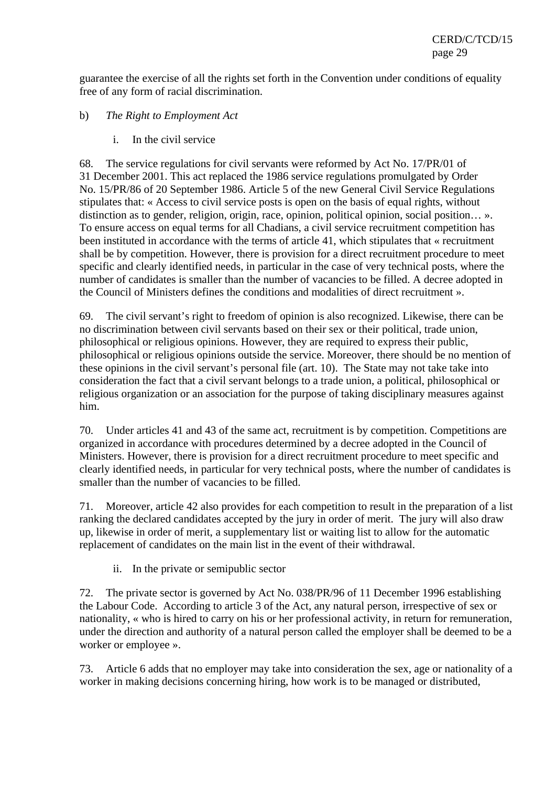guarantee the exercise of all the rights set forth in the Convention under conditions of equality free of any form of racial discrimination.

#### b) *The Right to Employment Act*

i. In the civil service

68. The service regulations for civil servants were reformed by Act No. 17/PR/01 of 31 December 2001. This act replaced the 1986 service regulations promulgated by Order No. 15/PR/86 of 20 September 1986. Article 5 of the new General Civil Service Regulations stipulates that: « Access to civil service posts is open on the basis of equal rights, without distinction as to gender, religion, origin, race, opinion, political opinion, social position… ». To ensure access on equal terms for all Chadians, a civil service recruitment competition has been instituted in accordance with the terms of article 41, which stipulates that « recruitment shall be by competition. However, there is provision for a direct recruitment procedure to meet specific and clearly identified needs, in particular in the case of very technical posts, where the number of candidates is smaller than the number of vacancies to be filled. A decree adopted in the Council of Ministers defines the conditions and modalities of direct recruitment ».

69. The civil servant's right to freedom of opinion is also recognized. Likewise, there can be no discrimination between civil servants based on their sex or their political, trade union, philosophical or religious opinions. However, they are required to express their public, philosophical or religious opinions outside the service. Moreover, there should be no mention of these opinions in the civil servant's personal file (art. 10). The State may not take take into consideration the fact that a civil servant belongs to a trade union, a political, philosophical or religious organization or an association for the purpose of taking disciplinary measures against him.

70. Under articles 41 and 43 of the same act, recruitment is by competition. Competitions are organized in accordance with procedures determined by a decree adopted in the Council of Ministers. However, there is provision for a direct recruitment procedure to meet specific and clearly identified needs, in particular for very technical posts, where the number of candidates is smaller than the number of vacancies to be filled.

71. Moreover, article 42 also provides for each competition to result in the preparation of a list ranking the declared candidates accepted by the jury in order of merit. The jury will also draw up, likewise in order of merit, a supplementary list or waiting list to allow for the automatic replacement of candidates on the main list in the event of their withdrawal.

ii. In the private or semipublic sector

72. The private sector is governed by Act No. 038/PR/96 of 11 December 1996 establishing the Labour Code. According to article 3 of the Act, any natural person, irrespective of sex or nationality, « who is hired to carry on his or her professional activity, in return for remuneration, under the direction and authority of a natural person called the employer shall be deemed to be a worker or employee ».

73. Article 6 adds that no employer may take into consideration the sex, age or nationality of a worker in making decisions concerning hiring, how work is to be managed or distributed,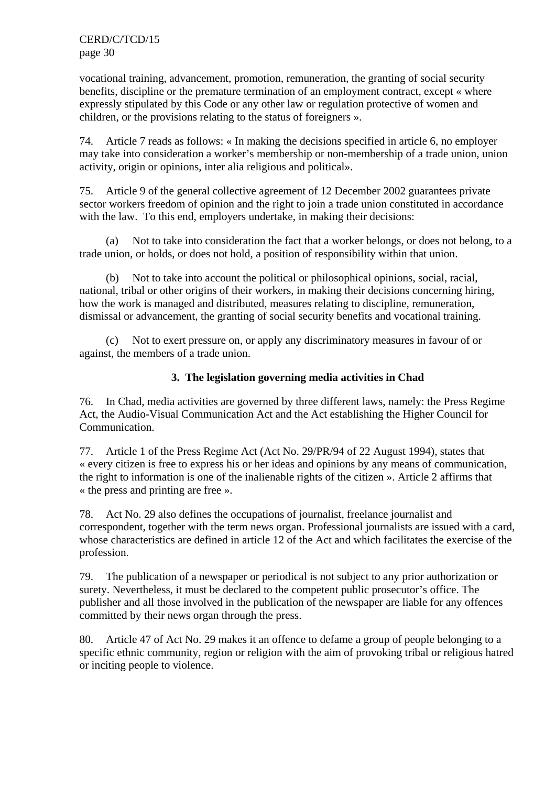vocational training, advancement, promotion, remuneration, the granting of social security benefits, discipline or the premature termination of an employment contract, except « where expressly stipulated by this Code or any other law or regulation protective of women and children, or the provisions relating to the status of foreigners ».

74. Article 7 reads as follows: « In making the decisions specified in article 6, no employer may take into consideration a worker's membership or non-membership of a trade union, union activity, origin or opinions, inter alia religious and political».

75. Article 9 of the general collective agreement of 12 December 2002 guarantees private sector workers freedom of opinion and the right to join a trade union constituted in accordance with the law. To this end, employers undertake, in making their decisions:

(a) Not to take into consideration the fact that a worker belongs, or does not belong, to a trade union, or holds, or does not hold, a position of responsibility within that union.

(b) Not to take into account the political or philosophical opinions, social, racial, national, tribal or other origins of their workers, in making their decisions concerning hiring, how the work is managed and distributed, measures relating to discipline, remuneration, dismissal or advancement, the granting of social security benefits and vocational training.

(c) Not to exert pressure on, or apply any discriminatory measures in favour of or against, the members of a trade union.

## **3. The legislation governing media activities in Chad**

76. In Chad, media activities are governed by three different laws, namely: the Press Regime Act, the Audio-Visual Communication Act and the Act establishing the Higher Council for Communication.

77. Article 1 of the Press Regime Act (Act No. 29/PR/94 of 22 August 1994), states that « every citizen is free to express his or her ideas and opinions by any means of communication, the right to information is one of the inalienable rights of the citizen ». Article 2 affirms that « the press and printing are free ».

78. Act No. 29 also defines the occupations of journalist, freelance journalist and correspondent, together with the term news organ. Professional journalists are issued with a card, whose characteristics are defined in article 12 of the Act and which facilitates the exercise of the profession.

79. The publication of a newspaper or periodical is not subject to any prior authorization or surety. Nevertheless, it must be declared to the competent public prosecutor's office. The publisher and all those involved in the publication of the newspaper are liable for any offences committed by their news organ through the press.

80. Article 47 of Act No. 29 makes it an offence to defame a group of people belonging to a specific ethnic community, region or religion with the aim of provoking tribal or religious hatred or inciting people to violence.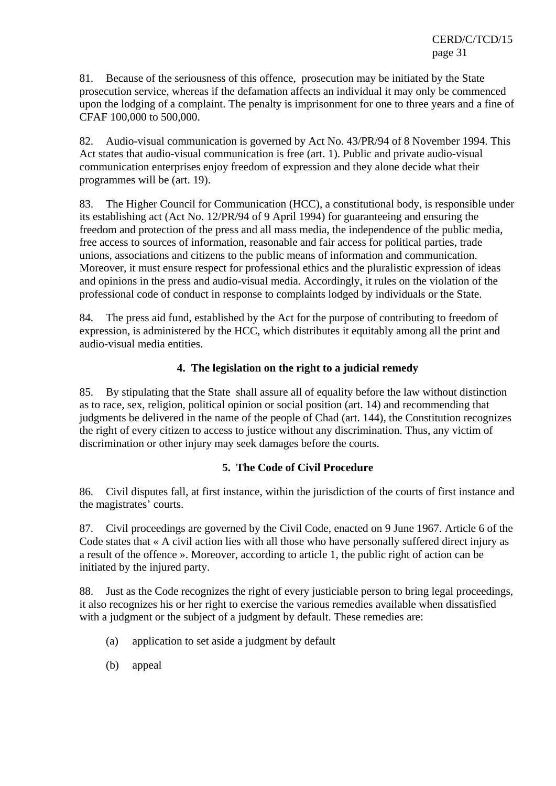81. Because of the seriousness of this offence, prosecution may be initiated by the State prosecution service, whereas if the defamation affects an individual it may only be commenced upon the lodging of a complaint. The penalty is imprisonment for one to three years and a fine of CFAF 100,000 to 500,000.

82. Audio-visual communication is governed by Act No. 43/PR/94 of 8 November 1994. This Act states that audio-visual communication is free (art. 1). Public and private audio-visual communication enterprises enjoy freedom of expression and they alone decide what their programmes will be (art. 19).

83. The Higher Council for Communication (HCC), a constitutional body, is responsible under its establishing act (Act No. 12/PR/94 of 9 April 1994) for guaranteeing and ensuring the freedom and protection of the press and all mass media, the independence of the public media, free access to sources of information, reasonable and fair access for political parties, trade unions, associations and citizens to the public means of information and communication. Moreover, it must ensure respect for professional ethics and the pluralistic expression of ideas and opinions in the press and audio-visual media. Accordingly, it rules on the violation of the professional code of conduct in response to complaints lodged by individuals or the State.

84. The press aid fund, established by the Act for the purpose of contributing to freedom of expression, is administered by the HCC, which distributes it equitably among all the print and audio-visual media entities.

## **4. The legislation on the right to a judicial remedy**

85. By stipulating that the State shall assure all of equality before the law without distinction as to race, sex, religion, political opinion or social position (art. 14) and recommending that judgments be delivered in the name of the people of Chad (art. 144), the Constitution recognizes the right of every citizen to access to justice without any discrimination. Thus, any victim of discrimination or other injury may seek damages before the courts.

## **5. The Code of Civil Procedure**

86. Civil disputes fall, at first instance, within the jurisdiction of the courts of first instance and the magistrates' courts.

87. Civil proceedings are governed by the Civil Code, enacted on 9 June 1967. Article 6 of the Code states that « A civil action lies with all those who have personally suffered direct injury as a result of the offence ». Moreover, according to article 1, the public right of action can be initiated by the injured party.

88. Just as the Code recognizes the right of every justiciable person to bring legal proceedings, it also recognizes his or her right to exercise the various remedies available when dissatisfied with a judgment or the subject of a judgment by default. These remedies are:

- (a) application to set aside a judgment by default
- (b) appeal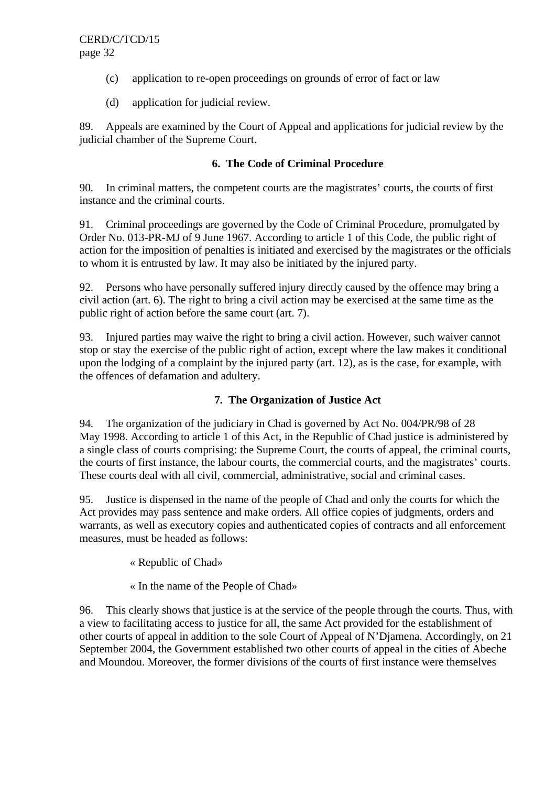- (c) application to re-open proceedings on grounds of error of fact or law
- (d) application for judicial review.

89. Appeals are examined by the Court of Appeal and applications for judicial review by the judicial chamber of the Supreme Court.

## **6. The Code of Criminal Procedure**

90. In criminal matters, the competent courts are the magistrates' courts, the courts of first instance and the criminal courts.

91. Criminal proceedings are governed by the Code of Criminal Procedure, promulgated by Order No. 013-PR-MJ of 9 June 1967. According to article 1 of this Code, the public right of action for the imposition of penalties is initiated and exercised by the magistrates or the officials to whom it is entrusted by law. It may also be initiated by the injured party.

92. Persons who have personally suffered injury directly caused by the offence may bring a civil action (art. 6). The right to bring a civil action may be exercised at the same time as the public right of action before the same court (art. 7).

93. Injured parties may waive the right to bring a civil action. However, such waiver cannot stop or stay the exercise of the public right of action, except where the law makes it conditional upon the lodging of a complaint by the injured party (art. 12), as is the case, for example, with the offences of defamation and adultery.

# **7. The Organization of Justice Act**

94. The organization of the judiciary in Chad is governed by Act No. 004/PR/98 of 28 May 1998. According to article 1 of this Act, in the Republic of Chad justice is administered by a single class of courts comprising: the Supreme Court, the courts of appeal, the criminal courts, the courts of first instance, the labour courts, the commercial courts, and the magistrates' courts. These courts deal with all civil, commercial, administrative, social and criminal cases.

95. Justice is dispensed in the name of the people of Chad and only the courts for which the Act provides may pass sentence and make orders. All office copies of judgments, orders and warrants, as well as executory copies and authenticated copies of contracts and all enforcement measures, must be headed as follows:

« Republic of Chad»

« In the name of the People of Chad»

96. This clearly shows that justice is at the service of the people through the courts. Thus, with a view to facilitating access to justice for all, the same Act provided for the establishment of other courts of appeal in addition to the sole Court of Appeal of N'Djamena. Accordingly, on 21 September 2004, the Government established two other courts of appeal in the cities of Abeche and Moundou. Moreover, the former divisions of the courts of first instance were themselves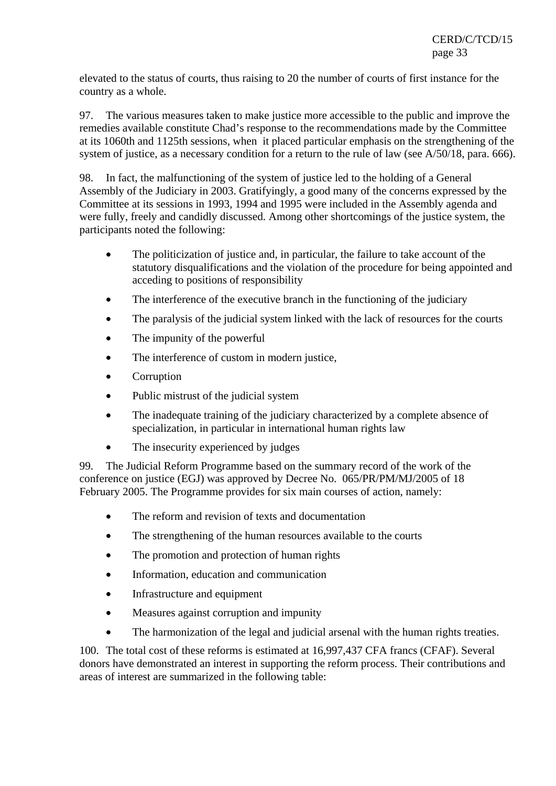elevated to the status of courts, thus raising to 20 the number of courts of first instance for the country as a whole.

97. The various measures taken to make justice more accessible to the public and improve the remedies available constitute Chad's response to the recommendations made by the Committee at its 1060th and 1125th sessions, when it placed particular emphasis on the strengthening of the system of justice, as a necessary condition for a return to the rule of law (see A/50/18, para. 666).

98. In fact, the malfunctioning of the system of justice led to the holding of a General Assembly of the Judiciary in 2003. Gratifyingly, a good many of the concerns expressed by the Committee at its sessions in 1993, 1994 and 1995 were included in the Assembly agenda and were fully, freely and candidly discussed. Among other shortcomings of the justice system, the participants noted the following:

- The politicization of justice and, in particular, the failure to take account of the statutory disqualifications and the violation of the procedure for being appointed and acceding to positions of responsibility
- The interference of the executive branch in the functioning of the judiciary
- The paralysis of the judicial system linked with the lack of resources for the courts
- The impunity of the powerful
- The interference of custom in modern justice,
- Corruption
- Public mistrust of the judicial system
- The inadequate training of the judiciary characterized by a complete absence of specialization, in particular in international human rights law
- The insecurity experienced by judges

99. The Judicial Reform Programme based on the summary record of the work of the conference on justice (EGJ) was approved by Decree No. 065/PR/PM/MJ/2005 of 18 February 2005. The Programme provides for six main courses of action, namely:

- The reform and revision of texts and documentation
- The strengthening of the human resources available to the courts
- The promotion and protection of human rights
- Information, education and communication
- Infrastructure and equipment
- Measures against corruption and impunity
- The harmonization of the legal and judicial arsenal with the human rights treaties.

100. The total cost of these reforms is estimated at 16,997,437 CFA francs (CFAF). Several donors have demonstrated an interest in supporting the reform process. Their contributions and areas of interest are summarized in the following table: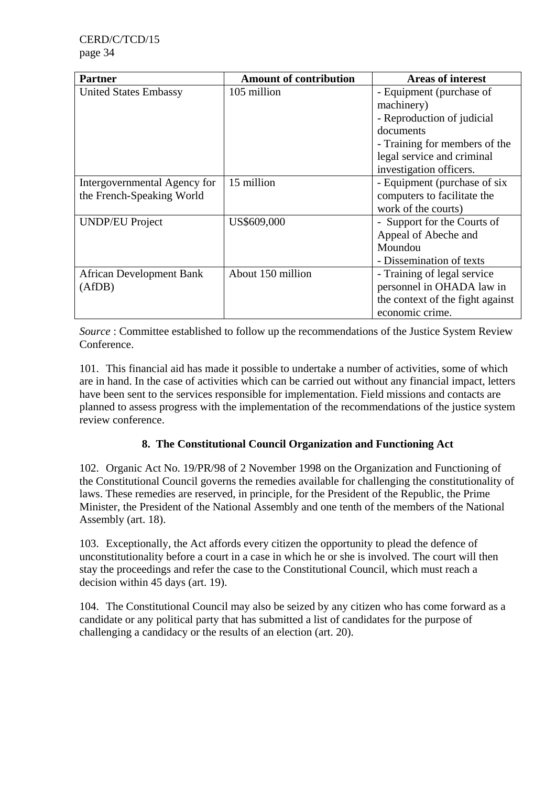| <b>Partner</b>                  | <b>Amount of contribution</b> | <b>Areas of interest</b>         |
|---------------------------------|-------------------------------|----------------------------------|
| <b>United States Embassy</b>    | 105 million                   | - Equipment (purchase of         |
|                                 |                               | machinery)                       |
|                                 |                               | - Reproduction of judicial       |
|                                 |                               | documents                        |
|                                 |                               | - Training for members of the    |
|                                 |                               | legal service and criminal       |
|                                 |                               | investigation officers.          |
| Intergovernmental Agency for    | 15 million                    | - Equipment (purchase of six)    |
| the French-Speaking World       |                               | computers to facilitate the      |
|                                 |                               | work of the courts)              |
| <b>UNDP/EU Project</b>          | US\$609,000                   | - Support for the Courts of      |
|                                 |                               | Appeal of Abeche and             |
|                                 |                               | Moundou                          |
|                                 |                               | - Dissemination of texts         |
| <b>African Development Bank</b> | About 150 million             | - Training of legal service      |
| (AfDB)                          |                               | personnel in OHADA law in        |
|                                 |                               | the context of the fight against |
|                                 |                               | economic crime.                  |

*Source* : Committee established to follow up the recommendations of the Justice System Review Conference.

101. This financial aid has made it possible to undertake a number of activities, some of which are in hand. In the case of activities which can be carried out without any financial impact, letters have been sent to the services responsible for implementation. Field missions and contacts are planned to assess progress with the implementation of the recommendations of the justice system review conference.

# **8. The Constitutional Council Organization and Functioning Act**

102. Organic Act No. 19/PR/98 of 2 November 1998 on the Organization and Functioning of the Constitutional Council governs the remedies available for challenging the constitutionality of laws. These remedies are reserved, in principle, for the President of the Republic, the Prime Minister, the President of the National Assembly and one tenth of the members of the National Assembly (art. 18).

103. Exceptionally, the Act affords every citizen the opportunity to plead the defence of unconstitutionality before a court in a case in which he or she is involved. The court will then stay the proceedings and refer the case to the Constitutional Council, which must reach a decision within 45 days (art. 19).

104. The Constitutional Council may also be seized by any citizen who has come forward as a candidate or any political party that has submitted a list of candidates for the purpose of challenging a candidacy or the results of an election (art. 20).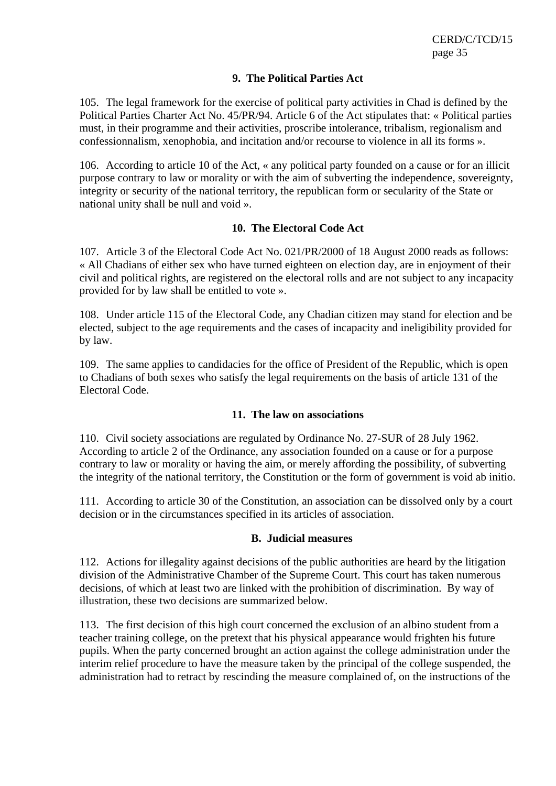#### **9. The Political Parties Act**

105. The legal framework for the exercise of political party activities in Chad is defined by the Political Parties Charter Act No. 45/PR/94. Article 6 of the Act stipulates that: « Political parties must, in their programme and their activities, proscribe intolerance, tribalism, regionalism and confessionnalism, xenophobia, and incitation and/or recourse to violence in all its forms ».

106. According to article 10 of the Act, « any political party founded on a cause or for an illicit purpose contrary to law or morality or with the aim of subverting the independence, sovereignty, integrity or security of the national territory, the republican form or secularity of the State or national unity shall be null and void ».

#### **10. The Electoral Code Act**

107. Article 3 of the Electoral Code Act No. 021/PR/2000 of 18 August 2000 reads as follows: « All Chadians of either sex who have turned eighteen on election day, are in enjoyment of their civil and political rights, are registered on the electoral rolls and are not subject to any incapacity provided for by law shall be entitled to vote ».

108. Under article 115 of the Electoral Code, any Chadian citizen may stand for election and be elected, subject to the age requirements and the cases of incapacity and ineligibility provided for by law.

109. The same applies to candidacies for the office of President of the Republic, which is open to Chadians of both sexes who satisfy the legal requirements on the basis of article 131 of the Electoral Code.

#### **11. The law on associations**

110. Civil society associations are regulated by Ordinance No. 27-SUR of 28 July 1962. According to article 2 of the Ordinance, any association founded on a cause or for a purpose contrary to law or morality or having the aim, or merely affording the possibility, of subverting the integrity of the national territory, the Constitution or the form of government is void ab initio.

111. According to article 30 of the Constitution, an association can be dissolved only by a court decision or in the circumstances specified in its articles of association.

#### **B. Judicial measures**

112. Actions for illegality against decisions of the public authorities are heard by the litigation division of the Administrative Chamber of the Supreme Court. This court has taken numerous decisions, of which at least two are linked with the prohibition of discrimination. By way of illustration, these two decisions are summarized below.

113. The first decision of this high court concerned the exclusion of an albino student from a teacher training college, on the pretext that his physical appearance would frighten his future pupils. When the party concerned brought an action against the college administration under the interim relief procedure to have the measure taken by the principal of the college suspended, the administration had to retract by rescinding the measure complained of, on the instructions of the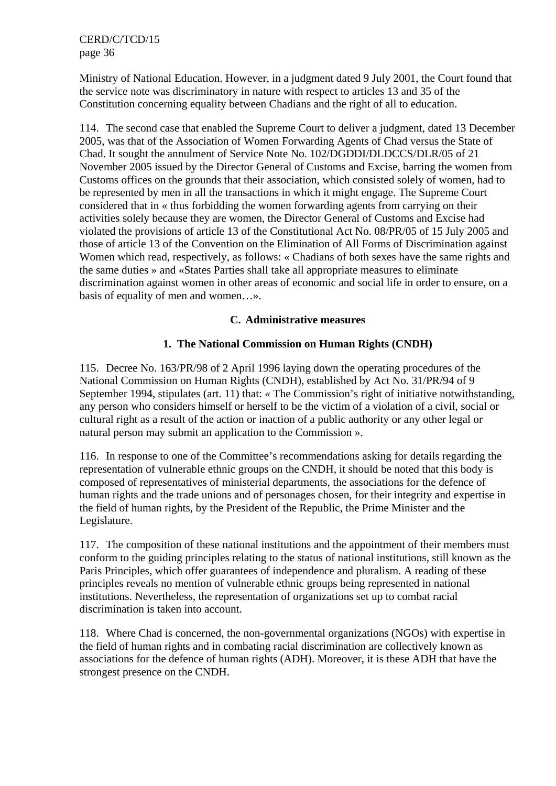Ministry of National Education. However, in a judgment dated 9 July 2001, the Court found that the service note was discriminatory in nature with respect to articles 13 and 35 of the Constitution concerning equality between Chadians and the right of all to education.

114. The second case that enabled the Supreme Court to deliver a judgment, dated 13 December 2005, was that of the Association of Women Forwarding Agents of Chad versus the State of Chad. It sought the annulment of Service Note No. 102/DGDDI/DLDCCS/DLR/05 of 21 November 2005 issued by the Director General of Customs and Excise, barring the women from Customs offices on the grounds that their association, which consisted solely of women, had to be represented by men in all the transactions in which it might engage. The Supreme Court considered that in « thus forbidding the women forwarding agents from carrying on their activities solely because they are women, the Director General of Customs and Excise had violated the provisions of article 13 of the Constitutional Act No. 08/PR/05 of 15 July 2005 and those of article 13 of the Convention on the Elimination of All Forms of Discrimination against Women which read, respectively, as follows: « Chadians of both sexes have the same rights and the same duties » and «States Parties shall take all appropriate measures to eliminate discrimination against women in other areas of economic and social life in order to ensure, on a basis of equality of men and women…».

#### **C. Administrative measures**

## **1. The National Commission on Human Rights (CNDH)**

115. Decree No. 163/PR/98 of 2 April 1996 laying down the operating procedures of the National Commission on Human Rights (CNDH), established by Act No. 31/PR/94 of 9 September 1994, stipulates (art. 11) that: *«* The Commission's right of initiative notwithstanding, any person who considers himself or herself to be the victim of a violation of a civil, social or cultural right as a result of the action or inaction of a public authority or any other legal or natural person may submit an application to the Commission ».

116. In response to one of the Committee's recommendations asking for details regarding the representation of vulnerable ethnic groups on the CNDH, it should be noted that this body is composed of representatives of ministerial departments, the associations for the defence of human rights and the trade unions and of personages chosen, for their integrity and expertise in the field of human rights, by the President of the Republic, the Prime Minister and the Legislature.

117. The composition of these national institutions and the appointment of their members must conform to the guiding principles relating to the status of national institutions, still known as the Paris Principles, which offer guarantees of independence and pluralism. A reading of these principles reveals no mention of vulnerable ethnic groups being represented in national institutions. Nevertheless, the representation of organizations set up to combat racial discrimination is taken into account.

118. Where Chad is concerned, the non-governmental organizations (NGOs) with expertise in the field of human rights and in combating racial discrimination are collectively known as associations for the defence of human rights (ADH). Moreover, it is these ADH that have the strongest presence on the CNDH.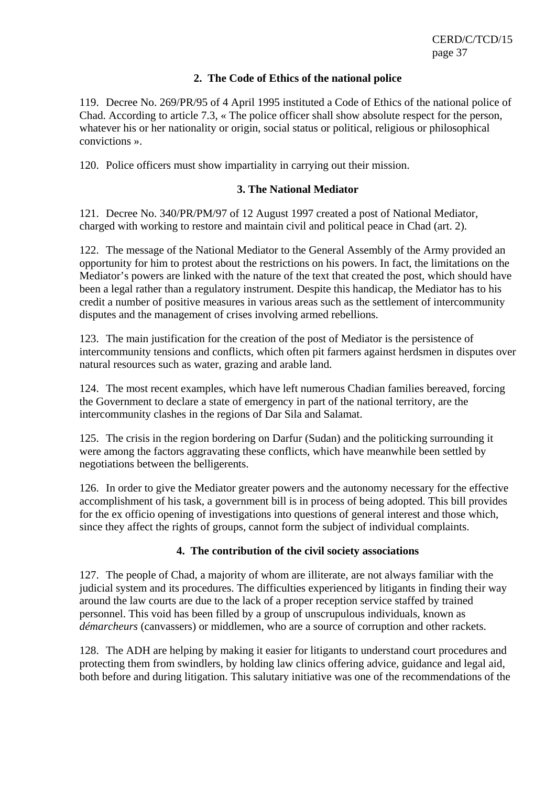#### **2. The Code of Ethics of the national police**

119. Decree No. 269/PR/95 of 4 April 1995 instituted a Code of Ethics of the national police of Chad. According to article 7.3, « The police officer shall show absolute respect for the person, whatever his or her nationality or origin, social status or political, religious or philosophical convictions ».

120. Police officers must show impartiality in carrying out their mission.

#### **3. The National Mediator**

121. Decree No. 340/PR/PM/97 of 12 August 1997 created a post of National Mediator, charged with working to restore and maintain civil and political peace in Chad (art. 2).

122. The message of the National Mediator to the General Assembly of the Army provided an opportunity for him to protest about the restrictions on his powers. In fact, the limitations on the Mediator's powers are linked with the nature of the text that created the post, which should have been a legal rather than a regulatory instrument. Despite this handicap, the Mediator has to his credit a number of positive measures in various areas such as the settlement of intercommunity disputes and the management of crises involving armed rebellions.

123. The main justification for the creation of the post of Mediator is the persistence of intercommunity tensions and conflicts, which often pit farmers against herdsmen in disputes over natural resources such as water, grazing and arable land.

124. The most recent examples, which have left numerous Chadian families bereaved, forcing the Government to declare a state of emergency in part of the national territory, are the intercommunity clashes in the regions of Dar Sila and Salamat.

125. The crisis in the region bordering on Darfur (Sudan) and the politicking surrounding it were among the factors aggravating these conflicts, which have meanwhile been settled by negotiations between the belligerents.

126. In order to give the Mediator greater powers and the autonomy necessary for the effective accomplishment of his task, a government bill is in process of being adopted. This bill provides for the ex officio opening of investigations into questions of general interest and those which, since they affect the rights of groups, cannot form the subject of individual complaints.

#### **4. The contribution of the civil society associations**

127. The people of Chad, a majority of whom are illiterate, are not always familiar with the judicial system and its procedures. The difficulties experienced by litigants in finding their way around the law courts are due to the lack of a proper reception service staffed by trained personnel. This void has been filled by a group of unscrupulous individuals, known as *démarcheurs* (canvassers) or middlemen, who are a source of corruption and other rackets.

128. The ADH are helping by making it easier for litigants to understand court procedures and protecting them from swindlers, by holding law clinics offering advice, guidance and legal aid, both before and during litigation. This salutary initiative was one of the recommendations of the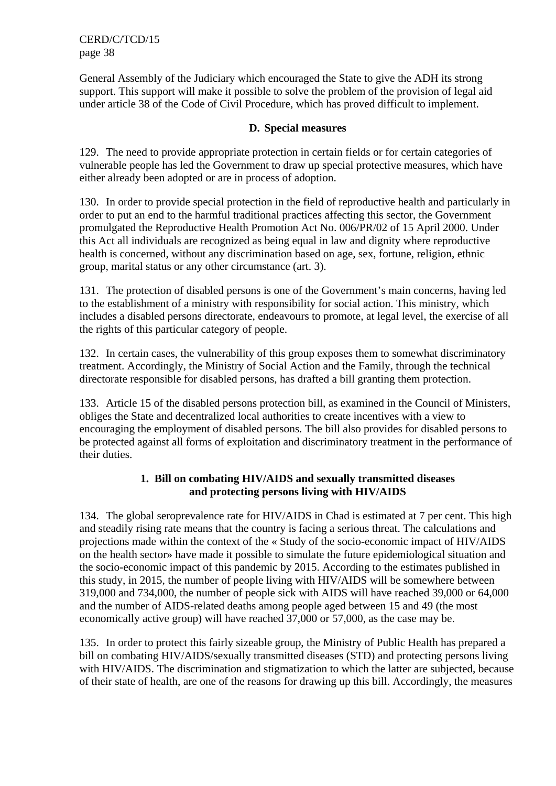General Assembly of the Judiciary which encouraged the State to give the ADH its strong support. This support will make it possible to solve the problem of the provision of legal aid under article 38 of the Code of Civil Procedure, which has proved difficult to implement.

#### **D. Special measures**

129. The need to provide appropriate protection in certain fields or for certain categories of vulnerable people has led the Government to draw up special protective measures, which have either already been adopted or are in process of adoption.

130. In order to provide special protection in the field of reproductive health and particularly in order to put an end to the harmful traditional practices affecting this sector, the Government promulgated the Reproductive Health Promotion Act No. 006/PR/02 of 15 April 2000. Under this Act all individuals are recognized as being equal in law and dignity where reproductive health is concerned, without any discrimination based on age, sex, fortune, religion, ethnic group, marital status or any other circumstance (art. 3).

131. The protection of disabled persons is one of the Government's main concerns, having led to the establishment of a ministry with responsibility for social action. This ministry, which includes a disabled persons directorate, endeavours to promote, at legal level, the exercise of all the rights of this particular category of people.

132. In certain cases, the vulnerability of this group exposes them to somewhat discriminatory treatment. Accordingly, the Ministry of Social Action and the Family, through the technical directorate responsible for disabled persons, has drafted a bill granting them protection.

133. Article 15 of the disabled persons protection bill, as examined in the Council of Ministers, obliges the State and decentralized local authorities to create incentives with a view to encouraging the employment of disabled persons. The bill also provides for disabled persons to be protected against all forms of exploitation and discriminatory treatment in the performance of their duties.

## **1. Bill on combating HIV/AIDS and sexually transmitted diseases and protecting persons living with HIV/AIDS**

134. The global seroprevalence rate for HIV/AIDS in Chad is estimated at 7 per cent. This high and steadily rising rate means that the country is facing a serious threat. The calculations and projections made within the context of the « Study of the socio-economic impact of HIV/AIDS on the health sector» have made it possible to simulate the future epidemiological situation and the socio-economic impact of this pandemic by 2015. According to the estimates published in this study, in 2015, the number of people living with HIV/AIDS will be somewhere between 319,000 and 734,000, the number of people sick with AIDS will have reached 39,000 or 64,000 and the number of AIDS-related deaths among people aged between 15 and 49 (the most economically active group) will have reached 37,000 or 57,000, as the case may be.

135. In order to protect this fairly sizeable group, the Ministry of Public Health has prepared a bill on combating HIV/AIDS/sexually transmitted diseases (STD) and protecting persons living with HIV/AIDS. The discrimination and stigmatization to which the latter are subjected, because of their state of health, are one of the reasons for drawing up this bill. Accordingly, the measures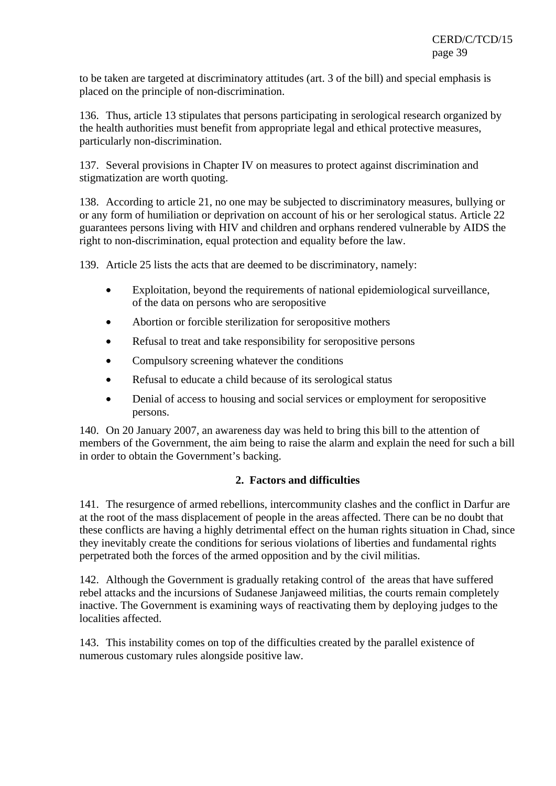to be taken are targeted at discriminatory attitudes (art. 3 of the bill) and special emphasis is placed on the principle of non-discrimination.

136. Thus, article 13 stipulates that persons participating in serological research organized by the health authorities must benefit from appropriate legal and ethical protective measures, particularly non-discrimination.

137. Several provisions in Chapter IV on measures to protect against discrimination and stigmatization are worth quoting.

138. According to article 21, no one may be subjected to discriminatory measures, bullying or or any form of humiliation or deprivation on account of his or her serological status. Article 22 guarantees persons living with HIV and children and orphans rendered vulnerable by AIDS the right to non-discrimination, equal protection and equality before the law.

139. Article 25 lists the acts that are deemed to be discriminatory, namely:

- Exploitation, beyond the requirements of national epidemiological surveillance, of the data on persons who are seropositive
- Abortion or forcible sterilization for seropositive mothers
- Refusal to treat and take responsibility for seropositive persons
- Compulsory screening whatever the conditions
- Refusal to educate a child because of its serological status
- Denial of access to housing and social services or employment for seropositive persons.

140. On 20 January 2007, an awareness day was held to bring this bill to the attention of members of the Government, the aim being to raise the alarm and explain the need for such a bill in order to obtain the Government's backing.

## **2. Factors and difficulties**

141. The resurgence of armed rebellions, intercommunity clashes and the conflict in Darfur are at the root of the mass displacement of people in the areas affected. There can be no doubt that these conflicts are having a highly detrimental effect on the human rights situation in Chad, since they inevitably create the conditions for serious violations of liberties and fundamental rights perpetrated both the forces of the armed opposition and by the civil militias.

142. Although the Government is gradually retaking control of the areas that have suffered rebel attacks and the incursions of Sudanese Janjaweed militias, the courts remain completely inactive. The Government is examining ways of reactivating them by deploying judges to the localities affected.

143. This instability comes on top of the difficulties created by the parallel existence of numerous customary rules alongside positive law.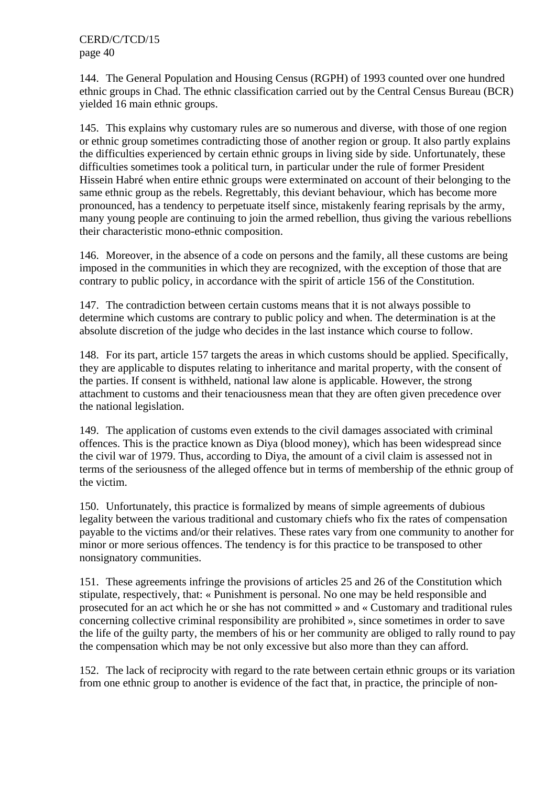144. The General Population and Housing Census (RGPH) of 1993 counted over one hundred ethnic groups in Chad. The ethnic classification carried out by the Central Census Bureau (BCR) yielded 16 main ethnic groups.

145. This explains why customary rules are so numerous and diverse, with those of one region or ethnic group sometimes contradicting those of another region or group. It also partly explains the difficulties experienced by certain ethnic groups in living side by side. Unfortunately, these difficulties sometimes took a political turn, in particular under the rule of former President Hissein Habré when entire ethnic groups were exterminated on account of their belonging to the same ethnic group as the rebels. Regrettably, this deviant behaviour, which has become more pronounced, has a tendency to perpetuate itself since, mistakenly fearing reprisals by the army, many young people are continuing to join the armed rebellion, thus giving the various rebellions their characteristic mono-ethnic composition.

146. Moreover, in the absence of a code on persons and the family, all these customs are being imposed in the communities in which they are recognized, with the exception of those that are contrary to public policy, in accordance with the spirit of article 156 of the Constitution.

147. The contradiction between certain customs means that it is not always possible to determine which customs are contrary to public policy and when. The determination is at the absolute discretion of the judge who decides in the last instance which course to follow.

148. For its part, article 157 targets the areas in which customs should be applied. Specifically, they are applicable to disputes relating to inheritance and marital property, with the consent of the parties. If consent is withheld, national law alone is applicable. However, the strong attachment to customs and their tenaciousness mean that they are often given precedence over the national legislation.

149. The application of customs even extends to the civil damages associated with criminal offences. This is the practice known as Diya (blood money), which has been widespread since the civil war of 1979. Thus, according to Diya, the amount of a civil claim is assessed not in terms of the seriousness of the alleged offence but in terms of membership of the ethnic group of the victim.

150. Unfortunately, this practice is formalized by means of simple agreements of dubious legality between the various traditional and customary chiefs who fix the rates of compensation payable to the victims and/or their relatives. These rates vary from one community to another for minor or more serious offences. The tendency is for this practice to be transposed to other nonsignatory communities.

151. These agreements infringe the provisions of articles 25 and 26 of the Constitution which stipulate, respectively, that: « Punishment is personal. No one may be held responsible and prosecuted for an act which he or she has not committed » and « Customary and traditional rules concerning collective criminal responsibility are prohibited », since sometimes in order to save the life of the guilty party, the members of his or her community are obliged to rally round to pay the compensation which may be not only excessive but also more than they can afford.

152. The lack of reciprocity with regard to the rate between certain ethnic groups or its variation from one ethnic group to another is evidence of the fact that, in practice, the principle of non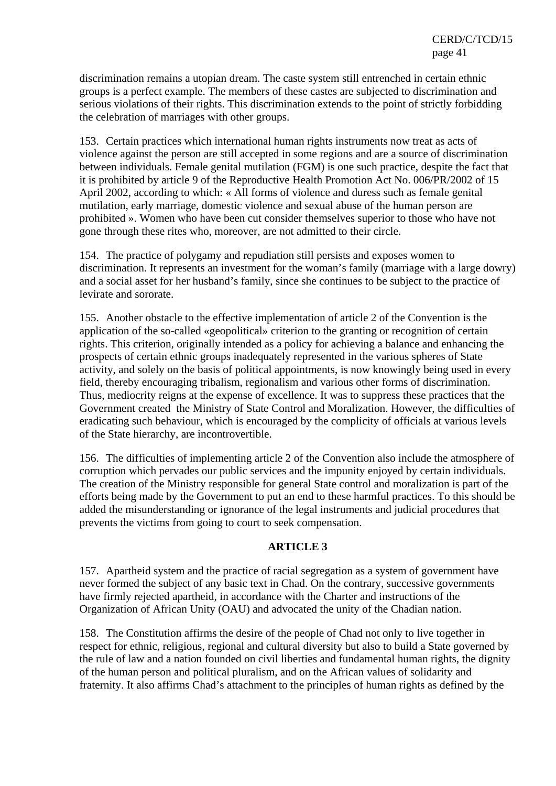discrimination remains a utopian dream. The caste system still entrenched in certain ethnic groups is a perfect example. The members of these castes are subjected to discrimination and serious violations of their rights. This discrimination extends to the point of strictly forbidding the celebration of marriages with other groups.

153. Certain practices which international human rights instruments now treat as acts of violence against the person are still accepted in some regions and are a source of discrimination between individuals. Female genital mutilation (FGM) is one such practice, despite the fact that it is prohibited by article 9 of the Reproductive Health Promotion Act No. 006/PR/2002 of 15 April 2002, according to which: « All forms of violence and duress such as female genital mutilation, early marriage, domestic violence and sexual abuse of the human person are prohibited ». Women who have been cut consider themselves superior to those who have not gone through these rites who, moreover, are not admitted to their circle.

154. The practice of polygamy and repudiation still persists and exposes women to discrimination. It represents an investment for the woman's family (marriage with a large dowry) and a social asset for her husband's family, since she continues to be subject to the practice of levirate and sororate.

155. Another obstacle to the effective implementation of article 2 of the Convention is the application of the so-called «geopolitical» criterion to the granting or recognition of certain rights. This criterion, originally intended as a policy for achieving a balance and enhancing the prospects of certain ethnic groups inadequately represented in the various spheres of State activity, and solely on the basis of political appointments, is now knowingly being used in every field, thereby encouraging tribalism, regionalism and various other forms of discrimination. Thus, mediocrity reigns at the expense of excellence. It was to suppress these practices that the Government created the Ministry of State Control and Moralization. However, the difficulties of eradicating such behaviour, which is encouraged by the complicity of officials at various levels of the State hierarchy, are incontrovertible.

156. The difficulties of implementing article 2 of the Convention also include the atmosphere of corruption which pervades our public services and the impunity enjoyed by certain individuals. The creation of the Ministry responsible for general State control and moralization is part of the efforts being made by the Government to put an end to these harmful practices. To this should be added the misunderstanding or ignorance of the legal instruments and judicial procedures that prevents the victims from going to court to seek compensation.

## **ARTICLE 3**

157. Apartheid system and the practice of racial segregation as a system of government have never formed the subject of any basic text in Chad. On the contrary, successive governments have firmly rejected apartheid, in accordance with the Charter and instructions of the Organization of African Unity (OAU) and advocated the unity of the Chadian nation.

158. The Constitution affirms the desire of the people of Chad not only to live together in respect for ethnic, religious, regional and cultural diversity but also to build a State governed by the rule of law and a nation founded on civil liberties and fundamental human rights, the dignity of the human person and political pluralism, and on the African values of solidarity and fraternity. It also affirms Chad's attachment to the principles of human rights as defined by the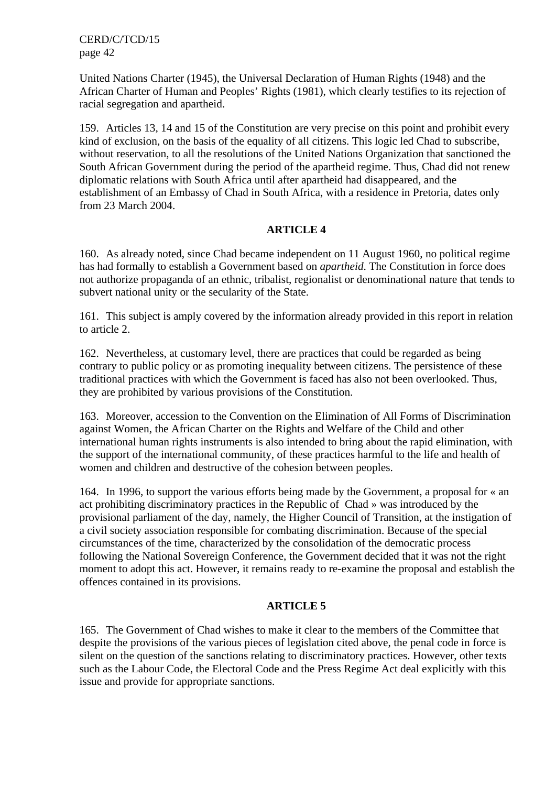United Nations Charter (1945), the Universal Declaration of Human Rights (1948) and the African Charter of Human and Peoples' Rights (1981), which clearly testifies to its rejection of racial segregation and apartheid.

159. Articles 13, 14 and 15 of the Constitution are very precise on this point and prohibit every kind of exclusion, on the basis of the equality of all citizens. This logic led Chad to subscribe, without reservation, to all the resolutions of the United Nations Organization that sanctioned the South African Government during the period of the apartheid regime. Thus, Chad did not renew diplomatic relations with South Africa until after apartheid had disappeared, and the establishment of an Embassy of Chad in South Africa, with a residence in Pretoria, dates only from 23 March 2004.

## **ARTICLE 4**

160. As already noted, since Chad became independent on 11 August 1960, no political regime has had formally to establish a Government based on *apartheid*. The Constitution in force does not authorize propaganda of an ethnic, tribalist, regionalist or denominational nature that tends to subvert national unity or the secularity of the State.

161. This subject is amply covered by the information already provided in this report in relation to article 2.

162. Nevertheless, at customary level, there are practices that could be regarded as being contrary to public policy or as promoting inequality between citizens. The persistence of these traditional practices with which the Government is faced has also not been overlooked. Thus, they are prohibited by various provisions of the Constitution.

163. Moreover, accession to the Convention on the Elimination of All Forms of Discrimination against Women, the African Charter on the Rights and Welfare of the Child and other international human rights instruments is also intended to bring about the rapid elimination, with the support of the international community, of these practices harmful to the life and health of women and children and destructive of the cohesion between peoples.

164. In 1996, to support the various efforts being made by the Government, a proposal for « an act prohibiting discriminatory practices in the Republic of Chad » was introduced by the provisional parliament of the day, namely, the Higher Council of Transition, at the instigation of a civil society association responsible for combating discrimination. Because of the special circumstances of the time, characterized by the consolidation of the democratic process following the National Sovereign Conference, the Government decided that it was not the right moment to adopt this act. However, it remains ready to re-examine the proposal and establish the offences contained in its provisions.

#### **ARTICLE 5**

165. The Government of Chad wishes to make it clear to the members of the Committee that despite the provisions of the various pieces of legislation cited above, the penal code in force is silent on the question of the sanctions relating to discriminatory practices. However, other texts such as the Labour Code, the Electoral Code and the Press Regime Act deal explicitly with this issue and provide for appropriate sanctions.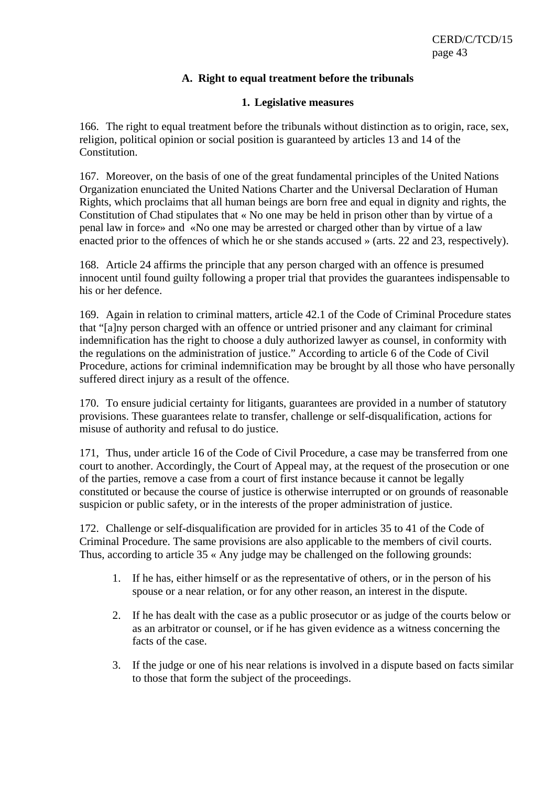#### **A. Right to equal treatment before the tribunals**

#### **1. Legislative measures**

166. The right to equal treatment before the tribunals without distinction as to origin, race, sex, religion, political opinion or social position is guaranteed by articles 13 and 14 of the Constitution.

167. Moreover, on the basis of one of the great fundamental principles of the United Nations Organization enunciated the United Nations Charter and the Universal Declaration of Human Rights, which proclaims that all human beings are born free and equal in dignity and rights, the Constitution of Chad stipulates that « No one may be held in prison other than by virtue of a penal law in force» and «No one may be arrested or charged other than by virtue of a law enacted prior to the offences of which he or she stands accused » (arts. 22 and 23, respectively).

168. Article 24 affirms the principle that any person charged with an offence is presumed innocent until found guilty following a proper trial that provides the guarantees indispensable to his or her defence.

169. Again in relation to criminal matters, article 42.1 of the Code of Criminal Procedure states that "[a]ny person charged with an offence or untried prisoner and any claimant for criminal indemnification has the right to choose a duly authorized lawyer as counsel, in conformity with the regulations on the administration of justice." According to article 6 of the Code of Civil Procedure, actions for criminal indemnification may be brought by all those who have personally suffered direct injury as a result of the offence.

170. To ensure judicial certainty for litigants, guarantees are provided in a number of statutory provisions. These guarantees relate to transfer, challenge or self-disqualification, actions for misuse of authority and refusal to do justice.

171, Thus, under article 16 of the Code of Civil Procedure, a case may be transferred from one court to another. Accordingly, the Court of Appeal may, at the request of the prosecution or one of the parties, remove a case from a court of first instance because it cannot be legally constituted or because the course of justice is otherwise interrupted or on grounds of reasonable suspicion or public safety, or in the interests of the proper administration of justice.

172. Challenge or self-disqualification are provided for in articles 35 to 41 of the Code of Criminal Procedure. The same provisions are also applicable to the members of civil courts. Thus, according to article 35 « Any judge may be challenged on the following grounds:

- 1. If he has, either himself or as the representative of others, or in the person of his spouse or a near relation, or for any other reason, an interest in the dispute.
- 2. If he has dealt with the case as a public prosecutor or as judge of the courts below or as an arbitrator or counsel, or if he has given evidence as a witness concerning the facts of the case.
- 3. If the judge or one of his near relations is involved in a dispute based on facts similar to those that form the subject of the proceedings.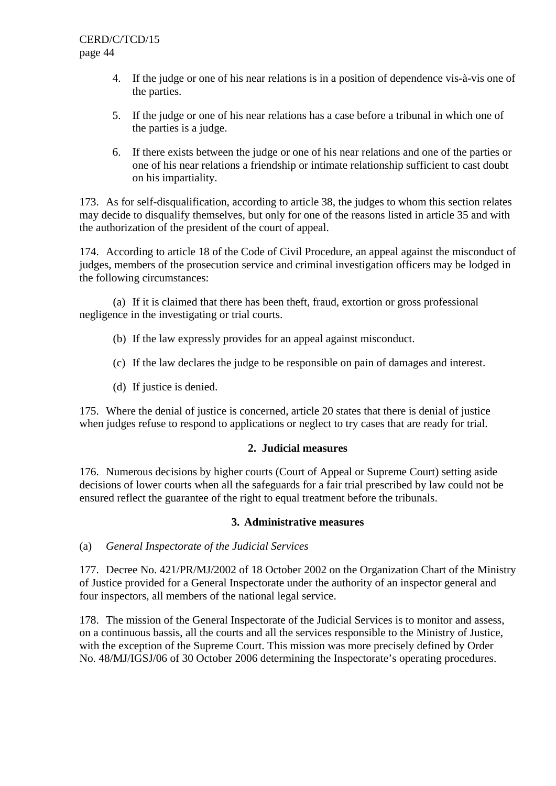- 4. If the judge or one of his near relations is in a position of dependence vis-à-vis one of the parties.
- 5. If the judge or one of his near relations has a case before a tribunal in which one of the parties is a judge.
- 6. If there exists between the judge or one of his near relations and one of the parties or one of his near relations a friendship or intimate relationship sufficient to cast doubt on his impartiality.

173. As for self-disqualification, according to article 38, the judges to whom this section relates may decide to disqualify themselves, but only for one of the reasons listed in article 35 and with the authorization of the president of the court of appeal.

174. According to article 18 of the Code of Civil Procedure, an appeal against the misconduct of judges, members of the prosecution service and criminal investigation officers may be lodged in the following circumstances:

(a) If it is claimed that there has been theft, fraud, extortion or gross professional negligence in the investigating or trial courts.

- (b) If the law expressly provides for an appeal against misconduct.
- (c) If the law declares the judge to be responsible on pain of damages and interest.
- (d) If justice is denied.

175. Where the denial of justice is concerned, article 20 states that there is denial of justice when judges refuse to respond to applications or neglect to try cases that are ready for trial.

#### **2. Judicial measures**

176. Numerous decisions by higher courts (Court of Appeal or Supreme Court) setting aside decisions of lower courts when all the safeguards for a fair trial prescribed by law could not be ensured reflect the guarantee of the right to equal treatment before the tribunals.

#### **3. Administrative measures**

(a) *General Inspectorate of the Judicial Services* 

177. Decree No. 421/PR/MJ/2002 of 18 October 2002 on the Organization Chart of the Ministry of Justice provided for a General Inspectorate under the authority of an inspector general and four inspectors, all members of the national legal service.

178. The mission of the General Inspectorate of the Judicial Services is to monitor and assess, on a continuous bassis, all the courts and all the services responsible to the Ministry of Justice, with the exception of the Supreme Court. This mission was more precisely defined by Order No. 48/MJ/IGSJ/06 of 30 October 2006 determining the Inspectorate's operating procedures.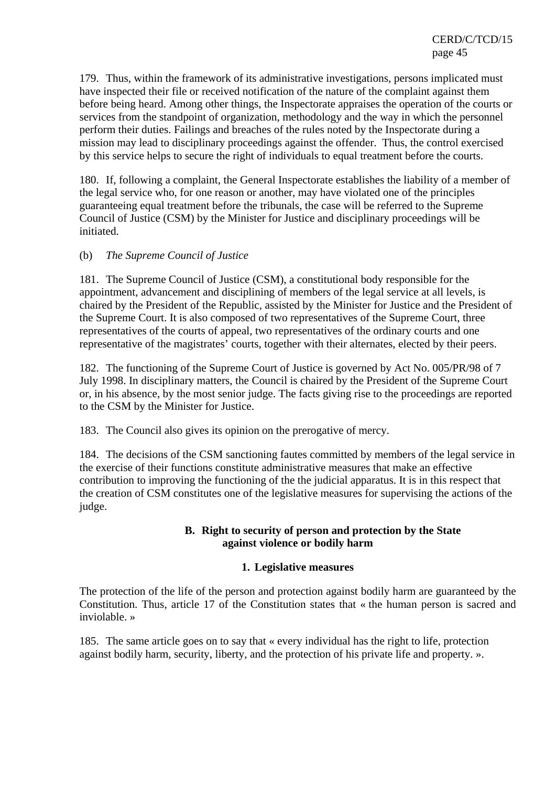179. Thus, within the framework of its administrative investigations, persons implicated must have inspected their file or received notification of the nature of the complaint against them before being heard. Among other things, the Inspectorate appraises the operation of the courts or services from the standpoint of organization, methodology and the way in which the personnel perform their duties. Failings and breaches of the rules noted by the Inspectorate during a mission may lead to disciplinary proceedings against the offender. Thus, the control exercised by this service helps to secure the right of individuals to equal treatment before the courts.

180. If, following a complaint, the General Inspectorate establishes the liability of a member of the legal service who, for one reason or another, may have violated one of the principles guaranteeing equal treatment before the tribunals, the case will be referred to the Supreme Council of Justice (CSM) by the Minister for Justice and disciplinary proceedings will be initiated.

## (b) *The Supreme Council of Justice*

181. The Supreme Council of Justice (CSM), a constitutional body responsible for the appointment, advancement and disciplining of members of the legal service at all levels, is chaired by the President of the Republic, assisted by the Minister for Justice and the President of the Supreme Court. It is also composed of two representatives of the Supreme Court, three representatives of the courts of appeal, two representatives of the ordinary courts and one representative of the magistrates' courts, together with their alternates, elected by their peers.

182. The functioning of the Supreme Court of Justice is governed by Act No. 005/PR/98 of 7 July 1998. In disciplinary matters, the Council is chaired by the President of the Supreme Court or, in his absence, by the most senior judge. The facts giving rise to the proceedings are reported to the CSM by the Minister for Justice.

183. The Council also gives its opinion on the prerogative of mercy.

184. The decisions of the CSM sanctioning fautes committed by members of the legal service in the exercise of their functions constitute administrative measures that make an effective contribution to improving the functioning of the the judicial apparatus. It is in this respect that the creation of CSM constitutes one of the legislative measures for supervising the actions of the judge.

## **B. Right to security of person and protection by the State against violence or bodily harm**

#### **1. Legislative measures**

The protection of the life of the person and protection against bodily harm are guaranteed by the Constitution. Thus, article 17 of the Constitution states that « the human person is sacred and inviolable. »

185. The same article goes on to say that « every individual has the right to life, protection against bodily harm, security, liberty, and the protection of his private life and property. ».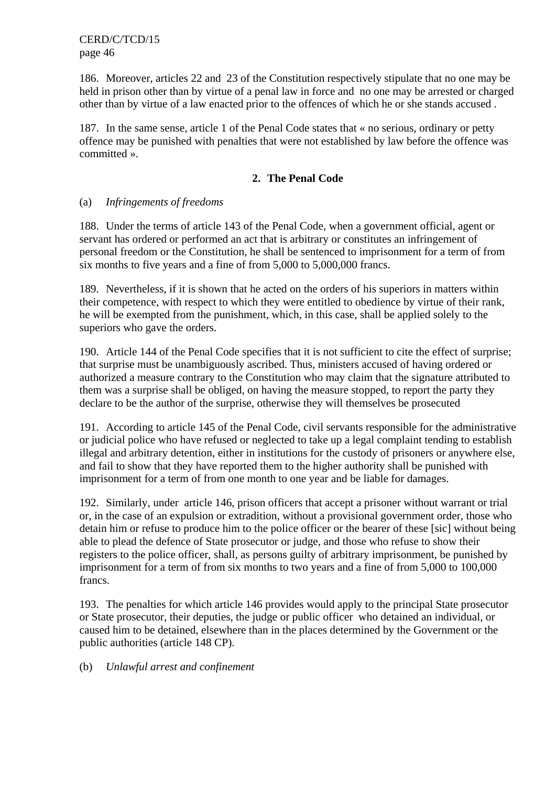186. Moreover, articles 22 and 23 of the Constitution respectively stipulate that no one may be held in prison other than by virtue of a penal law in force and no one may be arrested or charged other than by virtue of a law enacted prior to the offences of which he or she stands accused .

187. In the same sense, article 1 of the Penal Code states that « no serious, ordinary or petty offence may be punished with penalties that were not established by law before the offence was committed ».

## **2. The Penal Code**

#### (a) *Infringements of freedoms*

188. Under the terms of article 143 of the Penal Code, when a government official, agent or servant has ordered or performed an act that is arbitrary or constitutes an infringement of personal freedom or the Constitution, he shall be sentenced to imprisonment for a term of from six months to five years and a fine of from 5,000 to 5,000,000 francs.

189. Nevertheless, if it is shown that he acted on the orders of his superiors in matters within their competence, with respect to which they were entitled to obedience by virtue of their rank, he will be exempted from the punishment, which, in this case, shall be applied solely to the superiors who gave the orders.

190. Article 144 of the Penal Code specifies that it is not sufficient to cite the effect of surprise; that surprise must be unambiguously ascribed. Thus, ministers accused of having ordered or authorized a measure contrary to the Constitution who may claim that the signature attributed to them was a surprise shall be obliged, on having the measure stopped, to report the party they declare to be the author of the surprise, otherwise they will themselves be prosecuted

191. According to article 145 of the Penal Code, civil servants responsible for the administrative or judicial police who have refused or neglected to take up a legal complaint tending to establish illegal and arbitrary detention, either in institutions for the custody of prisoners or anywhere else, and fail to show that they have reported them to the higher authority shall be punished with imprisonment for a term of from one month to one year and be liable for damages.

192. Similarly, under article 146, prison officers that accept a prisoner without warrant or trial or, in the case of an expulsion or extradition, without a provisional government order, those who detain him or refuse to produce him to the police officer or the bearer of these [sic] without being able to plead the defence of State prosecutor or judge, and those who refuse to show their registers to the police officer, shall, as persons guilty of arbitrary imprisonment, be punished by imprisonment for a term of from six months to two years and a fine of from 5,000 to 100,000 francs.

193. The penalties for which article 146 provides would apply to the principal State prosecutor or State prosecutor, their deputies, the judge or public officer who detained an individual, or caused him to be detained, elsewhere than in the places determined by the Government or the public authorities (article 148 CP).

(b) *Unlawful arrest and confinement*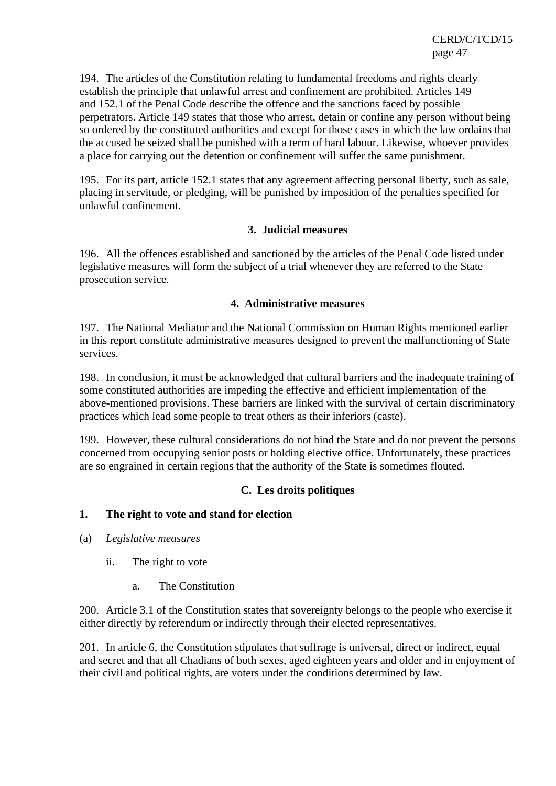194. The articles of the Constitution relating to fundamental freedoms and rights clearly establish the principle that unlawful arrest and confinement are prohibited. Articles 149 and 152.1 of the Penal Code describe the offence and the sanctions faced by possible perpetrators. Article 149 states that those who arrest, detain or confine any person without being so ordered by the constituted authorities and except for those cases in which the law ordains that the accused be seized shall be punished with a term of hard labour. Likewise, whoever provides a place for carrying out the detention or confinement will suffer the same punishment.

195. For its part, article 152.1 states that any agreement affecting personal liberty, such as sale, placing in servitude, or pledging, will be punished by imposition of the penalties specified for unlawful confinement.

#### **3. Judicial measures**

196. All the offences established and sanctioned by the articles of the Penal Code listed under legislative measures will form the subject of a trial whenever they are referred to the State prosecution service.

#### **4. Administrative measures**

197. The National Mediator and the National Commission on Human Rights mentioned earlier in this report constitute administrative measures designed to prevent the malfunctioning of State services.

198. In conclusion, it must be acknowledged that cultural barriers and the inadequate training of some constituted authorities are impeding the effective and efficient implementation of the above-mentioned provisions. These barriers are linked with the survival of certain discriminatory practices which lead some people to treat others as their inferiors (caste).

199. However, these cultural considerations do not bind the State and do not prevent the persons concerned from occupying senior posts or holding elective office. Unfortunately, these practices are so engrained in certain regions that the authority of the State is sometimes flouted.

## **C. Les droits politiques**

## **1. The right to vote and stand for election**

- (a) *Legislative measures* 
	- ii. The right to vote
		- a. The Constitution

200. Article 3.1 of the Constitution states that sovereignty belongs to the people who exercise it either directly by referendum or indirectly through their elected representatives.

201. In article 6, the Constitution stipulates that suffrage is universal, direct or indirect, equal and secret and that all Chadians of both sexes, aged eighteen years and older and in enjoyment of their civil and political rights, are voters under the conditions determined by law.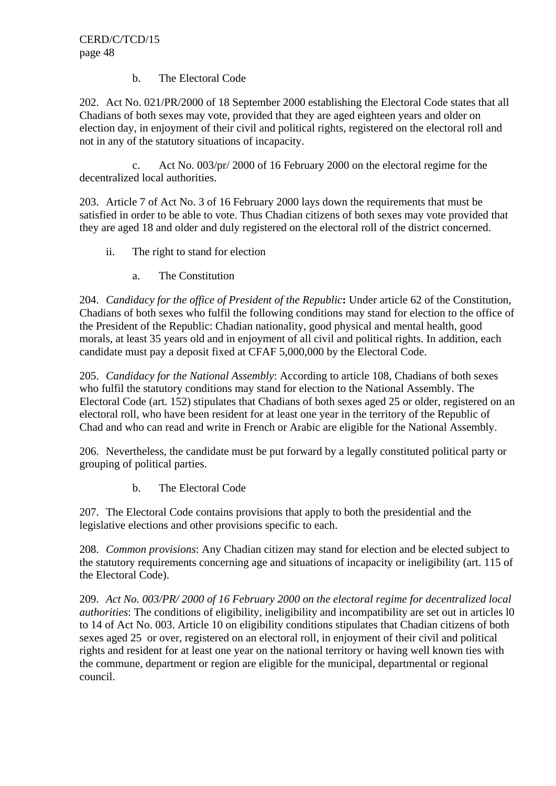#### b. The Electoral Code

202. Act No. 021/PR/2000 of 18 September 2000 establishing the Electoral Code states that all Chadians of both sexes may vote, provided that they are aged eighteen years and older on election day, in enjoyment of their civil and political rights, registered on the electoral roll and not in any of the statutory situations of incapacity.

 c. Act No. 003/pr/ 2000 of 16 February 2000 on the electoral regime for the decentralized local authorities.

203. Article 7 of Act No. 3 of 16 February 2000 lays down the requirements that must be satisfied in order to be able to vote. Thus Chadian citizens of both sexes may vote provided that they are aged 18 and older and duly registered on the electoral roll of the district concerned.

- ii. The right to stand for election
	- a. The Constitution

204. *Candidacy for the office of President of the Republic***:** Under article 62 of the Constitution, Chadians of both sexes who fulfil the following conditions may stand for election to the office of the President of the Republic: Chadian nationality, good physical and mental health, good morals, at least 35 years old and in enjoyment of all civil and political rights. In addition, each candidate must pay a deposit fixed at CFAF 5,000,000 by the Electoral Code.

205. *Candidacy for the National Assembly*: According to article 108, Chadians of both sexes who fulfil the statutory conditions may stand for election to the National Assembly. The Electoral Code (art. 152) stipulates that Chadians of both sexes aged 25 or older, registered on an electoral roll, who have been resident for at least one year in the territory of the Republic of Chad and who can read and write in French or Arabic are eligible for the National Assembly.

206. Nevertheless, the candidate must be put forward by a legally constituted political party or grouping of political parties.

b. The Electoral Code

207. The Electoral Code contains provisions that apply to both the presidential and the legislative elections and other provisions specific to each.

208. *Common provisions*: Any Chadian citizen may stand for election and be elected subject to the statutory requirements concerning age and situations of incapacity or ineligibility (art. 115 of the Electoral Code).

209. *Act No. 003/PR/ 2000 of 16 February 2000 on the electoral regime for decentralized local authorities*: The conditions of eligibility, ineligibility and incompatibility are set out in articles 10 to 14 of Act No. 003. Article 10 on eligibility conditions stipulates that Chadian citizens of both sexes aged 25 or over, registered on an electoral roll, in enjoyment of their civil and political rights and resident for at least one year on the national territory or having well known ties with the commune, department or region are eligible for the municipal, departmental or regional council.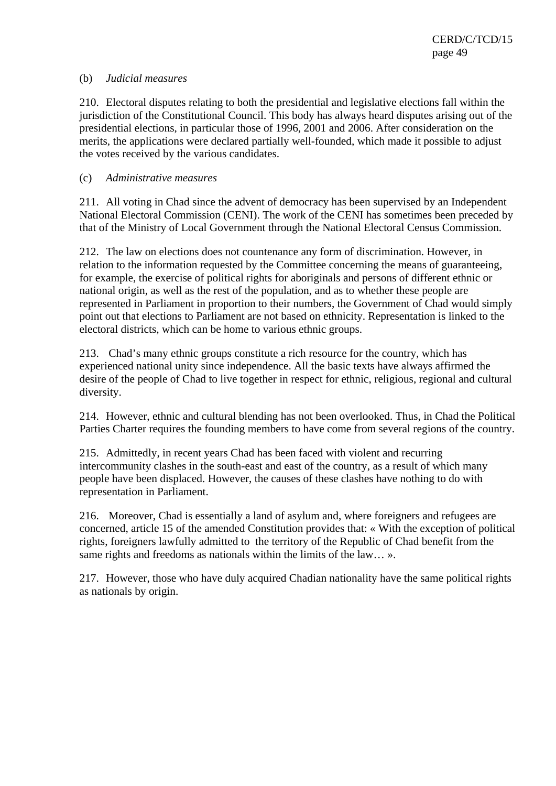#### (b) *Judicial measures*

210. Electoral disputes relating to both the presidential and legislative elections fall within the jurisdiction of the Constitutional Council. This body has always heard disputes arising out of the presidential elections, in particular those of 1996, 2001 and 2006. After consideration on the merits, the applications were declared partially well-founded, which made it possible to adjust the votes received by the various candidates.

#### (c) *Administrative measures*

211. All voting in Chad since the advent of democracy has been supervised by an Independent National Electoral Commission (CENI). The work of the CENI has sometimes been preceded by that of the Ministry of Local Government through the National Electoral Census Commission.

212. The law on elections does not countenance any form of discrimination. However, in relation to the information requested by the Committee concerning the means of guaranteeing, for example, the exercise of political rights for aboriginals and persons of different ethnic or national origin, as well as the rest of the population, and as to whether these people are represented in Parliament in proportion to their numbers, the Government of Chad would simply point out that elections to Parliament are not based on ethnicity. Representation is linked to the electoral districts, which can be home to various ethnic groups.

213. Chad's many ethnic groups constitute a rich resource for the country, which has experienced national unity since independence. All the basic texts have always affirmed the desire of the people of Chad to live together in respect for ethnic, religious, regional and cultural diversity.

214. However, ethnic and cultural blending has not been overlooked. Thus, in Chad the Political Parties Charter requires the founding members to have come from several regions of the country.

215. Admittedly, in recent years Chad has been faced with violent and recurring intercommunity clashes in the south-east and east of the country, as a result of which many people have been displaced. However, the causes of these clashes have nothing to do with representation in Parliament.

216. Moreover, Chad is essentially a land of asylum and, where foreigners and refugees are concerned, article 15 of the amended Constitution provides that: « With the exception of political rights, foreigners lawfully admitted to the territory of the Republic of Chad benefit from the same rights and freedoms as nationals within the limits of the law... ».

217. However, those who have duly acquired Chadian nationality have the same political rights as nationals by origin.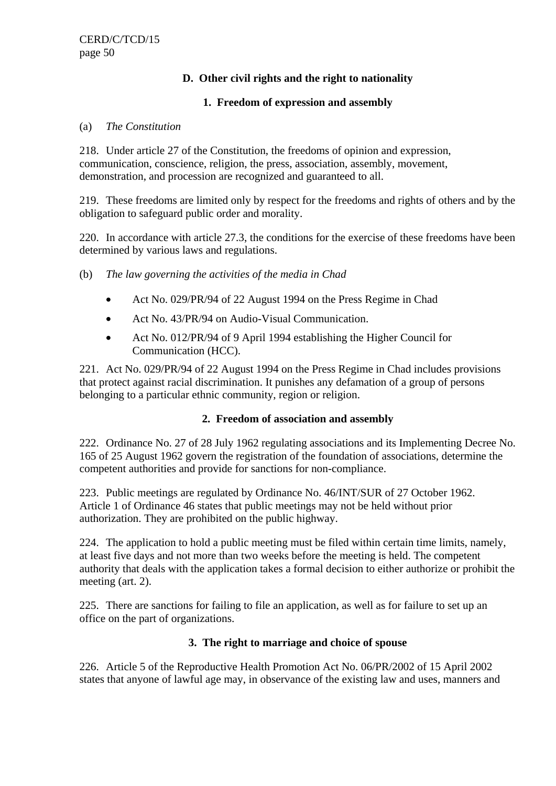## **D. Other civil rights and the right to nationality**

## **1. Freedom of expression and assembly**

#### (a) *The Constitution*

218. Under article 27 of the Constitution, the freedoms of opinion and expression, communication, conscience, religion, the press, association, assembly, movement, demonstration, and procession are recognized and guaranteed to all.

219. These freedoms are limited only by respect for the freedoms and rights of others and by the obligation to safeguard public order and morality.

220. In accordance with article 27.3, the conditions for the exercise of these freedoms have been determined by various laws and regulations.

- (b) *The law governing the activities of the media in Chad*
	- Act No. 029/PR/94 of 22 August 1994 on the Press Regime in Chad
	- Act No. 43/PR/94 on Audio-Visual Communication.
	- Act No. 012/PR/94 of 9 April 1994 establishing the Higher Council for Communication (HCC).

221. Act No. 029/PR/94 of 22 August 1994 on the Press Regime in Chad includes provisions that protect against racial discrimination. It punishes any defamation of a group of persons belonging to a particular ethnic community, region or religion.

## **2. Freedom of association and assembly**

222. Ordinance No. 27 of 28 July 1962 regulating associations and its Implementing Decree No. 165 of 25 August 1962 govern the registration of the foundation of associations, determine the competent authorities and provide for sanctions for non-compliance.

223. Public meetings are regulated by Ordinance No. 46/INT/SUR of 27 October 1962. Article 1 of Ordinance 46 states that public meetings may not be held without prior authorization. They are prohibited on the public highway.

224. The application to hold a public meeting must be filed within certain time limits, namely, at least five days and not more than two weeks before the meeting is held. The competent authority that deals with the application takes a formal decision to either authorize or prohibit the meeting (art. 2).

225. There are sanctions for failing to file an application, as well as for failure to set up an office on the part of organizations.

## **3. The right to marriage and choice of spouse**

226. Article 5 of the Reproductive Health Promotion Act No. 06/PR/2002 of 15 April 2002 states that anyone of lawful age may, in observance of the existing law and uses, manners and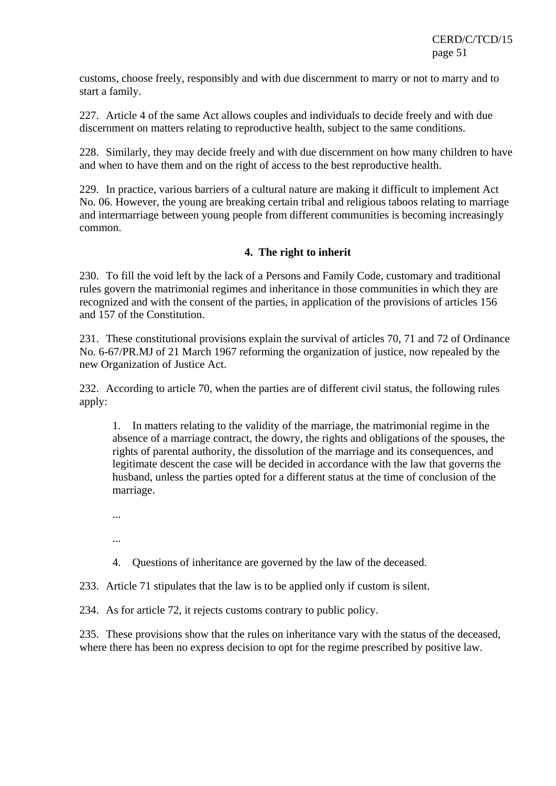customs, choose freely, responsibly and with due discernment to marry or not to marry and to start a family.

227. Article 4 of the same Act allows couples and individuals to decide freely and with due discernment on matters relating to reproductive health, subject to the same conditions.

228. Similarly, they may decide freely and with due discernment on how many children to have and when to have them and on the right of access to the best reproductive health.

229. In practice, various barriers of a cultural nature are making it difficult to implement Act No. 06. However, the young are breaking certain tribal and religious taboos relating to marriage and intermarriage between young people from different communities is becoming increasingly common.

## **4. The right to inherit**

230. To fill the void left by the lack of a Persons and Family Code, customary and traditional rules govern the matrimonial regimes and inheritance in those communities in which they are recognized and with the consent of the parties, in application of the provisions of articles 156 and 157 of the Constitution.

231. These constitutional provisions explain the survival of articles 70, 71 and 72 of Ordinance No. 6-67/PR.MJ of 21 March 1967 reforming the organization of justice, now repealed by the new Organization of Justice Act.

232. According to article 70, when the parties are of different civil status, the following rules apply:

1. In matters relating to the validity of the marriage, the matrimonial regime in the absence of a marriage contract, the dowry, the rights and obligations of the spouses, the rights of parental authority, the dissolution of the marriage and its consequences, and legitimate descent the case will be decided in accordance with the law that governs the husband, unless the parties opted for a different status at the time of conclusion of the marriage.

- ...
- ...
- 4. Questions of inheritance are governed by the law of the deceased.

233. Article 71 stipulates that the law is to be applied only if custom is silent.

234. As for article 72, it rejects customs contrary to public policy.

235. These provisions show that the rules on inheritance vary with the status of the deceased, where there has been no express decision to opt for the regime prescribed by positive law.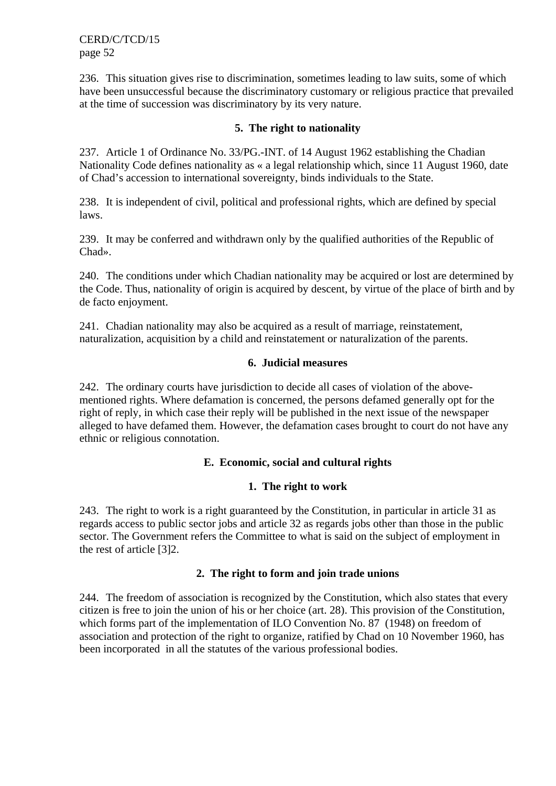236. This situation gives rise to discrimination, sometimes leading to law suits, some of which have been unsuccessful because the discriminatory customary or religious practice that prevailed at the time of succession was discriminatory by its very nature.

#### **5. The right to nationality**

237. Article 1 of Ordinance No. 33/PG.-INT. of 14 August 1962 establishing the Chadian Nationality Code defines nationality as « a legal relationship which, since 11 August 1960, date of Chad's accession to international sovereignty, binds individuals to the State.

238. It is independent of civil, political and professional rights, which are defined by special laws.

239. It may be conferred and withdrawn only by the qualified authorities of the Republic of Chad».

240. The conditions under which Chadian nationality may be acquired or lost are determined by the Code. Thus, nationality of origin is acquired by descent, by virtue of the place of birth and by de facto enjoyment.

241. Chadian nationality may also be acquired as a result of marriage, reinstatement, naturalization, acquisition by a child and reinstatement or naturalization of the parents.

#### **6. Judicial measures**

242. The ordinary courts have jurisdiction to decide all cases of violation of the abovementioned rights. Where defamation is concerned, the persons defamed generally opt for the right of reply, in which case their reply will be published in the next issue of the newspaper alleged to have defamed them. However, the defamation cases brought to court do not have any ethnic or religious connotation.

#### **E. Economic, social and cultural rights**

#### **1. The right to work**

243. The right to work is a right guaranteed by the Constitution, in particular in article 31 as regards access to public sector jobs and article 32 as regards jobs other than those in the public sector. The Government refers the Committee to what is said on the subject of employment in the rest of article [3]2.

#### **2. The right to form and join trade unions**

244. The freedom of association is recognized by the Constitution, which also states that every citizen is free to join the union of his or her choice (art. 28). This provision of the Constitution, which forms part of the implementation of ILO Convention No. 87 (1948) on freedom of association and protection of the right to organize, ratified by Chad on 10 November 1960, has been incorporated in all the statutes of the various professional bodies.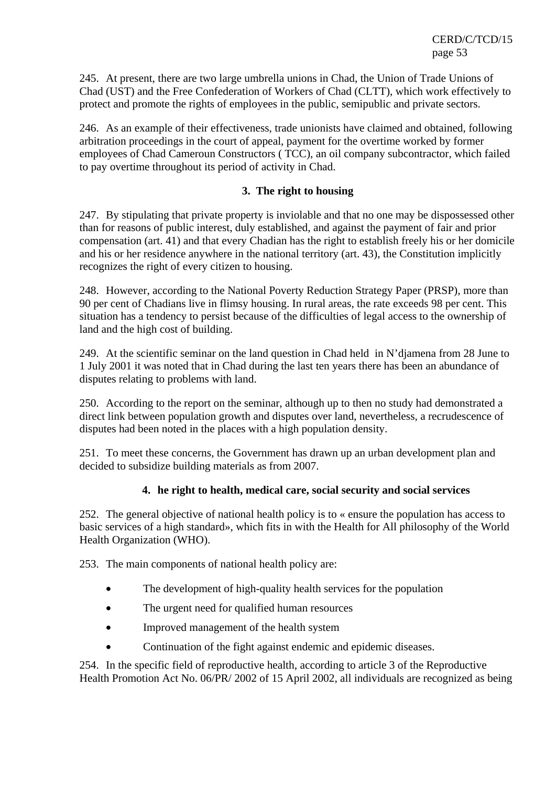245. At present, there are two large umbrella unions in Chad, the Union of Trade Unions of Chad (UST) and the Free Confederation of Workers of Chad (CLTT), which work effectively to protect and promote the rights of employees in the public, semipublic and private sectors.

246. As an example of their effectiveness, trade unionists have claimed and obtained, following arbitration proceedings in the court of appeal, payment for the overtime worked by former employees of Chad Cameroun Constructors ( TCC), an oil company subcontractor, which failed to pay overtime throughout its period of activity in Chad.

## **3. The right to housing**

247. By stipulating that private property is inviolable and that no one may be dispossessed other than for reasons of public interest, duly established, and against the payment of fair and prior compensation (art. 41) and that every Chadian has the right to establish freely his or her domicile and his or her residence anywhere in the national territory (art. 43), the Constitution implicitly recognizes the right of every citizen to housing.

248. However, according to the National Poverty Reduction Strategy Paper (PRSP), more than 90 per cent of Chadians live in flimsy housing. In rural areas, the rate exceeds 98 per cent. This situation has a tendency to persist because of the difficulties of legal access to the ownership of land and the high cost of building.

249. At the scientific seminar on the land question in Chad held in N'djamena from 28 June to 1 July 2001 it was noted that in Chad during the last ten years there has been an abundance of disputes relating to problems with land.

250. According to the report on the seminar, although up to then no study had demonstrated a direct link between population growth and disputes over land, nevertheless, a recrudescence of disputes had been noted in the places with a high population density.

251. To meet these concerns, the Government has drawn up an urban development plan and decided to subsidize building materials as from 2007.

## **4. he right to health, medical care, social security and social services**

252. The general objective of national health policy is to « ensure the population has access to basic services of a high standard», which fits in with the Health for All philosophy of the World Health Organization (WHO).

253. The main components of national health policy are:

- The development of high-quality health services for the population
- The urgent need for qualified human resources
- Improved management of the health system
- Continuation of the fight against endemic and epidemic diseases.

254. In the specific field of reproductive health, according to article 3 of the Reproductive Health Promotion Act No. 06/PR/ 2002 of 15 April 2002, all individuals are recognized as being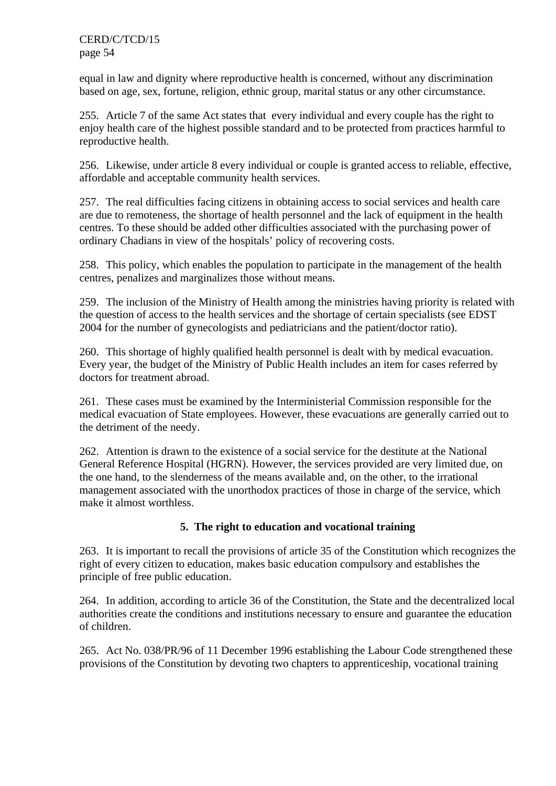equal in law and dignity where reproductive health is concerned, without any discrimination based on age, sex, fortune, religion, ethnic group, marital status or any other circumstance.

255. Article 7 of the same Act states that every individual and every couple has the right to enjoy health care of the highest possible standard and to be protected from practices harmful to reproductive health.

256. Likewise, under article 8 every individual or couple is granted access to reliable, effective, affordable and acceptable community health services.

257. The real difficulties facing citizens in obtaining access to social services and health care are due to remoteness, the shortage of health personnel and the lack of equipment in the health centres. To these should be added other difficulties associated with the purchasing power of ordinary Chadians in view of the hospitals' policy of recovering costs.

258. This policy, which enables the population to participate in the management of the health centres, penalizes and marginalizes those without means.

259. The inclusion of the Ministry of Health among the ministries having priority is related with the question of access to the health services and the shortage of certain specialists (see EDST 2004 for the number of gynecologists and pediatricians and the patient/doctor ratio).

260. This shortage of highly qualified health personnel is dealt with by medical evacuation. Every year, the budget of the Ministry of Public Health includes an item for cases referred by doctors for treatment abroad.

261. These cases must be examined by the Interministerial Commission responsible for the medical evacuation of State employees. However, these evacuations are generally carried out to the detriment of the needy.

262. Attention is drawn to the existence of a social service for the destitute at the National General Reference Hospital (HGRN). However, the services provided are very limited due, on the one hand, to the slenderness of the means available and, on the other, to the irrational management associated with the unorthodox practices of those in charge of the service, which make it almost worthless.

## **5. The right to education and vocational training**

263. It is important to recall the provisions of article 35 of the Constitution which recognizes the right of every citizen to education, makes basic education compulsory and establishes the principle of free public education.

264. In addition, according to article 36 of the Constitution, the State and the decentralized local authorities create the conditions and institutions necessary to ensure and guarantee the education of children.

265. Act No. 038/PR/96 of 11 December 1996 establishing the Labour Code strengthened these provisions of the Constitution by devoting two chapters to apprenticeship, vocational training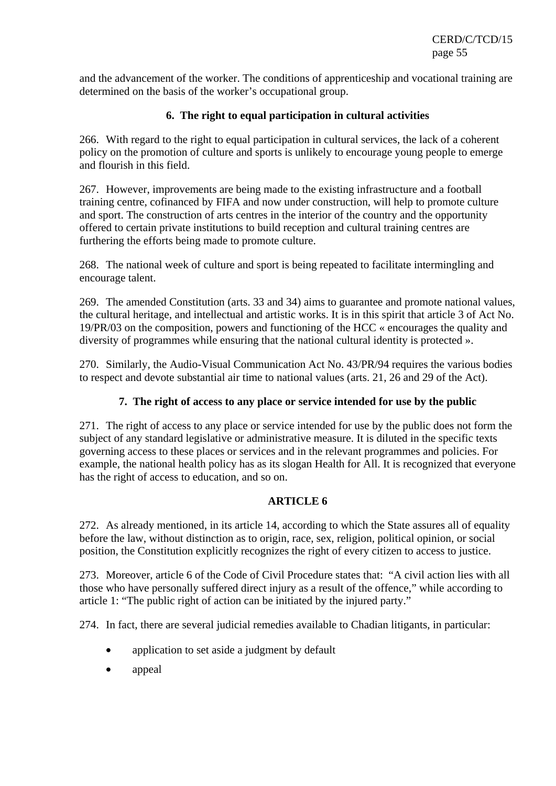and the advancement of the worker. The conditions of apprenticeship and vocational training are determined on the basis of the worker's occupational group.

## **6. The right to equal participation in cultural activities**

266. With regard to the right to equal participation in cultural services, the lack of a coherent policy on the promotion of culture and sports is unlikely to encourage young people to emerge and flourish in this field.

267. However, improvements are being made to the existing infrastructure and a football training centre, cofinanced by FIFA and now under construction, will help to promote culture and sport. The construction of arts centres in the interior of the country and the opportunity offered to certain private institutions to build reception and cultural training centres are furthering the efforts being made to promote culture.

268. The national week of culture and sport is being repeated to facilitate intermingling and encourage talent.

269. The amended Constitution (arts. 33 and 34) aims to guarantee and promote national values, the cultural heritage, and intellectual and artistic works. It is in this spirit that article 3 of Act No. 19/PR/03 on the composition, powers and functioning of the HCC « encourages the quality and diversity of programmes while ensuring that the national cultural identity is protected ».

270. Similarly, the Audio-Visual Communication Act No. 43/PR/94 requires the various bodies to respect and devote substantial air time to national values (arts. 21, 26 and 29 of the Act).

## **7. The right of access to any place or service intended for use by the public**

271. The right of access to any place or service intended for use by the public does not form the subject of any standard legislative or administrative measure. It is diluted in the specific texts governing access to these places or services and in the relevant programmes and policies. For example, the national health policy has as its slogan Health for All. It is recognized that everyone has the right of access to education, and so on.

## **ARTICLE 6**

272. As already mentioned, in its article 14, according to which the State assures all of equality before the law, without distinction as to origin, race, sex, religion, political opinion, or social position, the Constitution explicitly recognizes the right of every citizen to access to justice.

273. Moreover, article 6 of the Code of Civil Procedure states that: "A civil action lies with all those who have personally suffered direct injury as a result of the offence," while according to article 1: "The public right of action can be initiated by the injured party."

274. In fact, there are several judicial remedies available to Chadian litigants, in particular:

- application to set aside a judgment by default
- appeal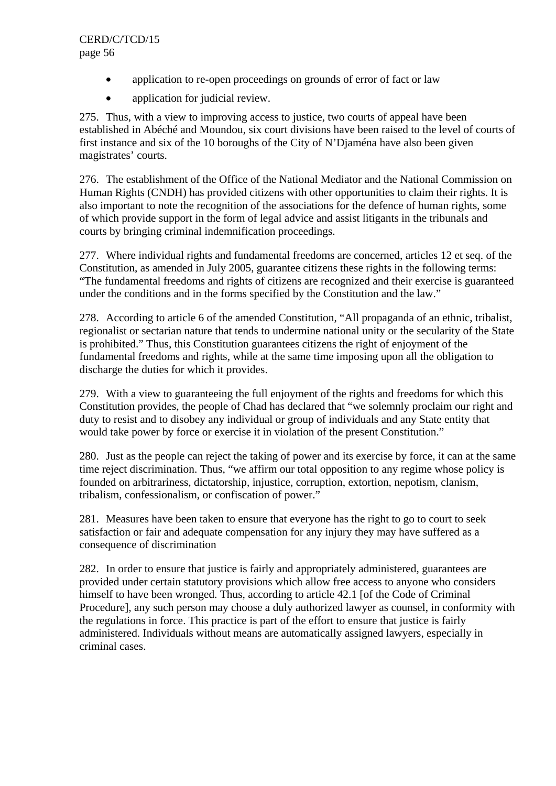- application to re-open proceedings on grounds of error of fact or law
- application for judicial review.

275. Thus, with a view to improving access to justice, two courts of appeal have been established in Abéché and Moundou, six court divisions have been raised to the level of courts of first instance and six of the 10 boroughs of the City of N'Djaména have also been given magistrates' courts.

276. The establishment of the Office of the National Mediator and the National Commission on Human Rights (CNDH) has provided citizens with other opportunities to claim their rights. It is also important to note the recognition of the associations for the defence of human rights, some of which provide support in the form of legal advice and assist litigants in the tribunals and courts by bringing criminal indemnification proceedings.

277. Where individual rights and fundamental freedoms are concerned, articles 12 et seq. of the Constitution, as amended in July 2005, guarantee citizens these rights in the following terms: "The fundamental freedoms and rights of citizens are recognized and their exercise is guaranteed under the conditions and in the forms specified by the Constitution and the law."

278. According to article 6 of the amended Constitution, "All propaganda of an ethnic, tribalist, regionalist or sectarian nature that tends to undermine national unity or the secularity of the State is prohibited." Thus, this Constitution guarantees citizens the right of enjoyment of the fundamental freedoms and rights, while at the same time imposing upon all the obligation to discharge the duties for which it provides.

279. With a view to guaranteeing the full enjoyment of the rights and freedoms for which this Constitution provides, the people of Chad has declared that "we solemnly proclaim our right and duty to resist and to disobey any individual or group of individuals and any State entity that would take power by force or exercise it in violation of the present Constitution."

280. Just as the people can reject the taking of power and its exercise by force, it can at the same time reject discrimination. Thus, "we affirm our total opposition to any regime whose policy is founded on arbitrariness, dictatorship, injustice, corruption, extortion, nepotism, clanism, tribalism, confessionalism, or confiscation of power."

281. Measures have been taken to ensure that everyone has the right to go to court to seek satisfaction or fair and adequate compensation for any injury they may have suffered as a consequence of discrimination

282. In order to ensure that justice is fairly and appropriately administered, guarantees are provided under certain statutory provisions which allow free access to anyone who considers himself to have been wronged. Thus, according to article 42.1 [of the Code of Criminal Procedure], any such person may choose a duly authorized lawyer as counsel, in conformity with the regulations in force. This practice is part of the effort to ensure that justice is fairly administered. Individuals without means are automatically assigned lawyers, especially in criminal cases.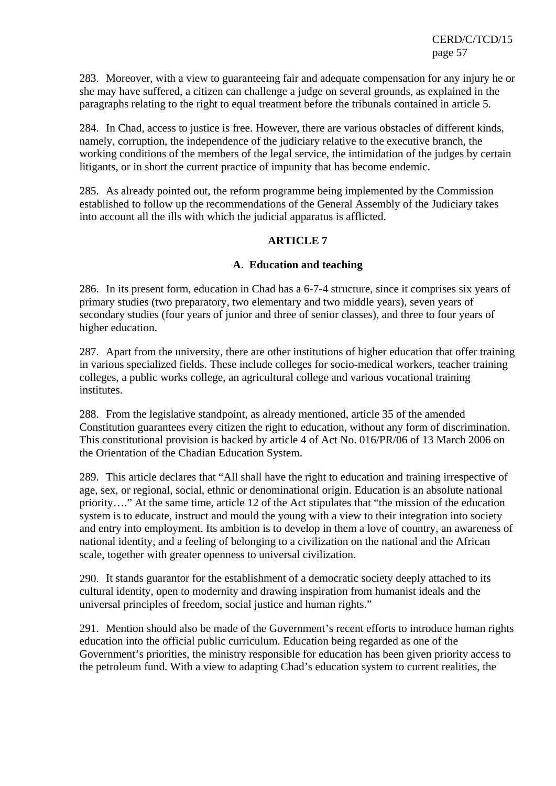283. Moreover, with a view to guaranteeing fair and adequate compensation for any injury he or she may have suffered, a citizen can challenge a judge on several grounds, as explained in the paragraphs relating to the right to equal treatment before the tribunals contained in article 5.

284. In Chad, access to justice is free. However, there are various obstacles of different kinds, namely, corruption, the independence of the judiciary relative to the executive branch, the working conditions of the members of the legal service, the intimidation of the judges by certain litigants, or in short the current practice of impunity that has become endemic.

285. As already pointed out, the reform programme being implemented by the Commission established to follow up the recommendations of the General Assembly of the Judiciary takes into account all the ills with which the judicial apparatus is afflicted.

## **ARTICLE 7**

## **A. Education and teaching**

286. In its present form, education in Chad has a 6-7-4 structure, since it comprises six years of primary studies (two preparatory, two elementary and two middle years), seven years of secondary studies (four years of junior and three of senior classes), and three to four years of higher education.

287. Apart from the university, there are other institutions of higher education that offer training in various specialized fields. These include colleges for socio-medical workers, teacher training colleges, a public works college, an agricultural college and various vocational training institutes.

288. From the legislative standpoint, as already mentioned, article 35 of the amended Constitution guarantees every citizen the right to education, without any form of discrimination. This constitutional provision is backed by article 4 of Act No. 016/PR/06 of 13 March 2006 on the Orientation of the Chadian Education System.

289. This article declares that "All shall have the right to education and training irrespective of age, sex, or regional, social, ethnic or denominational origin. Education is an absolute national priority…." At the same time, article 12 of the Act stipulates that "the mission of the education system is to educate, instruct and mould the young with a view to their integration into society and entry into employment. Its ambition is to develop in them a love of country, an awareness of national identity, and a feeling of belonging to a civilization on the national and the African scale, together with greater openness to universal civilization.

290. It stands guarantor for the establishment of a democratic society deeply attached to its cultural identity, open to modernity and drawing inspiration from humanist ideals and the universal principles of freedom, social justice and human rights."

291. Mention should also be made of the Government's recent efforts to introduce human rights education into the official public curriculum. Education being regarded as one of the Government's priorities, the ministry responsible for education has been given priority access to the petroleum fund. With a view to adapting Chad's education system to current realities, the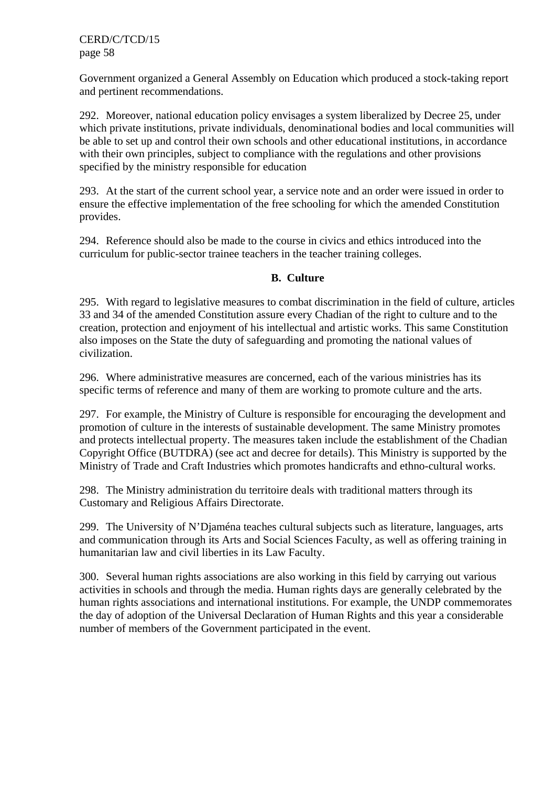Government organized a General Assembly on Education which produced a stock-taking report and pertinent recommendations.

292. Moreover, national education policy envisages a system liberalized by Decree 25, under which private institutions, private individuals, denominational bodies and local communities will be able to set up and control their own schools and other educational institutions, in accordance with their own principles, subject to compliance with the regulations and other provisions specified by the ministry responsible for education

293. At the start of the current school year, a service note and an order were issued in order to ensure the effective implementation of the free schooling for which the amended Constitution provides.

294. Reference should also be made to the course in civics and ethics introduced into the curriculum for public-sector trainee teachers in the teacher training colleges.

## **B. Culture**

295. With regard to legislative measures to combat discrimination in the field of culture, articles 33 and 34 of the amended Constitution assure every Chadian of the right to culture and to the creation, protection and enjoyment of his intellectual and artistic works. This same Constitution also imposes on the State the duty of safeguarding and promoting the national values of civilization.

296. Where administrative measures are concerned, each of the various ministries has its specific terms of reference and many of them are working to promote culture and the arts.

297. For example, the Ministry of Culture is responsible for encouraging the development and promotion of culture in the interests of sustainable development. The same Ministry promotes and protects intellectual property. The measures taken include the establishment of the Chadian Copyright Office (BUTDRA) (see act and decree for details). This Ministry is supported by the Ministry of Trade and Craft Industries which promotes handicrafts and ethno-cultural works.

298. The Ministry administration du territoire deals with traditional matters through its Customary and Religious Affairs Directorate.

299. The University of N'Djaména teaches cultural subjects such as literature, languages, arts and communication through its Arts and Social Sciences Faculty, as well as offering training in humanitarian law and civil liberties in its Law Faculty.

300. Several human rights associations are also working in this field by carrying out various activities in schools and through the media. Human rights days are generally celebrated by the human rights associations and international institutions. For example, the UNDP commemorates the day of adoption of the Universal Declaration of Human Rights and this year a considerable number of members of the Government participated in the event.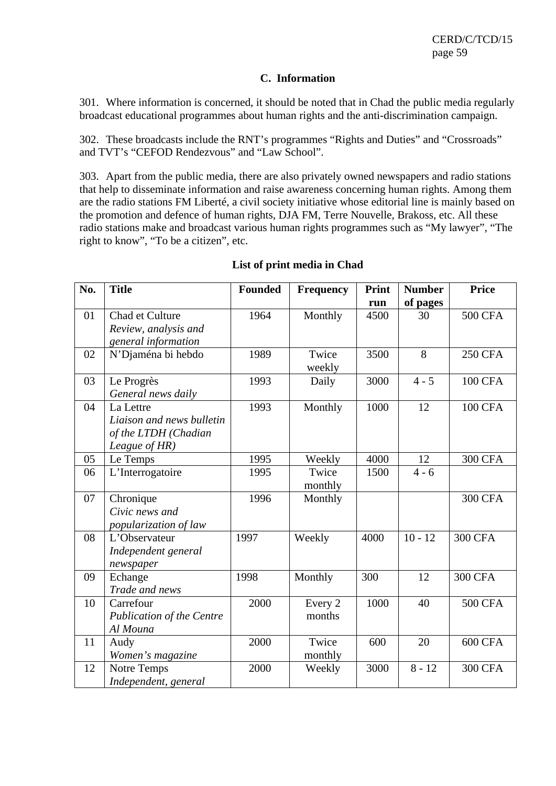#### **C. Information**

301. Where information is concerned, it should be noted that in Chad the public media regularly broadcast educational programmes about human rights and the anti-discrimination campaign.

302. These broadcasts include the RNT's programmes "Rights and Duties" and "Crossroads" and TVT's "CEFOD Rendezvous" and "Law School".

303. Apart from the public media, there are also privately owned newspapers and radio stations that help to disseminate information and raise awareness concerning human rights. Among them are the radio stations FM Liberté, a civil society initiative whose editorial line is mainly based on the promotion and defence of human rights, DJA FM, Terre Nouvelle, Brakoss, etc. All these radio stations make and broadcast various human rights programmes such as "My lawyer", "The right to know", "To be a citizen", etc.

| No. | <b>Title</b>                     | <b>Founded</b> | <b>Frequency</b> | <b>Print</b> | <b>Number</b> | <b>Price</b>   |
|-----|----------------------------------|----------------|------------------|--------------|---------------|----------------|
|     |                                  |                |                  | run          | of pages      |                |
| 01  | Chad et Culture                  | 1964           | Monthly          | 4500         | 30            | <b>500 CFA</b> |
|     | Review, analysis and             |                |                  |              |               |                |
|     | general information              |                |                  |              |               |                |
| 02  | N'Djaména bi hebdo               | 1989           | Twice            | 3500         | 8             | <b>250 CFA</b> |
|     |                                  |                | weekly           |              |               |                |
| 03  | Le Progrès                       | 1993           | Daily            | 3000         | $4 - 5$       | <b>100 CFA</b> |
|     | General news daily               |                |                  |              |               |                |
| 04  | La Lettre                        | 1993           | Monthly          | 1000         | 12            | <b>100 CFA</b> |
|     | Liaison and news bulletin        |                |                  |              |               |                |
|     | of the LTDH (Chadian             |                |                  |              |               |                |
|     | League of HR)                    |                |                  |              |               |                |
| 05  | Le Temps                         | 1995           | Weekly           | 4000         | 12            | <b>300 CFA</b> |
| 06  | L'Interrogatoire                 | 1995           | Twice            | 1500         | $4 - 6$       |                |
|     |                                  |                | monthly          |              |               |                |
| 07  | Chronique                        | 1996           | Monthly          |              |               | <b>300 CFA</b> |
|     | Civic news and                   |                |                  |              |               |                |
|     | popularization of law            |                |                  |              |               |                |
| 08  | L'Observateur                    | 1997           | Weekly           | 4000         | $10 - 12$     | <b>300 CFA</b> |
|     | Independent general              |                |                  |              |               |                |
|     | newspaper                        |                |                  |              |               |                |
| 09  | Echange                          | 1998           | Monthly          | 300          | 12            | <b>300 CFA</b> |
|     | Trade and news                   |                |                  |              |               |                |
| 10  | Carrefour                        | 2000           | Every 2          | 1000         | 40            | <b>500 CFA</b> |
|     | <b>Publication of the Centre</b> |                | months           |              |               |                |
|     | Al Mouna                         |                |                  |              |               |                |
| 11  | Audy                             | 2000           | Twice            | 600          | 20            | <b>600 CFA</b> |
|     | Women's magazine                 |                | monthly          |              |               |                |
| 12  | Notre Temps                      | 2000           | Weekly           | 3000         | $8 - 12$      | <b>300 CFA</b> |
|     | Independent, general             |                |                  |              |               |                |

#### **List of print media in Chad**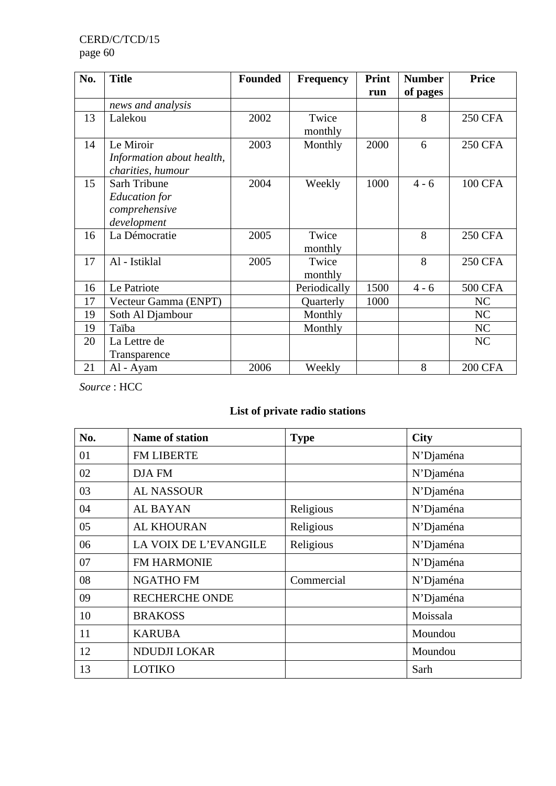| No. | <b>Title</b>              | <b>Founded</b> | <b>Frequency</b> | Print | <b>Number</b> | <b>Price</b>   |
|-----|---------------------------|----------------|------------------|-------|---------------|----------------|
|     |                           |                |                  | run   | of pages      |                |
|     | news and analysis         |                |                  |       |               |                |
| 13  | Lalekou                   | 2002           | Twice            |       | 8             | <b>250 CFA</b> |
|     |                           |                | monthly          |       |               |                |
| 14  | Le Miroir                 | 2003           | Monthly          | 2000  | 6             | <b>250 CFA</b> |
|     | Information about health, |                |                  |       |               |                |
|     | charities, humour         |                |                  |       |               |                |
| 15  | Sarh Tribune              | 2004           | Weekly           | 1000  | $4 - 6$       | <b>100 CFA</b> |
|     | Education for             |                |                  |       |               |                |
|     | comprehensive             |                |                  |       |               |                |
|     | development               |                |                  |       |               |                |
| 16  | La Démocratie             | 2005           | Twice            |       | 8             | <b>250 CFA</b> |
|     |                           |                | monthly          |       |               |                |
| 17  | Al - Istiklal             | 2005           | Twice            |       | 8             | <b>250 CFA</b> |
|     |                           |                | monthly          |       |               |                |
| 16  | Le Patriote               |                | Periodically     | 1500  | $4 - 6$       | <b>500 CFA</b> |
| 17  | Vecteur Gamma (ENPT)      |                | Quarterly        | 1000  |               | NC             |
| 19  | Soth Al Djambour          |                | Monthly          |       |               | NC             |
| 19  | Taïba                     |                | Monthly          |       |               | NC             |
| 20  | La Lettre de              |                |                  |       |               | NC             |
|     | Transparence              |                |                  |       |               |                |
| 21  | Al - Ayam                 | 2006           | Weekly           |       | 8             | <b>200 CFA</b> |

*Source* : HCC

# **List of private radio stations**

| No. | <b>Name of station</b> | <b>Type</b> | <b>City</b> |
|-----|------------------------|-------------|-------------|
| 01  | <b>FM LIBERTE</b>      |             | N'Djaména   |
| 02  | DJA FM                 |             | N'Djaména   |
| 03  | <b>AL NASSOUR</b>      |             | N'Djaména   |
| 04  | <b>AL BAYAN</b>        | Religious   | N'Djaména   |
| 05  | <b>AL KHOURAN</b>      | Religious   | N'Djaména   |
| 06  | LA VOIX DE L'EVANGILE  | Religious   | N'Djaména   |
| 07  | FM HARMONIE            |             | N'Djaména   |
| 08  | <b>NGATHO FM</b>       | Commercial  | N'Djaména   |
| 09  | <b>RECHERCHE ONDE</b>  |             | N'Djaména   |
| 10  | <b>BRAKOSS</b>         |             | Moissala    |
| 11  | <b>KARUBA</b>          |             | Moundou     |
| 12  | <b>NDUDJI LOKAR</b>    |             | Moundou     |
| 13  | <b>LOTIKO</b>          |             | Sarh        |